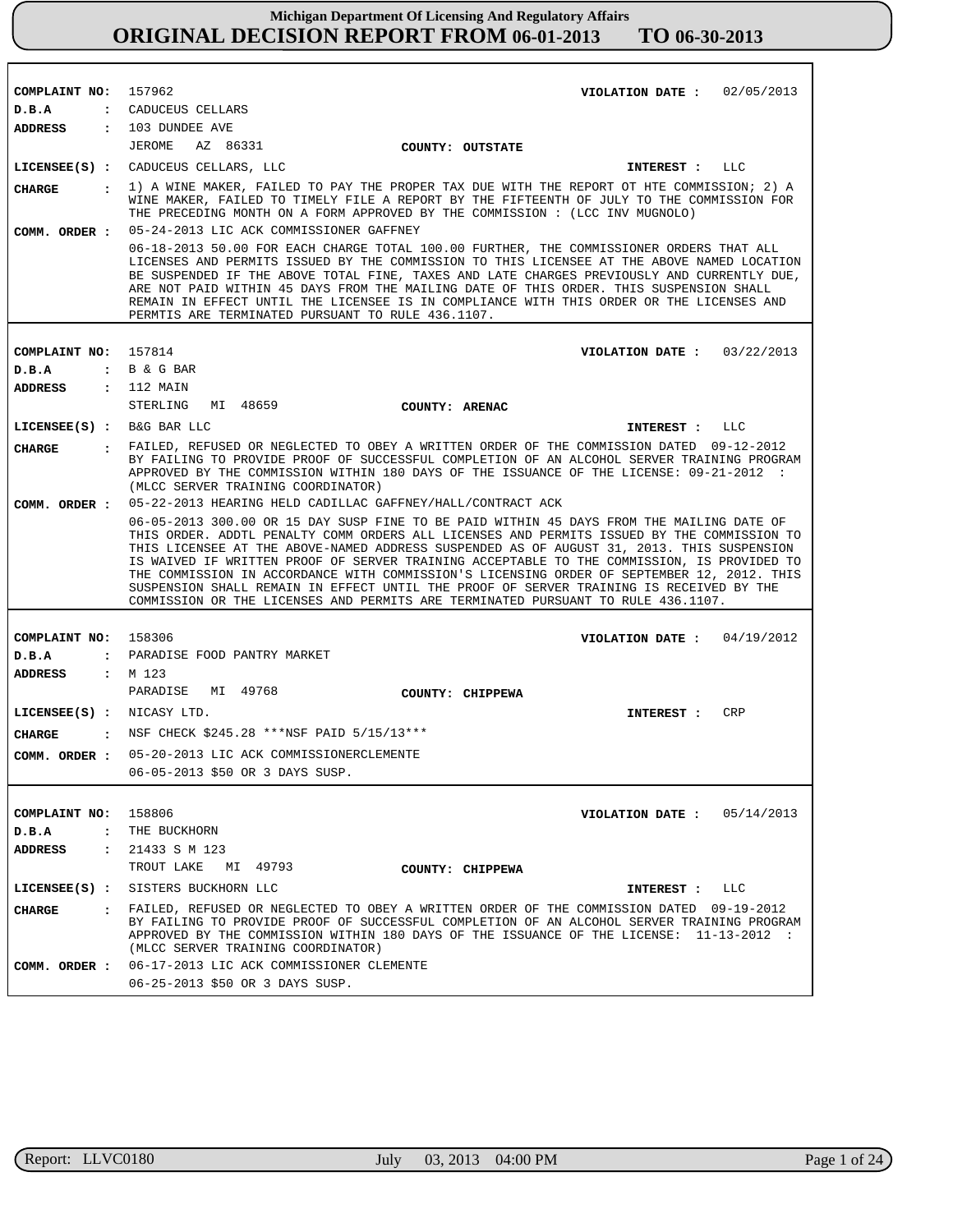| COMPLAINT NO:               | 157962<br>VIOLATION DATE: $02/05/2013$                                                                                                                                                                                                                                                                                                                                                                                                                                                                                                                                                                                                                         |
|-----------------------------|----------------------------------------------------------------------------------------------------------------------------------------------------------------------------------------------------------------------------------------------------------------------------------------------------------------------------------------------------------------------------------------------------------------------------------------------------------------------------------------------------------------------------------------------------------------------------------------------------------------------------------------------------------------|
| D.B.A                       | : CADUCEUS CELLARS                                                                                                                                                                                                                                                                                                                                                                                                                                                                                                                                                                                                                                             |
| ADDRESS                     | : 103 DUNDEE AVE                                                                                                                                                                                                                                                                                                                                                                                                                                                                                                                                                                                                                                               |
|                             | JEROME<br>AZ 86331<br>COUNTY: OUTSTATE                                                                                                                                                                                                                                                                                                                                                                                                                                                                                                                                                                                                                         |
|                             | LICENSEE(S) : CADUCEUS CELLARS, LLC<br>LLC<br>INTEREST :                                                                                                                                                                                                                                                                                                                                                                                                                                                                                                                                                                                                       |
| CHARGE<br>COMM. ORDER :     | 1) A WINE MAKER, FAILED TO PAY THE PROPER TAX DUE WITH THE REPORT OT HTE COMMISSION; 2) A<br>$\mathbf{r}$<br>WINE MAKER, FAILED TO TIMELY FILE A REPORT BY THE FIFTEENTH OF JULY TO THE COMMISSION FOR<br>THE PRECEDING MONTH ON A FORM APPROVED BY THE COMMISSION : (LCC INV MUGNOLO)<br>05-24-2013 LIC ACK COMMISSIONER GAFFNEY                                                                                                                                                                                                                                                                                                                              |
|                             | 06-18-2013 50.00 FOR EACH CHARGE TOTAL 100.00 FURTHER, THE COMMISSIONER ORDERS THAT ALL<br>LICENSES AND PERMITS ISSUED BY THE COMMISSION TO THIS LICENSEE AT THE ABOVE NAMED LOCATION<br>BE SUSPENDED IF THE ABOVE TOTAL FINE, TAXES AND LATE CHARGES PREVIOUSLY AND CURRENTLY DUE,<br>ARE NOT PAID WITHIN 45 DAYS FROM THE MAILING DATE OF THIS ORDER. THIS SUSPENSION SHALL<br>REMAIN IN EFFECT UNTIL THE LICENSEE IS IN COMPLIANCE WITH THIS ORDER OR THE LICENSES AND<br>PERMTIS ARE TERMINATED PURSUANT TO RULE 436.1107.                                                                                                                                 |
|                             |                                                                                                                                                                                                                                                                                                                                                                                                                                                                                                                                                                                                                                                                |
| COMPLAINT NO: 157814        | VIOLATION DATE: $03/22/2013$                                                                                                                                                                                                                                                                                                                                                                                                                                                                                                                                                                                                                                   |
| D.B.A                       | : B & G BAR                                                                                                                                                                                                                                                                                                                                                                                                                                                                                                                                                                                                                                                    |
| ADDRESS                     | : 112 MAIN<br>STERLING                                                                                                                                                                                                                                                                                                                                                                                                                                                                                                                                                                                                                                         |
|                             | MI 48659<br>COUNTY: ARENAC                                                                                                                                                                                                                                                                                                                                                                                                                                                                                                                                                                                                                                     |
| $LICENSEE(S)$ : B&G BAR LLC | INTEREST :<br>LLC                                                                                                                                                                                                                                                                                                                                                                                                                                                                                                                                                                                                                                              |
| CIIARGE                     | : FAILED, REFUSED OR NEGLECTED TO OBEY A WRITTEN ORDER OF THE COMMISSION DATED 09-12-2012<br>BY FAILING TO PROVIDE PROOF OF SUCCESSFUL COMPLETION OF AN ALCOHOL SERVER TRAINING PROGRAM<br>APPROVED BY THE COMMISSION WITHIN 180 DAYS OF THE ISSUANCE OF THE LICENSE: 09-21-2012 :<br>(MLCC SERVER TRAINING COORDINATOR)                                                                                                                                                                                                                                                                                                                                       |
|                             | COMM. ORDER : 05-22-2013 HEARING HELD CADILLAC GAFFNEY/HALL/CONTRACT ACK                                                                                                                                                                                                                                                                                                                                                                                                                                                                                                                                                                                       |
|                             | 06-05-2013 300.00 OR 15 DAY SUSP FINE TO BE PAID WITHIN 45 DAYS FROM THE MAILING DATE OF<br>THIS ORDER. ADDTL PENALTY COMM ORDERS ALL LICENSES AND PERMITS ISSUED BY THE COMMISSION TO<br>THIS LICENSEE AT THE ABOVE-NAMED ADDRESS SUSPENDED AS OF AUGUST 31, 2013. THIS SUSPENSION<br>IS WAIVED IF WRITTEN PROOF OF SERVER TRAINING ACCEPTABLE TO THE COMMISSION, IS PROVIDED TO<br>THE COMMISSION IN ACCORDANCE WITH COMMISSION'S LICENSING ORDER OF SEPTEMBER 12, 2012. THIS<br>SUSPENSION SHALL REMAIN IN EFFECT UNTIL THE PROOF OF SERVER TRAINING IS RECEIVED BY THE<br>COMMISSION OR THE LICENSES AND PERMITS ARE TERMINATED PURSUANT TO RULE 436.1107. |
|                             |                                                                                                                                                                                                                                                                                                                                                                                                                                                                                                                                                                                                                                                                |
| COMPLAINT NO:               | 158306<br>VIOLATION DATE: $04/19/2012$                                                                                                                                                                                                                                                                                                                                                                                                                                                                                                                                                                                                                         |
| D.B.A                       | : PARADISE FOOD PANTRY MARKET                                                                                                                                                                                                                                                                                                                                                                                                                                                                                                                                                                                                                                  |
| ADDRESS                     | $:$ M 123                                                                                                                                                                                                                                                                                                                                                                                                                                                                                                                                                                                                                                                      |
|                             | PARADISE<br>MI 49768<br>COUNTY: CHIPPEWA                                                                                                                                                                                                                                                                                                                                                                                                                                                                                                                                                                                                                       |
| LICENSEE(S) : NICASY LTD.   | CRP<br>INTEREST :                                                                                                                                                                                                                                                                                                                                                                                                                                                                                                                                                                                                                                              |
| <b>CHARGE</b>               | : NSF CHECK \$245.28 ***NSF PAID 5/15/13***                                                                                                                                                                                                                                                                                                                                                                                                                                                                                                                                                                                                                    |
|                             | COMM. ORDER : 05-20-2013 LIC ACK COMMISSIONERCLEMENTE                                                                                                                                                                                                                                                                                                                                                                                                                                                                                                                                                                                                          |
|                             | 06-05-2013 \$50 OR 3 DAYS SUSP.                                                                                                                                                                                                                                                                                                                                                                                                                                                                                                                                                                                                                                |
|                             |                                                                                                                                                                                                                                                                                                                                                                                                                                                                                                                                                                                                                                                                |
| COMPLAINT NO: 158806        | VIOLATION DATE: $05/14/2013$                                                                                                                                                                                                                                                                                                                                                                                                                                                                                                                                                                                                                                   |
| D.B.A                       | : THE BUCKHORN                                                                                                                                                                                                                                                                                                                                                                                                                                                                                                                                                                                                                                                 |
| <b>ADDRESS</b>              | : 21433 S M 123                                                                                                                                                                                                                                                                                                                                                                                                                                                                                                                                                                                                                                                |
|                             | TROUT LAKE MI 49793<br>COUNTY: CHIPPEWA                                                                                                                                                                                                                                                                                                                                                                                                                                                                                                                                                                                                                        |
|                             | LICENSEE(S) : SISTERS BUCKHORN LLC<br>INTEREST : LLC                                                                                                                                                                                                                                                                                                                                                                                                                                                                                                                                                                                                           |
| CHARGE                      | : FAILED, REFUSED OR NEGLECTED TO OBEY A WRITTEN ORDER OF THE COMMISSION DATED 09-19-2012<br>BY FAILING TO PROVIDE PROOF OF SUCCESSFUL COMPLETION OF AN ALCOHOL SERVER TRAINING PROGRAM<br>APPROVED BY THE COMMISSION WITHIN 180 DAYS OF THE ISSUANCE OF THE LICENSE: 11-13-2012 :<br>(MLCC SERVER TRAINING COORDINATOR)                                                                                                                                                                                                                                                                                                                                       |
|                             | COMM. ORDER : 06-17-2013 LIC ACK COMMISSIONER CLEMENTE                                                                                                                                                                                                                                                                                                                                                                                                                                                                                                                                                                                                         |
|                             | 06-25-2013 \$50 OR 3 DAYS SUSP.                                                                                                                                                                                                                                                                                                                                                                                                                                                                                                                                                                                                                                |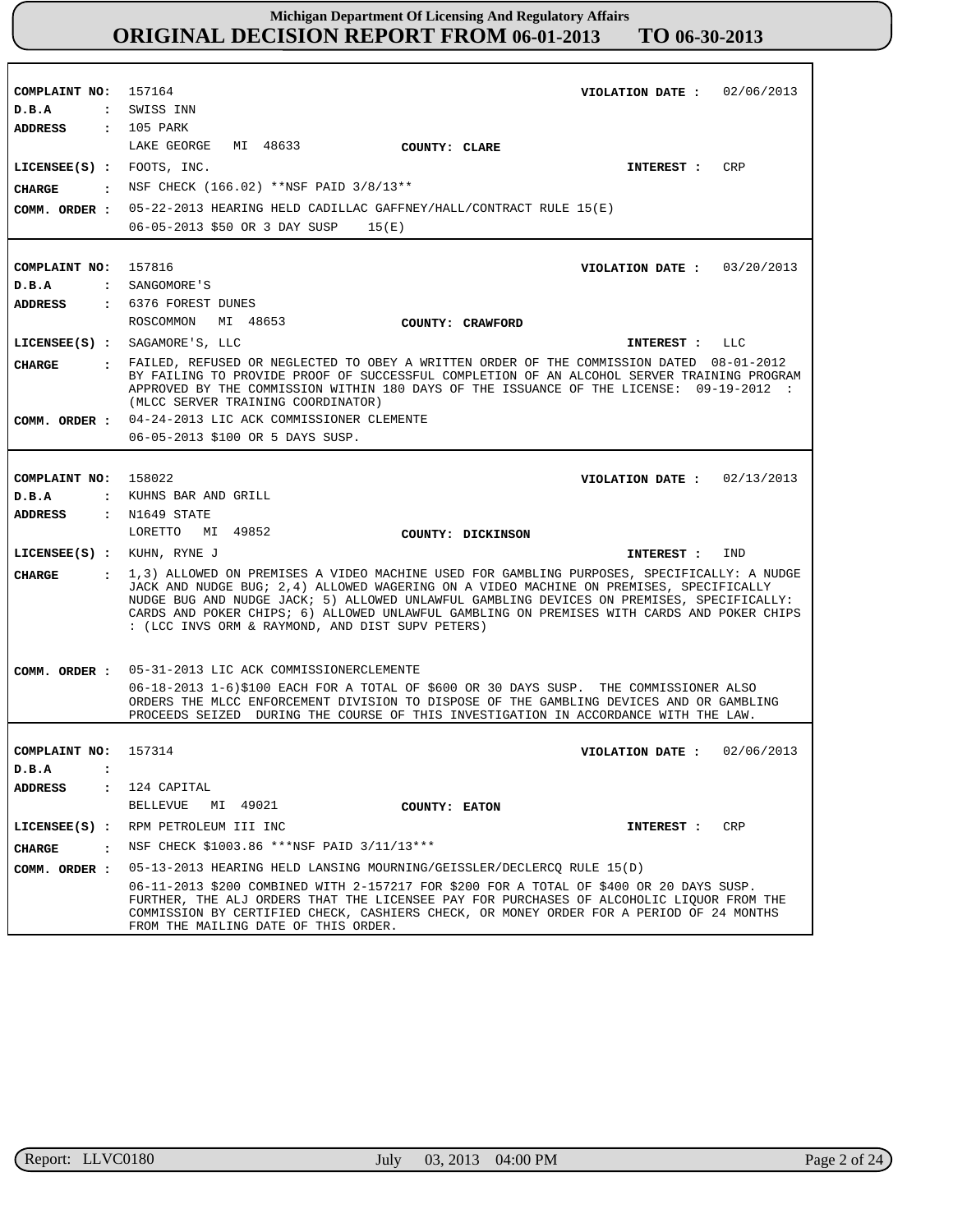| COMPLAINT NO:                    | 157164<br>VIOLATION DATE: $02/06/2013$                                                                                                                                                  |
|----------------------------------|-----------------------------------------------------------------------------------------------------------------------------------------------------------------------------------------|
| D.B.A                            | : SWISS INN                                                                                                                                                                             |
| ADDRESS                          | $: 105$ PARK                                                                                                                                                                            |
|                                  | LAKE GEORGE<br>MI 48633<br>COUNTY: CLARE                                                                                                                                                |
| LICENSEE(S) : FOOTS, INC.        | CRP<br>INTEREST :                                                                                                                                                                       |
| CHARGE                           | NSF CHECK (166.02) **NSF PAID 3/8/13**                                                                                                                                                  |
| COMM. ORDER :                    | 05-22-2013 HEARING HELD CADILLAC GAFFNEY/HALL/CONTRACT RULE 15(E)                                                                                                                       |
|                                  | 06-05-2013 \$50 OR 3 DAY SUSP<br>15(E)                                                                                                                                                  |
|                                  |                                                                                                                                                                                         |
| COMPLAINT NO:                    | 157816<br>VIOLATION DATE: $03/20/2013$                                                                                                                                                  |
| D.B.A                            | : SANGOMORE'S                                                                                                                                                                           |
| ADDRESS                          | : 6376 FOREST DUNES                                                                                                                                                                     |
|                                  | ROSCOMMON<br>MI 48653<br>COUNTY: CRAWFORD                                                                                                                                               |
|                                  | $LICENSEE(S)$ : SAGAMORE'S, LLC<br>INTEREST : LLC                                                                                                                                       |
| CHARGE                           | : FAILED, REFUSED OR NEGLECTED TO OBEY A WRITTEN ORDER OF THE COMMISSION DATED 08-01-2012                                                                                               |
|                                  | BY FAILING TO PROVIDE PROOF OF SUCCESSFUL COMPLETION OF AN ALCOHOL SERVER TRAINING PROGRAM<br>APPROVED BY THE COMMISSION WITHIN 180 DAYS OF THE ISSUANCE OF THE LICENSE: 09-19-2012 :   |
|                                  | (MLCC SERVER TRAINING COORDINATOR)                                                                                                                                                      |
| COMM. ORDER :                    | 04-24-2013 LIC ACK COMMISSIONER CLEMENTE                                                                                                                                                |
|                                  | 06-05-2013 \$100 OR 5 DAYS SUSP.                                                                                                                                                        |
|                                  |                                                                                                                                                                                         |
| COMPLAINT NO:                    | 158022<br>VIOLATION DATE: $02/13/2013$                                                                                                                                                  |
| D.B.A<br>$\ddot{\cdot}$          | KUHNS BAR AND GRILL                                                                                                                                                                     |
| <b>ADDRESS</b>                   | $:$ N1649 STATE                                                                                                                                                                         |
|                                  | LORETTO MI 49852<br>COUNTY: DICKINSON                                                                                                                                                   |
| $LICENSEE(S)$ : KUHN, RYNE J     | IND<br>INTEREST :                                                                                                                                                                       |
| <b>CHARGE</b><br>$\mathbf{r}$    | 1,3) ALLOWED ON PREMISES A VIDEO MACHINE USED FOR GAMBLING PURPOSES, SPECIFICALLY: A NUDGE<br>JACK AND NUDGE BUG; 2,4) ALLOWED WAGERING ON A VIDEO MACHINE ON PREMISES, SPECIFICALLY    |
|                                  | NUDGE BUG AND NUDGE JACK; 5) ALLOWED UNLAWFUL GAMBLING DEVICES ON PREMISES, SPECIFICALLY:<br>CARDS AND POKER CHIPS; 6) ALLOWED UNLAWFUL GAMBLING ON PREMISES WITH CARDS AND POKER CHIPS |
|                                  | : (LCC INVS ORM & RAYMOND, AND DIST SUPV PETERS)                                                                                                                                        |
|                                  |                                                                                                                                                                                         |
| COMM. ORDER :                    | 05-31-2013 LIC ACK COMMISSIONERCLEMENTE                                                                                                                                                 |
|                                  | 06-18-2013 1-6)\$100 EACH FOR A TOTAL OF \$600 OR 30 DAYS SUSP. THE COMMISSIONER ALSO                                                                                                   |
|                                  | ORDERS THE MLCC ENFORCEMENT DIVISION TO DISPOSE OF THE GAMBLING DEVICES AND OR GAMBLING                                                                                                 |
|                                  | PROCEEDS SEIZED DURING THE COURSE OF THIS INVESTIGATION IN ACCORDANCE WITH THE LAW.                                                                                                     |
| COMPLAINT NO:                    | 02/06/2013<br>157314<br>VIOLATION DATE :                                                                                                                                                |
| D.B.A                            |                                                                                                                                                                                         |
| <b>ADDRESS</b><br>$\ddot{\cdot}$ | 124 CAPITAL                                                                                                                                                                             |
|                                  | MI 49021<br>BELLEVUE<br>COUNTY: EATON                                                                                                                                                   |
| LICENSEE(S) :                    | RPM PETROLEUM III INC<br>CRP<br>INTEREST :                                                                                                                                              |
| $\cdot$<br><b>CHARGE</b>         | NSF CHECK \$1003.86 ***NSF PAID 3/11/13***                                                                                                                                              |
| COMM. ORDER :                    | 05-13-2013 HEARING HELD LANSING MOURNING/GEISSLER/DECLERCQ RULE 15(D)                                                                                                                   |
|                                  | 06-11-2013 \$200 COMBINED WITH 2-157217 FOR \$200 FOR A TOTAL OF \$400 OR 20 DAYS SUSP.                                                                                                 |
|                                  | FURTHER, THE ALJ ORDERS THAT THE LICENSEE PAY FOR PURCHASES OF ALCOHOLIC LIQUOR FROM THE                                                                                                |
|                                  | COMMISSION BY CERTIFIED CHECK, CASHIERS CHECK, OR MONEY ORDER FOR A PERIOD OF 24 MONTHS<br>FROM THE MAILING DATE OF THIS ORDER.                                                         |

r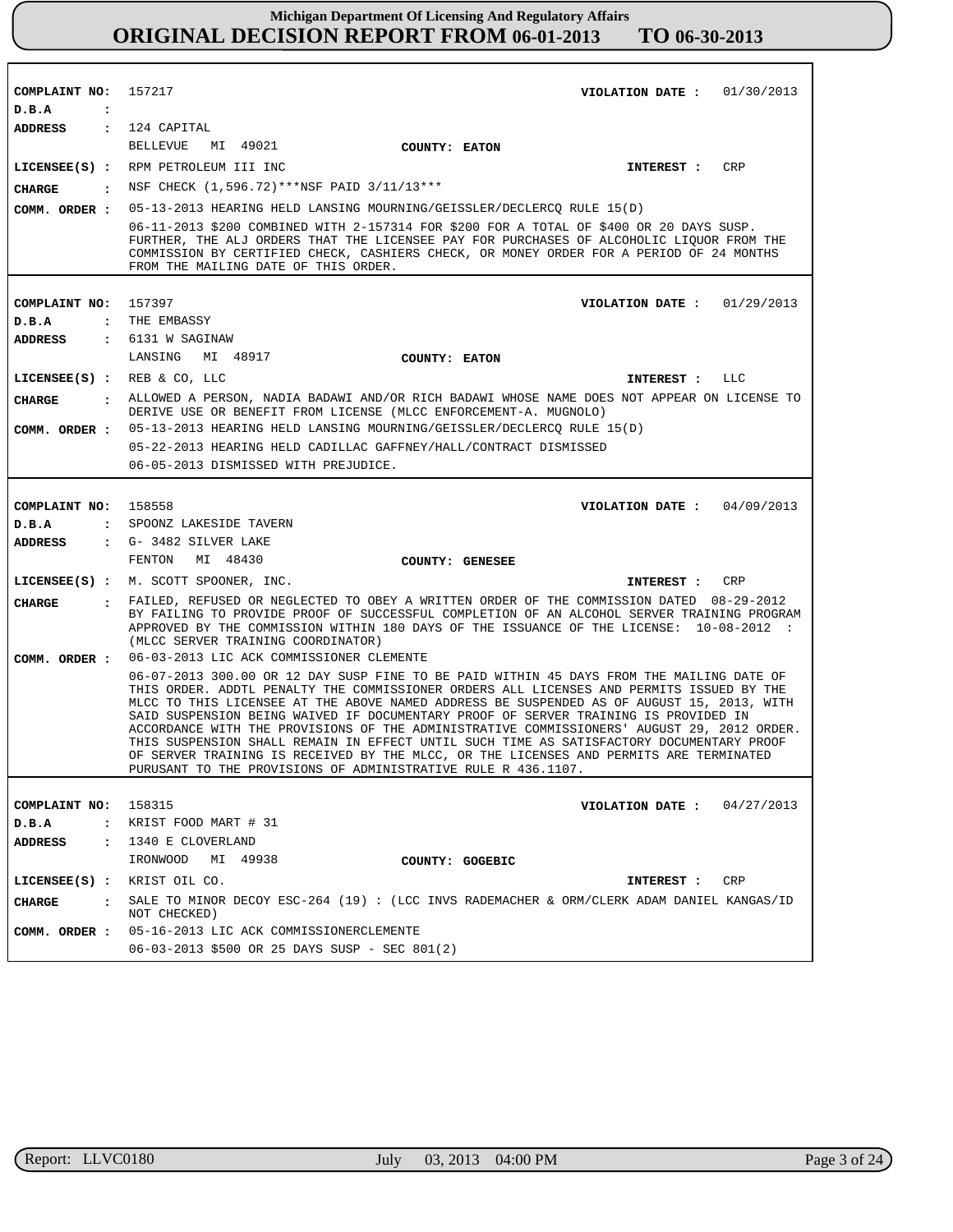| COMPLAINT NO:           | 157217                                                                                                                                                                                                                                                                                                                                                                                                                                                                                                                                                                                                                                                                                                                        |                 | VIOLATION DATE: $01/30/2013$ |            |
|-------------------------|-------------------------------------------------------------------------------------------------------------------------------------------------------------------------------------------------------------------------------------------------------------------------------------------------------------------------------------------------------------------------------------------------------------------------------------------------------------------------------------------------------------------------------------------------------------------------------------------------------------------------------------------------------------------------------------------------------------------------------|-----------------|------------------------------|------------|
| D.B.A<br>$\cdot$        |                                                                                                                                                                                                                                                                                                                                                                                                                                                                                                                                                                                                                                                                                                                               |                 |                              |            |
| ADDRESS : 124 CAPITAL   |                                                                                                                                                                                                                                                                                                                                                                                                                                                                                                                                                                                                                                                                                                                               |                 |                              |            |
|                         | <b>BELLEVUE</b><br>MI 49021                                                                                                                                                                                                                                                                                                                                                                                                                                                                                                                                                                                                                                                                                                   | COUNTY: EATON   |                              |            |
|                         | LICENSEE(S) : RPM PETROLEUM III INC                                                                                                                                                                                                                                                                                                                                                                                                                                                                                                                                                                                                                                                                                           |                 | INTEREST :                   | <b>CRP</b> |
| <b>CHARGE</b>           | . NSF CHECK (1,596.72)***NSF PAID 3/11/13***                                                                                                                                                                                                                                                                                                                                                                                                                                                                                                                                                                                                                                                                                  |                 |                              |            |
| COMM. ORDER :           | 05-13-2013 HEARING HELD LANSING MOURNING/GEISSLER/DECLERCQ RULE 15(D)                                                                                                                                                                                                                                                                                                                                                                                                                                                                                                                                                                                                                                                         |                 |                              |            |
|                         | 06-11-2013 \$200 COMBINED WITH 2-157314 FOR \$200 FOR A TOTAL OF \$400 OR 20 DAYS SUSP.<br>FURTHER, THE ALJ ORDERS THAT THE LICENSEE PAY FOR PURCHASES OF ALCOHOLIC LIQUOR FROM THE<br>COMMISSION BY CERTIFIED CHECK, CASHIERS CHECK, OR MONEY ORDER FOR A PERIOD OF 24 MONTHS<br>FROM THE MAILING DATE OF THIS ORDER.                                                                                                                                                                                                                                                                                                                                                                                                        |                 |                              |            |
|                         |                                                                                                                                                                                                                                                                                                                                                                                                                                                                                                                                                                                                                                                                                                                               |                 |                              |            |
| COMPLAINT NO: 157397    | : THE EMBASSY                                                                                                                                                                                                                                                                                                                                                                                                                                                                                                                                                                                                                                                                                                                 |                 | VIOLATION DATE: $01/29/2013$ |            |
| D.B.A<br><b>ADDRESS</b> | : 6131 W SAGINAW                                                                                                                                                                                                                                                                                                                                                                                                                                                                                                                                                                                                                                                                                                              |                 |                              |            |
|                         | LANSING MI 48917                                                                                                                                                                                                                                                                                                                                                                                                                                                                                                                                                                                                                                                                                                              | COUNTY: EATON   |                              |            |
|                         |                                                                                                                                                                                                                                                                                                                                                                                                                                                                                                                                                                                                                                                                                                                               |                 |                              |            |
| <b>CHARGE</b>           | LICENSEE(S) : REB & CO, LLC<br>: ALLOWED A PERSON, NADIA BADAWI AND/OR RICH BADAWI WHOSE NAME DOES NOT APPEAR ON LICENSE TO                                                                                                                                                                                                                                                                                                                                                                                                                                                                                                                                                                                                   |                 | INTEREST : LLC               |            |
|                         | DERIVE USE OR BENEFIT FROM LICENSE (MLCC ENFORCEMENT-A. MUGNOLO)                                                                                                                                                                                                                                                                                                                                                                                                                                                                                                                                                                                                                                                              |                 |                              |            |
|                         | COMM. ORDER : 05-13-2013 HEARING HELD LANSING MOURNING/GEISSLER/DECLERCQ RULE 15(D)                                                                                                                                                                                                                                                                                                                                                                                                                                                                                                                                                                                                                                           |                 |                              |            |
|                         | 05-22-2013 HEARING HELD CADILLAC GAFFNEY/HALL/CONTRACT DISMISSED                                                                                                                                                                                                                                                                                                                                                                                                                                                                                                                                                                                                                                                              |                 |                              |            |
|                         | 06-05-2013 DISMISSED WITH PREJUDICE.                                                                                                                                                                                                                                                                                                                                                                                                                                                                                                                                                                                                                                                                                          |                 |                              |            |
|                         |                                                                                                                                                                                                                                                                                                                                                                                                                                                                                                                                                                                                                                                                                                                               |                 |                              |            |
| COMPLAINT NO: 158558    |                                                                                                                                                                                                                                                                                                                                                                                                                                                                                                                                                                                                                                                                                                                               |                 | VIOLATION DATE: $04/09/2013$ |            |
| D.B.A                   | : SPOONZ LAKESIDE TAVERN                                                                                                                                                                                                                                                                                                                                                                                                                                                                                                                                                                                                                                                                                                      |                 |                              |            |
| <b>ADDRESS</b>          | $\cdot$ G- 3482 SILVER LAKE                                                                                                                                                                                                                                                                                                                                                                                                                                                                                                                                                                                                                                                                                                   |                 |                              |            |
|                         | FENTON<br>MI 48430                                                                                                                                                                                                                                                                                                                                                                                                                                                                                                                                                                                                                                                                                                            | COUNTY: GENESEE |                              |            |
|                         | LICENSEE(S) : M. SCOTT SPOONER, INC.                                                                                                                                                                                                                                                                                                                                                                                                                                                                                                                                                                                                                                                                                          |                 | <b>INTEREST :</b>            | CRP        |
| CIIARGE                 | : FAILED, REFUSED OR NEGLECTED TO OBEY A WRITTEN ORDER OF THE COMMISSION DATED 08-29-2012<br>BY FAILING TO PROVIDE PROOF OF SUCCESSFUL COMPLETION OF AN ALCOHOL SERVER TRAINING PROGRAM<br>APPROVED BY THE COMMISSION WITHIN 180 DAYS OF THE ISSUANCE OF THE LICENSE: 10-08-2012 :<br>(MLCC SERVER TRAINING COORDINATOR)                                                                                                                                                                                                                                                                                                                                                                                                      |                 |                              |            |
| COMM. ORDER :           | 06-03-2013 LIC ACK COMMISSIONER CLEMENTE                                                                                                                                                                                                                                                                                                                                                                                                                                                                                                                                                                                                                                                                                      |                 |                              |            |
|                         | 06-07-2013 300.00 OR 12 DAY SUSP FINE TO BE PAID WITHIN 45 DAYS FROM THE MAILING DATE OF<br>THIS ORDER. ADDTL PENALTY THE COMMISSIONER ORDERS ALL LICENSES AND PERMITS ISSUED BY THE<br>MLCC TO THIS LICENSEE AT THE ABOVE NAMED ADDRESS BE SUSPENDED AS OF AUGUST 15, 2013, WITH<br>SAID SUSPENSION BEING WAIVED IF DOCUMENTARY PROOF OF SERVER TRAINING IS PROVIDED IN<br>ACCORDANCE WITH THE PROVISIONS OF THE ADMINISTRATIVE COMMISSIONERS' AUGUST 29, 2012 ORDER.<br>THIS SUSPENSION SHALL REMAIN IN EFFECT UNTIL SUCH TIME AS SATISFACTORY DOCUMENTARY PROOF<br>OF SERVER TRAINING IS RECEIVED BY THE MLCC, OR THE LICENSES AND PERMITS ARE TERMINATED<br>PURUSANT TO THE PROVISIONS OF ADMINISTRATIVE RULE R 436.1107. |                 |                              |            |
| COMPLAINT NO:           | 158315                                                                                                                                                                                                                                                                                                                                                                                                                                                                                                                                                                                                                                                                                                                        |                 | VIOLATION DATE: $04/27/2013$ |            |
| D.B.A                   | $:$ KRIST FOOD MART $# 31$                                                                                                                                                                                                                                                                                                                                                                                                                                                                                                                                                                                                                                                                                                    |                 |                              |            |
| ADDRESS                 | : 1340 E CLOVERLAND                                                                                                                                                                                                                                                                                                                                                                                                                                                                                                                                                                                                                                                                                                           |                 |                              |            |
|                         | MI 49938<br>IRONWOOD                                                                                                                                                                                                                                                                                                                                                                                                                                                                                                                                                                                                                                                                                                          | COUNTY: GOGEBIC |                              |            |
|                         | LICENSEE(S) : KRIST OIL CO.                                                                                                                                                                                                                                                                                                                                                                                                                                                                                                                                                                                                                                                                                                   |                 | <b>INTEREST :</b>            | CRP        |
| <b>CHARGE</b>           | . SALE TO MINOR DECOY ESC-264 (19): (LCC INVS RADEMACHER & ORM/CLERK ADAM DANIEL KANGAS/ID<br>NOT CHECKED)                                                                                                                                                                                                                                                                                                                                                                                                                                                                                                                                                                                                                    |                 |                              |            |
|                         | COMM. ORDER : 05-16-2013 LIC ACK COMMISSIONERCLEMENTE                                                                                                                                                                                                                                                                                                                                                                                                                                                                                                                                                                                                                                                                         |                 |                              |            |
|                         | 06-03-2013 \$500 OR 25 DAYS SUSP - SEC 801(2)                                                                                                                                                                                                                                                                                                                                                                                                                                                                                                                                                                                                                                                                                 |                 |                              |            |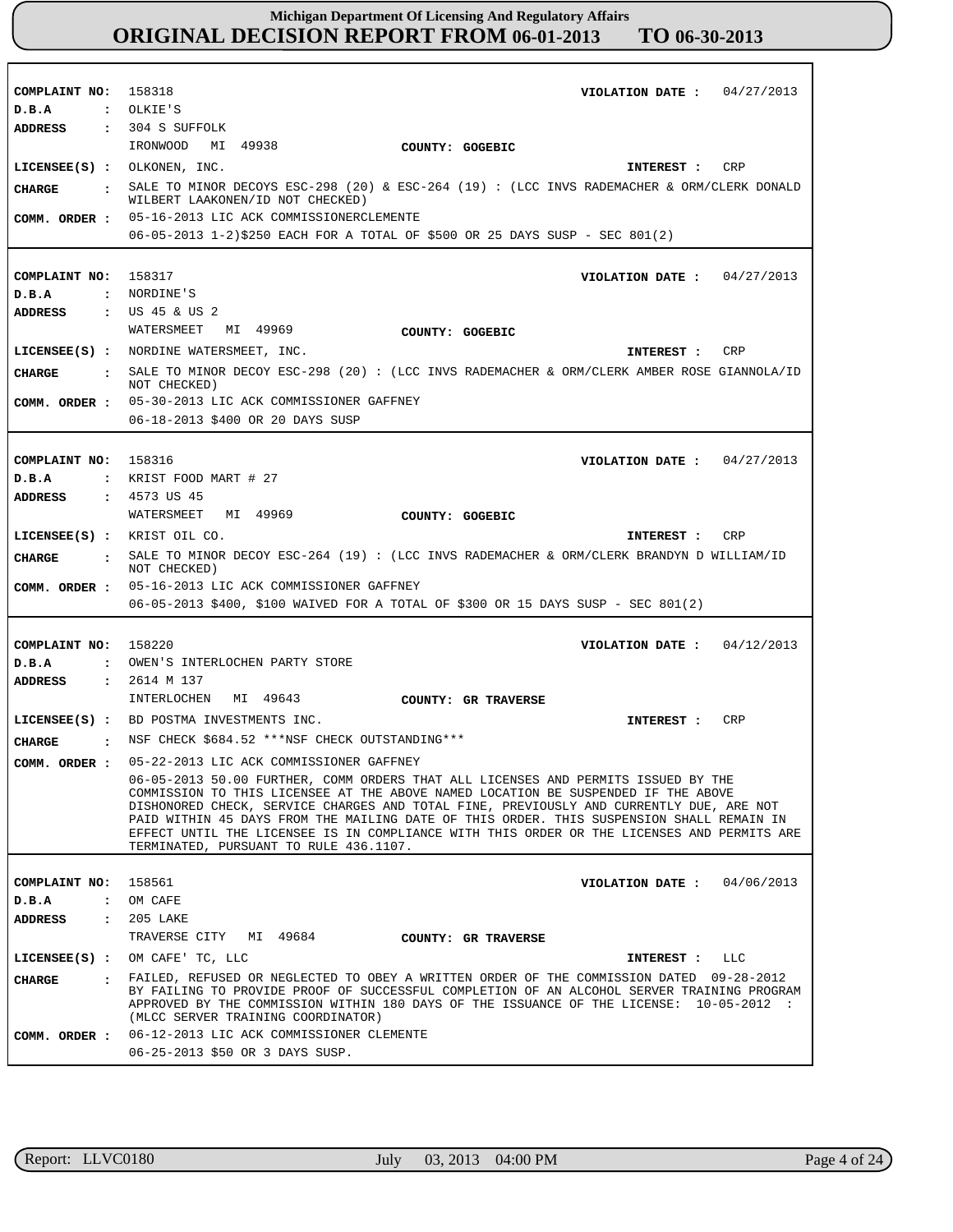| COMPLAINT NO:                           | 158318<br>04/27/2013<br>VIOLATION DATE :                                                                                                                               |
|-----------------------------------------|------------------------------------------------------------------------------------------------------------------------------------------------------------------------|
| D.B.A                                   | : OLKIE'S                                                                                                                                                              |
| <b>ADDRESS</b>                          | $: 304$ S SUFFOLK                                                                                                                                                      |
|                                         | IRONWOOD<br>MI 49938<br>COUNTY: GOGEBIC                                                                                                                                |
| LICENSEE(S) : OLKONEN, INC.             | CRP<br>INTEREST :                                                                                                                                                      |
| <b>CHARGE</b><br>$\ddot{\cdot}$         | SALE TO MINOR DECOYS ESC-298 (20) & ESC-264 (19) : (LCC INVS RADEMACHER & ORM/CLERK DONALD                                                                             |
|                                         | WILBERT LAAKONEN/ID NOT CHECKED)                                                                                                                                       |
| COMM. ORDER :                           | 05-16-2013 LIC ACK COMMISSIONERCLEMENTE                                                                                                                                |
|                                         | 06-05-2013 1-2)\$250 EACH FOR A TOTAL OF \$500 OR 25 DAYS SUSP - SEC 801(2)                                                                                            |
|                                         |                                                                                                                                                                        |
| COMPLAINT NO:                           | 158317<br>VIOLATION DATE: $04/27/2013$                                                                                                                                 |
| D.B.A                                   | : NORDINE'S                                                                                                                                                            |
| <b>ADDRESS</b>                          | : US 45 & US 2                                                                                                                                                         |
|                                         | MI 49969<br>WATERSMEET<br>COUNTY: GOGEBIC                                                                                                                              |
|                                         | LICENSEE(S) : NORDINE WATERSMEET, INC.<br>CRP<br>INTEREST :                                                                                                            |
| <b>CHARGE</b><br>$\ddot{\phantom{a}}$   | SALE TO MINOR DECOY ESC-298 (20): (LCC INVS RADEMACHER & ORM/CLERK AMBER ROSE GIANNOLA/ID                                                                              |
|                                         | NOT CHECKED)                                                                                                                                                           |
| COMM. ORDER :                           | 05-30-2013 LIC ACK COMMISSIONER GAFFNEY                                                                                                                                |
|                                         | 06-18-2013 \$400 OR 20 DAYS SUSP                                                                                                                                       |
|                                         |                                                                                                                                                                        |
| COMPLAINT NO: 158316                    | VIOLATION DATE: $04/27/2013$                                                                                                                                           |
| D.B.A<br>$\mathbf{r}$                   | KRIST FOOD MART # 27                                                                                                                                                   |
| <b>ADDRESS</b><br>$\mathbf{r}$          | 4573 US 45                                                                                                                                                             |
|                                         | WATERSMEET<br>MI 49969<br>COUNTY: GOGEBIC                                                                                                                              |
| LICENSEE(S) : KRIST OIL CO.             | CRP<br>INTEREST :                                                                                                                                                      |
| <b>CHARGE</b><br>$\cdot$                | SALE TO MINOR DECOY ESC-264 (19) : (LCC INVS RADEMACHER & ORM/CLERK BRANDYN D WILLIAM/ID                                                                               |
|                                         |                                                                                                                                                                        |
|                                         | NOT CHECKED)                                                                                                                                                           |
| COMM. ORDER :                           | 05-16-2013 LIC ACK COMMISSIONER GAFFNEY                                                                                                                                |
|                                         | 06-05-2013 \$400, \$100 WAIVED FOR A TOTAL OF \$300 OR 15 DAYS SUSP - SEC 801(2)                                                                                       |
|                                         |                                                                                                                                                                        |
| COMPLAINT NO:<br>$\mathbf{r}$           | 158220<br>VIOLATION DATE :<br>04/12/2013<br>OWEN'S INTERLOCHEN PARTY STORE                                                                                             |
| D.B.A<br><b>ADDRESS</b><br>$\mathbf{z}$ | 2614 M 137                                                                                                                                                             |
|                                         | INTERLOCHEN<br>MI 49643                                                                                                                                                |
|                                         | COUNTY: GR TRAVERSE                                                                                                                                                    |
|                                         | <b>CRP</b><br>LICENSEE(S) : BD POSTMA INVESTMENTS INC.<br>INTEREST :                                                                                                   |
| <b>CHARGE</b><br>$\cdot$                | NSF CHECK \$684.52 ***NSF CHECK OUTSTANDING***                                                                                                                         |
| COMM. ORDER :                           | 05-22-2013 LIC ACK COMMISSIONER GAFFNEY                                                                                                                                |
|                                         | 06-05-2013 50.00 FURTHER, COMM ORDERS THAT ALL LICENSES AND PERMITS ISSUED BY THE<br>COMMISSION TO THIS LICENSEE AT THE ABOVE NAMED LOCATION BE SUSPENDED IF THE ABOVE |
|                                         | DISHONORED CHECK, SERVICE CHARGES AND TOTAL FINE, PREVIOUSLY AND CURRENTLY DUE, ARE NOT                                                                                |
|                                         | PAID WITHIN 45 DAYS FROM THE MAILING DATE OF THIS ORDER. THIS SUSPENSION SHALL REMAIN IN                                                                               |
|                                         | EFFECT UNTIL THE LICENSEE IS IN COMPLIANCE WITH THIS ORDER OR THE LICENSES AND PERMITS ARE<br>TERMINATED, PURSUANT TO RULE 436.1107.                                   |
|                                         |                                                                                                                                                                        |
| COMPLAINT NO:                           | 158561<br>VIOLATION DATE: $04/06/2013$                                                                                                                                 |
| D.B.A<br>$\ddot{\cdot}$                 | OM CAFE                                                                                                                                                                |
| ADDRESS<br>$\ddot{\cdot}$               | 205 LAKE                                                                                                                                                               |
|                                         | TRAVERSE CITY MI 49684<br>COUNTY: GR TRAVERSE                                                                                                                          |
| $LICENSEE(S)$ :                         | OM CAFE' TC, LLC<br>INTEREST :<br>LLC                                                                                                                                  |
| CHARGE<br>$\mathbf{r}$                  | FAILED, REFUSED OR NEGLECTED TO OBEY A WRITTEN ORDER OF THE COMMISSION DATED 09-28-2012                                                                                |
|                                         | BY FAILING TO PROVIDE PROOF OF SUCCESSFUL COMPLETION OF AN ALCOHOL SERVER TRAINING PROGRAM                                                                             |
|                                         | APPROVED BY THE COMMISSION WITHIN 180 DAYS OF THE ISSUANCE OF THE LICENSE: 10-05-2012 :<br>(MLCC SERVER TRAINING COORDINATOR)                                          |
| COMM. ORDER :                           | 06-12-2013 LIC ACK COMMISSIONER CLEMENTE                                                                                                                               |

٦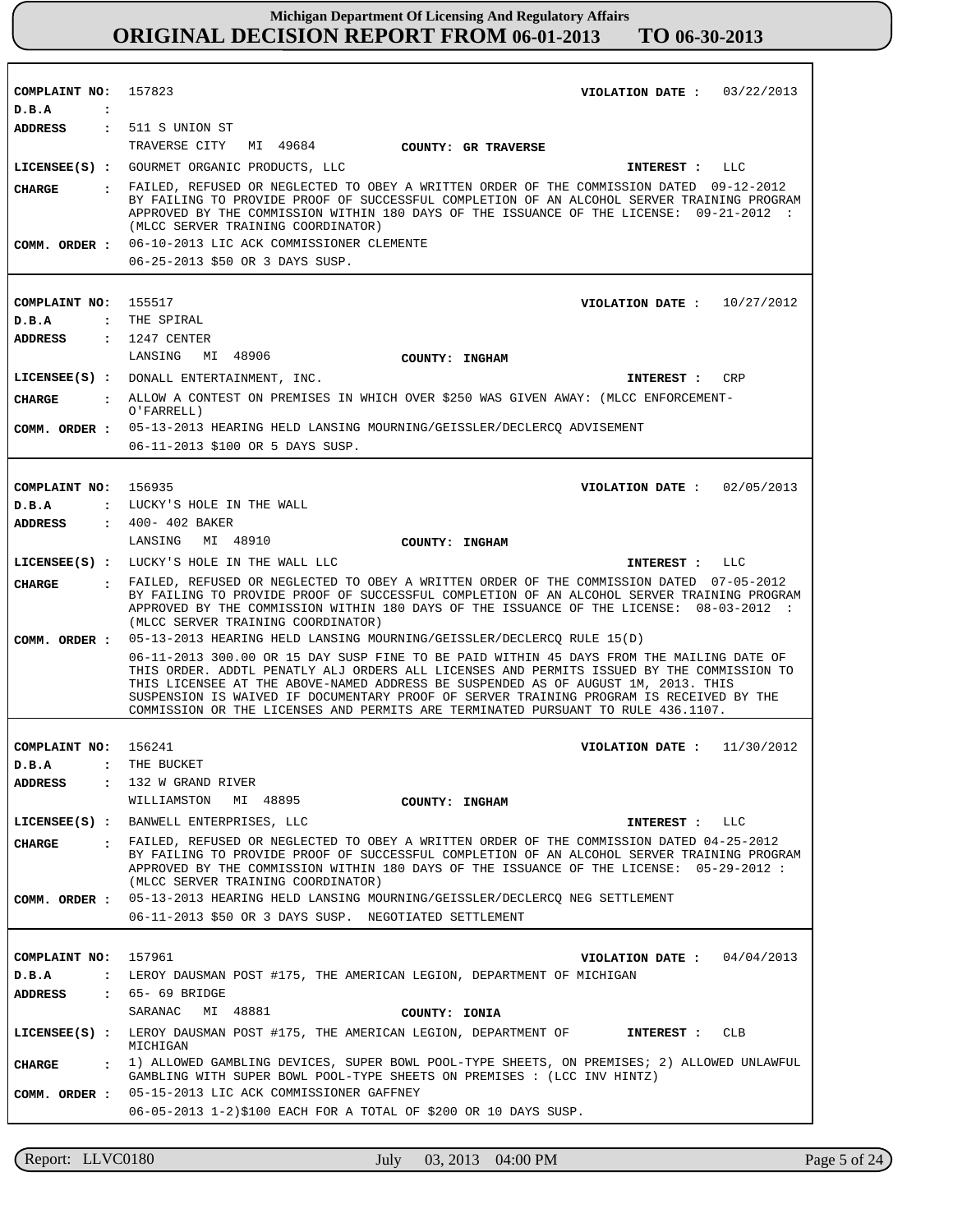| COMPLAINT NO:                  | 157823<br>VIOLATION DATE: $03/22/2013$                                                                                                                                                                                      |
|--------------------------------|-----------------------------------------------------------------------------------------------------------------------------------------------------------------------------------------------------------------------------|
| D.B.A<br>$\ddot{\phantom{a}}$  | ADDRESS : 511 S UNION ST                                                                                                                                                                                                    |
|                                | TRAVERSE CITY<br>MI 49684 COUNTY: GR TRAVERSE                                                                                                                                                                               |
|                                | LICENSEE(S) : GOURMET ORGANIC PRODUCTS, LLC<br>INTEREST : LLC                                                                                                                                                               |
|                                | : FAILED, REFUSED OR NEGLECTED TO OBEY A WRITTEN ORDER OF THE COMMISSION DATED 09-12-2012                                                                                                                                   |
| CHARGE                         | BY FAILING TO PROVIDE PROOF OF SUCCESSFUL COMPLETION OF AN ALCOHOL SERVER TRAINING PROGRAM                                                                                                                                  |
|                                | APPROVED BY THE COMMISSION WITHIN 180 DAYS OF THE ISSUANCE OF THE LICENSE: 09-21-2012 :<br>(MLCC SERVER TRAINING COORDINATOR)                                                                                               |
|                                | COMM. ORDER: 06-10-2013 LIC ACK COMMISSIONER CLEMENTE                                                                                                                                                                       |
|                                | 06-25-2013 \$50 OR 3 DAYS SUSP.                                                                                                                                                                                             |
|                                |                                                                                                                                                                                                                             |
| COMPLAINT NO: 155517           | VIOLATION DATE: $10/27/2012$                                                                                                                                                                                                |
| D.B.A                          | : THE SPIRAL                                                                                                                                                                                                                |
| ADDRESS                        | $: 1247$ CENTER                                                                                                                                                                                                             |
|                                | LANSING<br>MI 48906<br><b>COUNTY: INGHAM</b>                                                                                                                                                                                |
|                                | LICENSEE(S) : DONALL ENTERTAINMENT, INC.<br>INTEREST : CRP                                                                                                                                                                  |
| CHARGE                         | : ALLOW A CONTEST ON PREMISES IN WHICH OVER \$250 WAS GIVEN AWAY: (MLCC ENFORCEMENT-                                                                                                                                        |
|                                | O'FARRELL)<br>COMM. ORDER: 05-13-2013 HEARING HELD LANSING MOURNING/GEISSLER/DECLERCQ ADVISEMENT                                                                                                                            |
|                                | 06-11-2013 \$100 OR 5 DAYS SUSP.                                                                                                                                                                                            |
|                                |                                                                                                                                                                                                                             |
| COMPLAINT NO: 156935           | VIOLATION DATE: 02/05/2013                                                                                                                                                                                                  |
| D.B.A                          | : LUCKY'S HOLE IN THE WALL                                                                                                                                                                                                  |
| ADDRESS                        | : 400- 402 BAKER                                                                                                                                                                                                            |
|                                | LANSING MI 48910<br><b>COUNTY: INGHAM</b>                                                                                                                                                                                   |
|                                | LICENSEE(S) : LUCKY'S HOLE IN THE WALL LLC<br>INTEREST : LLC                                                                                                                                                                |
| <b>CHARGE</b>                  | . FAILED, REFUSED OR NEGLECTED TO OBEY A WRITTEN ORDER OF THE COMMISSION DATED 07-05-2012                                                                                                                                   |
|                                | BY FAILING TO PROVIDE PROOF OF SUCCESSFUL COMPLETION OF AN ALCOHOL SERVER TRAINING PROGRAM<br>APPROVED BY THE COMMISSION WITHIN 180 DAYS OF THE ISSUANCE OF THE LICENSE: 08-03-2012 :<br>(MLCC SERVER TRAINING COORDINATOR) |
| COMM. ORDER :                  | 05-13-2013 HEARING HELD LANSING MOURNING/GEISSLER/DECLERCQ RULE 15(D)                                                                                                                                                       |
|                                | 06-11-2013 300.00 OR 15 DAY SUSP FINE TO BE PAID WITHIN 45 DAYS FROM THE MAILING DATE OF                                                                                                                                    |
|                                | THIS ORDER. ADDTL PENATLY ALJ ORDERS ALL LICENSES AND PERMITS ISSUED BY THE COMMISSION TO<br>THIS LICENSEE AT THE ABOVE-NAMED ADDRESS BE SUSPENDED AS OF AUGUST 1M, 2013. THIS                                              |
|                                | SUSPENSION IS WAIVED IF DOCUMENTARY PROOF OF SERVER TRAINING PROGRAM IS RECEIVED BY THE                                                                                                                                     |
|                                | COMMISSION OR THE LICENSES AND PERMITS ARE TERMINATED PURSUANT TO RULE 436.1107.                                                                                                                                            |
| COMPLAINT NO: 156241           | VIOLATION DATE: $11/30/2012$                                                                                                                                                                                                |
| D.B.A                          | : THE BUCKET                                                                                                                                                                                                                |
| <b>ADDRESS</b><br>$\mathbf{r}$ | 132 W GRAND RIVER                                                                                                                                                                                                           |
|                                | WILLIAMSTON<br>MI 48895<br>COUNTY: INGHAM                                                                                                                                                                                   |
|                                | LICENSEE(S) : BANWELL ENTERPRISES, LLC<br>INTEREST : LLC                                                                                                                                                                    |
| <b>CHARGE</b>                  | . FAILED, REFUSED OR NEGLECTED TO OBEY A WRITTEN ORDER OF THE COMMISSION DATED 04-25-2012                                                                                                                                   |
|                                | BY FAILING TO PROVIDE PROOF OF SUCCESSFUL COMPLETION OF AN ALCOHOL SERVER TRAINING PROGRAM<br>APPROVED BY THE COMMISSION WITHIN 180 DAYS OF THE ISSUANCE OF THE LICENSE: 05-29-2012 :<br>(MLCC SERVER TRAINING COORDINATOR) |
| COMM. ORDER :                  | 05-13-2013 HEARING HELD LANSING MOURNING/GEISSLER/DECLERCQ NEG SETTLEMENT                                                                                                                                                   |
|                                | 06-11-2013 \$50 OR 3 DAYS SUSP. NEGOTIATED SETTLEMENT                                                                                                                                                                       |
|                                |                                                                                                                                                                                                                             |
| COMPLAINT NO:                  | 157961<br>VIOLATION DATE: $04/04/2013$                                                                                                                                                                                      |
| D.B.A                          | : LEROY DAUSMAN POST #175, THE AMERICAN LEGION, DEPARTMENT OF MICHIGAN                                                                                                                                                      |
| ADDRESS                        | : 65- 69 BRIDGE                                                                                                                                                                                                             |
|                                | MI 48881<br>SARANAC<br>COUNTY: IONIA                                                                                                                                                                                        |
|                                | LICENSEE(S) : LEROY DAUSMAN POST #175, THE AMERICAN LEGION, DEPARTMENT OF<br>CLB<br>INTEREST :<br>MICHIGAN                                                                                                                  |
| <b>CHARGE</b><br>$\mathbf{r}$  | 1) ALLOWED GAMBLING DEVICES, SUPER BOWL POOL-TYPE SHEETS, ON PREMISES; 2) ALLOWED UNLAWFUL                                                                                                                                  |
|                                | GAMBLING WITH SUPER BOWL POOL-TYPE SHEETS ON PREMISES : (LCC INV HINTZ)<br>COMM. ORDER : 05-15-2013 LIC ACK COMMISSIONER GAFFNEY                                                                                            |
|                                | 06-05-2013 1-2)\$100 EACH FOR A TOTAL OF \$200 OR 10 DAYS SUSP.                                                                                                                                                             |
|                                |                                                                                                                                                                                                                             |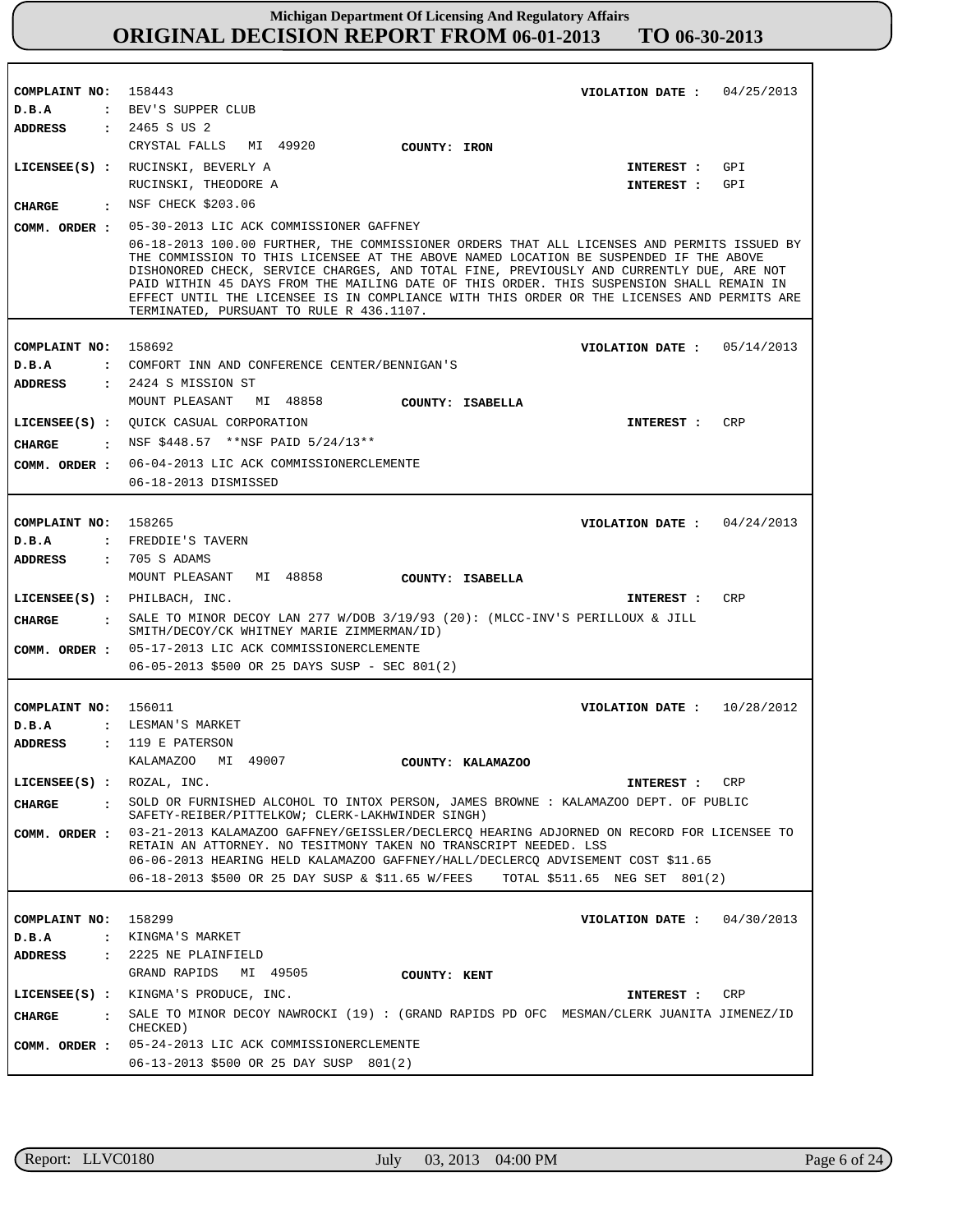| COMPLAINT NO: 158443                           | VIOLATION DATE: $04/25/2013$                                                                                                                                                                                                                                                                                                                                                                                                                                                                                          |
|------------------------------------------------|-----------------------------------------------------------------------------------------------------------------------------------------------------------------------------------------------------------------------------------------------------------------------------------------------------------------------------------------------------------------------------------------------------------------------------------------------------------------------------------------------------------------------|
| D.B.A                                          | : BEV'S SUPPER CLUB                                                                                                                                                                                                                                                                                                                                                                                                                                                                                                   |
| ADDRESS                                        | : 2465 S US 2                                                                                                                                                                                                                                                                                                                                                                                                                                                                                                         |
|                                                | CRYSTAL FALLS MI 49920<br>COUNTY: IRON                                                                                                                                                                                                                                                                                                                                                                                                                                                                                |
|                                                | LICENSEE(S) : RUCINSKI, BEVERLY A<br>INTEREST : GPI                                                                                                                                                                                                                                                                                                                                                                                                                                                                   |
|                                                | RUCINSKI, THEODORE A<br>GPI<br>INTEREST :                                                                                                                                                                                                                                                                                                                                                                                                                                                                             |
| CIIARGE                                        | : NSF CHECK \$203.06                                                                                                                                                                                                                                                                                                                                                                                                                                                                                                  |
| COMM. ORDER :                                  | 05-30-2013 LIC ACK COMMISSIONER GAFFNEY                                                                                                                                                                                                                                                                                                                                                                                                                                                                               |
|                                                | 06-18-2013 100.00 FURTHER, THE COMMISSIONER ORDERS THAT ALL LICENSES AND PERMITS ISSUED BY<br>THE COMMISSION TO THIS LICENSEE AT THE ABOVE NAMED LOCATION BE SUSPENDED IF THE ABOVE<br>DISHONORED CHECK, SERVICE CHARGES, AND TOTAL FINE, PREVIOUSLY AND CURRENTLY DUE, ARE NOT<br>PAID WITHIN 45 DAYS FROM THE MAILING DATE OF THIS ORDER. THIS SUSPENSION SHALL REMAIN IN<br>EFFECT UNTIL THE LICENSEE IS IN COMPLIANCE WITH THIS ORDER OR THE LICENSES AND PERMITS ARE<br>TERMINATED, PURSUANT TO RULE R 436.1107. |
|                                                | 158692                                                                                                                                                                                                                                                                                                                                                                                                                                                                                                                |
| COMPLAINT NO:<br>D.B.A                         | VIOLATION DATE : $05/14/2013$<br>: COMFORT INN AND CONFERENCE CENTER/BENNIGAN'S                                                                                                                                                                                                                                                                                                                                                                                                                                       |
| ADDRESS                                        | $: 2424$ S MISSION ST                                                                                                                                                                                                                                                                                                                                                                                                                                                                                                 |
|                                                | MOUNT PLEASANT<br>MI 48858<br>COUNTY: ISABELLA                                                                                                                                                                                                                                                                                                                                                                                                                                                                        |
|                                                | LICENSEE(S) : QUICK CASUAL CORPORATION<br>CRP<br>INTEREST :                                                                                                                                                                                                                                                                                                                                                                                                                                                           |
|                                                | : NSF \$448.57 **NSF PAID 5/24/13**                                                                                                                                                                                                                                                                                                                                                                                                                                                                                   |
| CHARGE                                         |                                                                                                                                                                                                                                                                                                                                                                                                                                                                                                                       |
| COMM. ORDER :                                  | 06-04-2013 LIC ACK COMMISSIONERCLEMENTE<br>06-18-2013 DISMISSED                                                                                                                                                                                                                                                                                                                                                                                                                                                       |
|                                                |                                                                                                                                                                                                                                                                                                                                                                                                                                                                                                                       |
| COMPLAINT NO:                                  | 158265<br>VIOLATION DATE: $04/24/2013$                                                                                                                                                                                                                                                                                                                                                                                                                                                                                |
| D.B.A                                          | : FREDDIE'S TAVERN                                                                                                                                                                                                                                                                                                                                                                                                                                                                                                    |
| ADDRESS                                        | : 705 S ADAMS                                                                                                                                                                                                                                                                                                                                                                                                                                                                                                         |
|                                                |                                                                                                                                                                                                                                                                                                                                                                                                                                                                                                                       |
|                                                | MOUNT PLEASANT<br>MI 48858<br>COUNTY: ISABELLA                                                                                                                                                                                                                                                                                                                                                                                                                                                                        |
| $LICENSEE(S)$ : PHILBACH, INC.                 | CRP<br>INTEREST :                                                                                                                                                                                                                                                                                                                                                                                                                                                                                                     |
| CIIARGE                                        | : SALE TO MINOR DECOY LAN 277 W/DOB $3/19/93$ (20): (MLCC-INV'S PERILLOUX & JILL<br>SMITH/DECOY/CK WHITNEY MARIE ZIMMERMAN/ID)                                                                                                                                                                                                                                                                                                                                                                                        |
|                                                | COMM. ORDER : 05-17-2013 LIC ACK COMMISSIONERCLEMENTE                                                                                                                                                                                                                                                                                                                                                                                                                                                                 |
|                                                | 06-05-2013 \$500 OR 25 DAYS SUSP - SEC 801(2)                                                                                                                                                                                                                                                                                                                                                                                                                                                                         |
|                                                |                                                                                                                                                                                                                                                                                                                                                                                                                                                                                                                       |
| COMPLAINT NO: 156011                           | VIOLATION DATE: $10/28/2012$                                                                                                                                                                                                                                                                                                                                                                                                                                                                                          |
| D.B.A                                          | : LESMAN'S MARKET                                                                                                                                                                                                                                                                                                                                                                                                                                                                                                     |
| <b>ADDRESS</b>                                 | $:$ 119 E PATERSON                                                                                                                                                                                                                                                                                                                                                                                                                                                                                                    |
|                                                | KALAMAZOO<br>MI 49007<br>COUNTY: KALAMAZOO                                                                                                                                                                                                                                                                                                                                                                                                                                                                            |
| LICENSEE(S) : ROZAL, INC.                      | CRP<br>INTEREST :                                                                                                                                                                                                                                                                                                                                                                                                                                                                                                     |
| CHARGE                                         | SOLD OR FURNISHED ALCOHOL TO INTOX PERSON, JAMES BROWNE : KALAMAZOO DEPT. OF PUBLIC<br>SAFETY-REIBER/PITTELKOW; CLERK-LAKHWINDER SINGH)                                                                                                                                                                                                                                                                                                                                                                               |
| COMM. ORDER :                                  | 03-21-2013 KALAMAZOO GAFFNEY/GEISSLER/DECLERCO HEARING ADJORNED ON RECORD FOR LICENSEE TO<br>RETAIN AN ATTORNEY. NO TESITMONY TAKEN NO TRANSCRIPT NEEDED. LSS                                                                                                                                                                                                                                                                                                                                                         |
|                                                | 06-06-2013 HEARING HELD KALAMAZOO GAFFNEY/HALL/DECLERCQ ADVISEMENT COST \$11.65<br>06-18-2013 \$500 OR 25 DAY SUSP & \$11.65 W/FEES<br>TOTAL \$511.65 NEG SET 801(2)                                                                                                                                                                                                                                                                                                                                                  |
|                                                |                                                                                                                                                                                                                                                                                                                                                                                                                                                                                                                       |
| COMPLAINT NO:                                  | 158299                                                                                                                                                                                                                                                                                                                                                                                                                                                                                                                |
|                                                | VIOLATION DATE: $04/30/2013$                                                                                                                                                                                                                                                                                                                                                                                                                                                                                          |
| D.B.A                                          | : KINGMA'S MARKET<br>: 2225 NE PLAINFIELD                                                                                                                                                                                                                                                                                                                                                                                                                                                                             |
| <b>ADDRESS</b>                                 | GRAND RAPIDS MI 49505                                                                                                                                                                                                                                                                                                                                                                                                                                                                                                 |
|                                                | COUNTY: KENT                                                                                                                                                                                                                                                                                                                                                                                                                                                                                                          |
|                                                | LICENSEE(S) : KINGMA'S PRODUCE, INC.<br>CRP<br>INTEREST :                                                                                                                                                                                                                                                                                                                                                                                                                                                             |
| <b>CHARGE</b><br>$\mathbf{r}$<br>COMM. ORDER : | SALE TO MINOR DECOY NAWROCKI (19) : (GRAND RAPIDS PD OFC MESMAN/CLERK JUANITA JIMENEZ/ID<br>CHECKED)<br>05-24-2013 LIC ACK COMMISSIONERCLEMENTE                                                                                                                                                                                                                                                                                                                                                                       |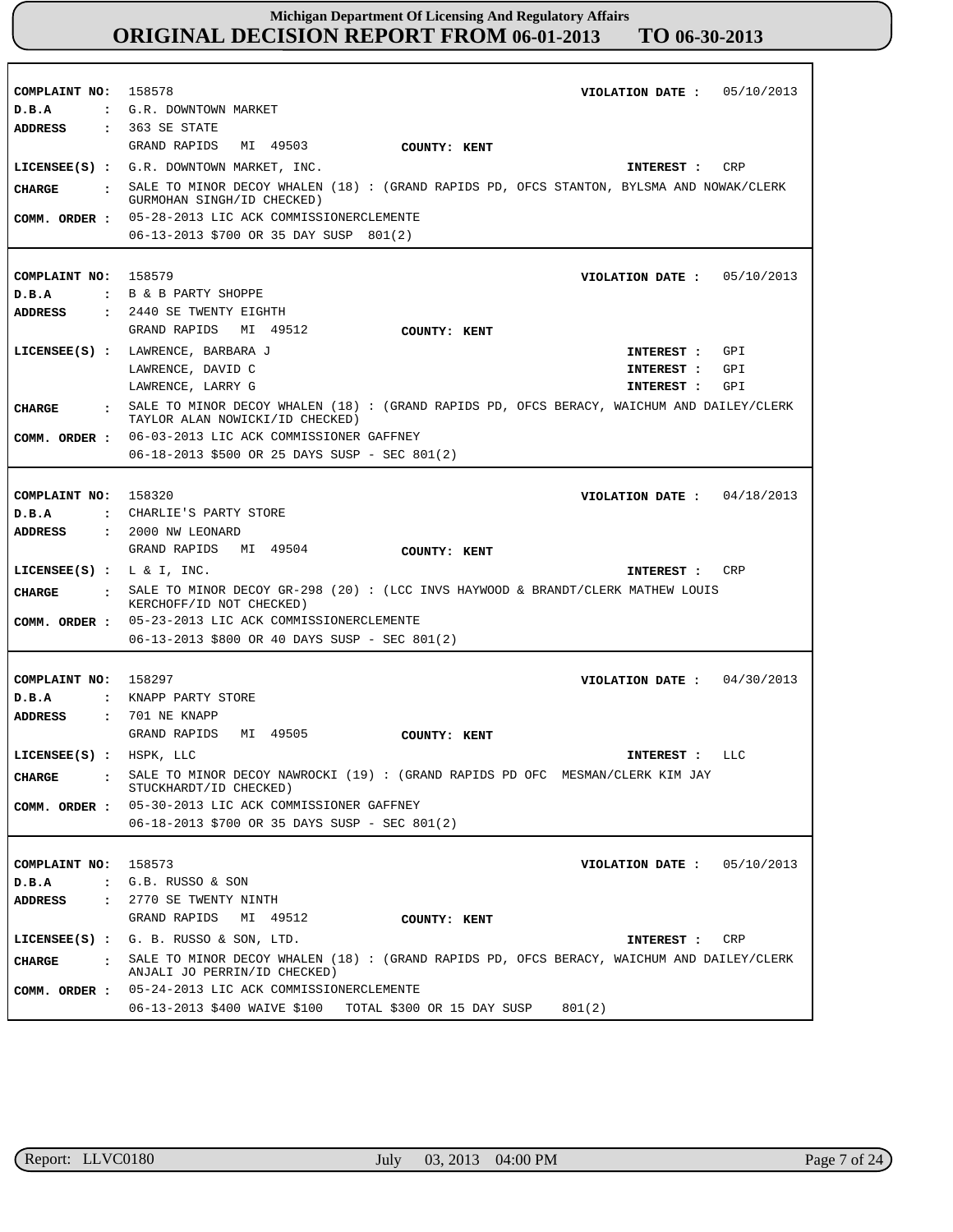| COMPLAINT NO: 158578                   | VIOLATION DATE: $05/10/2013$                                                                                                |
|----------------------------------------|-----------------------------------------------------------------------------------------------------------------------------|
| D.B.A                                  | : G.R. DOWNTOWN MARKET                                                                                                      |
| ADDRESS                                | $: 363$ SE STATE                                                                                                            |
|                                        | GRAND RAPIDS<br>MI 49503<br>COUNTY: KENT                                                                                    |
|                                        | LICENSEE(S) : G.R. DOWNTOWN MARKET, INC.<br>CRP<br>INTEREST :                                                               |
| CHARGE<br>$\sim$ 1.                    | SALE TO MINOR DECOY WHALEN (18) : (GRAND RAPIDS PD, OFCS STANTON, BYLSMA AND NOWAK/CLERK<br>GURMOHAN SINGH/ID CHECKED)      |
| COMM. ORDER :                          | 05-28-2013 LIC ACK COMMISSIONERCLEMENTE                                                                                     |
|                                        | 06-13-2013 \$700 OR 35 DAY SUSP 801(2)                                                                                      |
|                                        |                                                                                                                             |
| COMPLAINT NO: 158579                   | VIOLATION DATE: $05/10/2013$                                                                                                |
| D.B.A                                  | : B & B PARTY SHOPPE                                                                                                        |
| ADDRESS                                | : 2440 SE TWENTY EIGHTH                                                                                                     |
|                                        | GRAND RAPIDS MI 49512<br>COUNTY: KENT                                                                                       |
|                                        | LICENSEE(S) : LAWRENCE, BARBARA J<br>GPI<br>INTEREST :                                                                      |
|                                        | LAWRENCE, DAVID C<br>GPI<br>INTEREST :                                                                                      |
|                                        | LAWRENCE, LARRY G<br>GPI<br>INTEREST :                                                                                      |
| CHARGE<br>$\cdot$                      | SALE TO MINOR DECOY WHALEN (18): (GRAND RAPIDS PD, OFCS BERACY, WAICHUM AND DAILEY/CLERK<br>TAYLOR ALAN NOWICKI/ID CHECKED) |
| COMM. ORDER :                          | 06-03-2013 LIC ACK COMMISSIONER GAFFNEY                                                                                     |
|                                        | 06-18-2013 \$500 OR 25 DAYS SUSP - SEC 801(2)                                                                               |
|                                        |                                                                                                                             |
|                                        |                                                                                                                             |
| COMPLAINT NO: 158320                   | VIOLATION DATE: $04/18/2013$<br>: CHARLIE'S PARTY STORE                                                                     |
| D.B.A                                  |                                                                                                                             |
| ADDRESS                                | $: 2000$ NW LEONARD                                                                                                         |
|                                        | GRAND RAPIDS<br>MI 49504<br>COUNTY: KENT                                                                                    |
|                                        |                                                                                                                             |
| LICENSEE(S) : $L \& I$ , INC.          | CRP<br>INTEREST :                                                                                                           |
| <b>CHARGE</b><br>$\sim$ 100 $\pm$      | SALE TO MINOR DECOY GR-298 (20): (LCC INVS HAYWOOD & BRANDT/CLERK MATHEW LOUIS<br>KERCHOFF/ID NOT CHECKED)                  |
| COMM. ORDER :                          | 05-23-2013 LIC ACK COMMISSIONERCLEMENTE                                                                                     |
|                                        | 06-13-2013 \$800 OR 40 DAYS SUSP - SEC 801(2)                                                                               |
|                                        |                                                                                                                             |
| COMPLAINT NO: 158297                   | VIOLATION DATE: $04/30/2013$                                                                                                |
| D.B.A                                  | : KNAPP PARTY STORE                                                                                                         |
| <b>ADDRESS</b>                         | $: 701$ NE KNAPP                                                                                                            |
|                                        | GRAND RAPIDS<br>MI 49505<br>COUNTY: KENT                                                                                    |
| LICENSEE(S) : HSPK, LLC                | INTEREST : LLC                                                                                                              |
| <b>CHARGE</b>                          | SALE TO MINOR DECOY NAWROCKI (19) : (GRAND RAPIDS PD OFC MESMAN/CLERK KIM JAY<br>STUCKHARDT/ID CHECKED)                     |
| COMM. ORDER :                          | 05-30-2013 LIC ACK COMMISSIONER GAFFNEY                                                                                     |
|                                        | 06-18-2013 \$700 OR 35 DAYS SUSP - SEC 801(2)                                                                               |
|                                        |                                                                                                                             |
| COMPLAINT NO:                          | 158573<br>VIOLATION DATE :<br>05/10/2013                                                                                    |
| D.B.A                                  | : G.B. RUSSO & SON                                                                                                          |
| <b>ADDRESS</b><br>$\ddot{\phantom{a}}$ | 2770 SE TWENTY NINTH                                                                                                        |
|                                        | GRAND RAPIDS<br>MI 49512<br>COUNTY: KENT                                                                                    |
|                                        | LICENSEE $(S)$ : G. B. RUSSO & SON, LTD.<br>CRP<br>INTEREST :                                                               |
|                                        | SALE TO MINOR DECOY WHALEN (18): (GRAND RAPIDS PD, OFCS BERACY, WAICHUM AND DAILEY/CLERK                                    |
| <b>CHARGE</b><br>$\sim$ $\sim$         | ANJALI JO PERRIN/ID CHECKED)                                                                                                |
| COMM. ORDER :                          | 05-24-2013 LIC ACK COMMISSIONERCLEMENTE<br>06-13-2013 \$400 WAIVE \$100 TOTAL \$300 OR 15 DAY SUSP<br>801(2)                |

r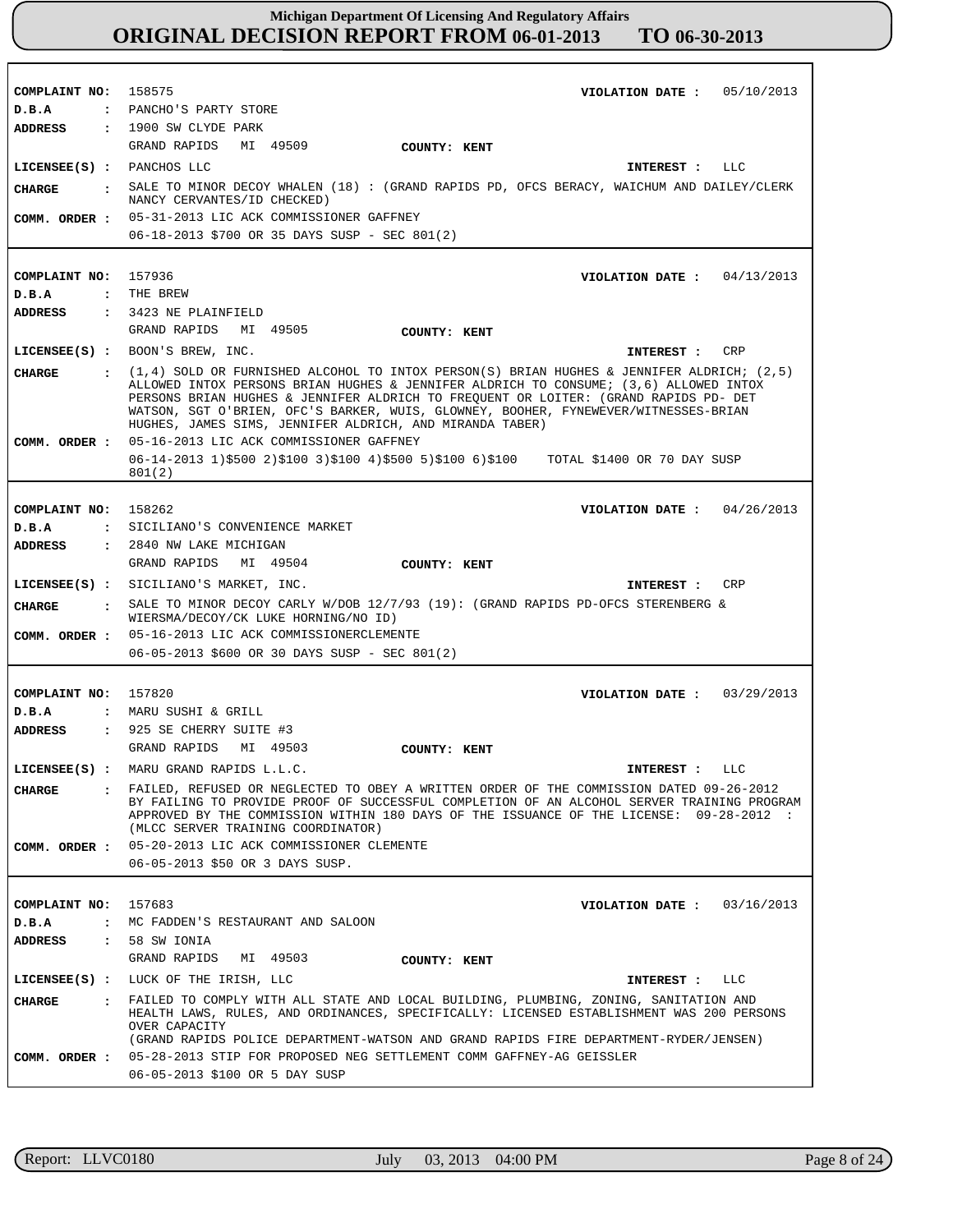**COMPLAINT NO: COMPLAINT NO:** 157936 **COMPLAINT NO: COMPLAINT NO:** 157820 **COMPLAINT NO:** 158575 158262 157683 **VIOLATION DATE : VIOLATION DATE : VIOLATION DATE : VIOLATION DATE :** 03/29/2013 **VIOLATION DATE :** 05/10/2013 04/13/2013 04/26/2013 03/16/2013 **D.B.A : D.B.A : D.B.A : D.B.A : D.B.A :** PANCHO'S PARTY STORE THE BREW SICILIANO'S CONVENIENCE MARKET MARU SUSHI & GRILL MC FADDEN'S RESTAURANT AND SALOON **ADDRESS : ADDRESS : ADDRESS : ADDRESS : ADDRESS :** 1900 SW CLYDE PARK 3423 NE PLAINFIELD 2840 NW LAKE MICHIGAN 925 SE CHERRY SUITE #3 58 SW IONIA GRAND RAPIDS MI 49509 GRAND RAPIDS MI 49505 GRAND RAPIDS MI 49504 GRAND RAPIDS MI 49503 GRAND RAPIDS MI 49503 05-31-2013 LIC ACK COMMISSIONER GAFFNEY 06-18-2013 \$700 OR 35 DAYS SUSP - SEC 801(2) 05-16-2013 LIC ACK COMMISSIONER GAFFNEY 06-14-2013 1)\$500 2)\$100 3)\$100 4)\$500 5)\$100 6)\$100 TOTAL \$1400 OR 70 DAY SUSP 801(2) 05-16-2013 LIC ACK COMMISSIONERCLEMENTE 06-05-2013 \$600 OR 30 DAYS SUSP - SEC 801(2) 05-20-2013 LIC ACK COMMISSIONER CLEMENTE 06-05-2013 \$50 OR 3 DAYS SUSP. 05-28-2013 STIP FOR PROPOSED NEG SETTLEMENT COMM GAFFNEY-AG GEISSLER **COMM. ORDER :** 06-05-2013 \$100 OR 5 DAY SUSP **LICENSEE(S) :** PANCHOS LLC **LICENSEE(S) :** BOON'S BREW, INC. **LICENSEE(S) :** SICILIANO'S MARKET, INC. **LICENSEE(S) :** MARU GRAND RAPIDS L.L.C. **LICENSEE(S) :** LUCK OF THE IRISH, LLC LLC CRP CRP LLC LLC **CHARGE : CHARGE : CHARGE : CHARGE : CHARGE :** SALE TO MINOR DECOY WHALEN (18) : (GRAND RAPIDS PD, OFCS BERACY, WAICHUM AND DAILEY/CLERK NANCY CERVANTES/ID CHECKED) (1,4) SOLD OR FURNISHED ALCOHOL TO INTOX PERSON(S) BRIAN HUGHES & JENNIFER ALDRICH; (2,5) ALLOWED INTOX PERSONS BRIAN HUGHES & JENNIFER ALDRICH TO CONSUME; (3,6) ALLOWED INTOX PERSONS BRIAN HUGHES & JENNIFER ALDRICH TO FREQUENT OR LOITER: (GRAND RAPIDS PD- DET WATSON, SGT O'BRIEN, OFC'S BARKER, WUIS, GLOWNEY, BOOHER, FYNEWEVER/WITNESSES-BRIAN HUGHES, JAMES SIMS, JENNIFER ALDRICH, AND MIRANDA TABER) SALE TO MINOR DECOY CARLY W/DOB 12/7/93 (19): (GRAND RAPIDS PD-OFCS STERENBERG & WIERSMA/DECOY/CK LUKE HORNING/NO ID) FAILED, REFUSED OR NEGLECTED TO OBEY A WRITTEN ORDER OF THE COMMISSION DATED 09-26-2012 BY FAILING TO PROVIDE PROOF OF SUCCESSFUL COMPLETION OF AN ALCOHOL SERVER TRAINING PROGRAM APPROVED BY THE COMMISSION WITHIN 180 DAYS OF THE ISSUANCE OF THE LICENSE: 09-28-2012 : (MLCC SERVER TRAINING COORDINATOR) FAILED TO COMPLY WITH ALL STATE AND LOCAL BUILDING, PLUMBING, ZONING, SANITATION AND HEALTH LAWS, RULES, AND ORDINANCES, SPECIFICALLY: LICENSED ESTABLISHMENT WAS 200 PERSONS OVER CAPACITY (GRAND RAPIDS POLICE DEPARTMENT-WATSON AND GRAND RAPIDS FIRE DEPARTMENT-RYDER/JENSEN) **INTEREST : INTEREST : INTEREST : INTEREST : INTEREST : COMM. ORDER : COMM. ORDER : COMM. ORDER : COMM. ORDER : COUNTY: KENT COUNTY: KENT COUNTY: KENT COUNTY: KENT COUNTY: KENT**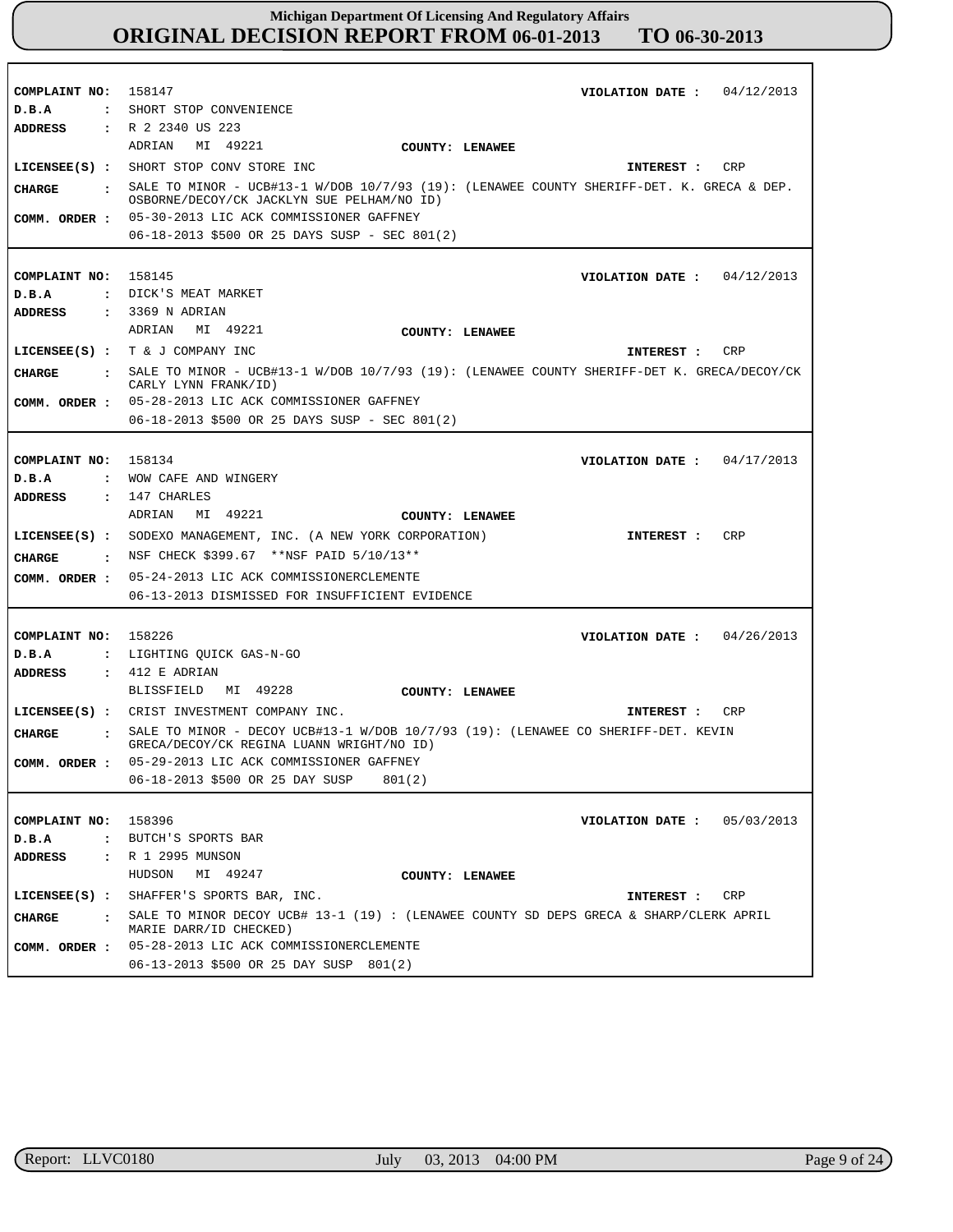| COMPLAINT NO: 158147<br>D.B.A<br><b>ADDRESS</b> | VIOLATION DATE: $04/12/2013$<br>: SHORT STOP CONVENIENCE<br>: R 2 2340 US 223                                                                                                                                                         |
|-------------------------------------------------|---------------------------------------------------------------------------------------------------------------------------------------------------------------------------------------------------------------------------------------|
|                                                 | ADRIAN MI 49221<br>COUNTY: LENAWEE<br>LICENSEE(S) : SHORT STOP CONV STORE INC<br>CRP<br>INTEREST :                                                                                                                                    |
| CHARGE<br>COMM. ORDER :                         | : SALE TO MINOR - UCB#13-1 W/DOB 10/7/93 (19): (LENAWEE COUNTY SHERIFF-DET. K. GRECA & DEP.<br>OSBORNE/DECOY/CK JACKLYN SUE PELHAM/NO ID)<br>05-30-2013 LIC ACK COMMISSIONER GAFFNEY<br>06-18-2013 \$500 OR 25 DAYS SUSP - SEC 801(2) |
|                                                 |                                                                                                                                                                                                                                       |
| COMPLAINT NO: 158145                            | VIOLATION DATE: $04/12/2013$                                                                                                                                                                                                          |
| D.B.A                                           | : DICK'S MEAT MARKET                                                                                                                                                                                                                  |
| ADDRESS                                         | $: 3369$ N ADRIAN                                                                                                                                                                                                                     |
|                                                 | ADRIAN MI 49221<br>COUNTY: LENAWEE                                                                                                                                                                                                    |
|                                                 | LICENSEE(S) : $T \& J$ COMPANY INC<br>CRP<br>INTEREST :                                                                                                                                                                               |
| CHARGE                                          | : SALE TO MINOR - UCB#13-1 W/DOB 10/7/93 (19): (LENAWEE COUNTY SHERIFF-DET K. GRECA/DECOY/CK<br>CARLY LYNN FRANK/ID)                                                                                                                  |
|                                                 | COMM. ORDER : 05-28-2013 LIC ACK COMMISSIONER GAFFNEY                                                                                                                                                                                 |
|                                                 | 06-18-2013 \$500 OR 25 DAYS SUSP - SEC 801(2)                                                                                                                                                                                         |
|                                                 |                                                                                                                                                                                                                                       |
| COMPLAINT NO: 158134                            | VIOLATION DATE : $04/17/2013$                                                                                                                                                                                                         |
| D.B.A                                           | : WOW CAFE AND WINGERY                                                                                                                                                                                                                |
| <b>ADDRESS</b>                                  | $: 147$ CHARLES<br>MI 49221<br>ADRIAN                                                                                                                                                                                                 |
|                                                 | COUNTY: LENAWEE<br><b>CRP</b>                                                                                                                                                                                                         |
|                                                 | LICENSEE(S) : SODEXO MANAGEMENT, INC. (A NEW YORK CORPORATION)<br>INTEREST :                                                                                                                                                          |
|                                                 | <b>CHARGE</b> : NSF CHECK \$399.67 **NSF PAID $5/10/13**$                                                                                                                                                                             |
| COMM. ORDER :                                   | 05-24-2013 LIC ACK COMMISSIONERCLEMENTE                                                                                                                                                                                               |
|                                                 | 06-13-2013 DISMISSED FOR INSUFFICIENT EVIDENCE                                                                                                                                                                                        |
| COMPLAINT NO: 158226                            |                                                                                                                                                                                                                                       |
| D.B.A                                           | VIOLATION DATE: $04/26/2013$<br>: LIGHTING QUICK GAS-N-GO                                                                                                                                                                             |
| ADDRESS                                         | $\,$ : 412 E ADRIAN                                                                                                                                                                                                                   |
|                                                 | BLISSFIELD MI 49228<br>COUNTY: LENAWEE                                                                                                                                                                                                |
|                                                 | LICENSEE(S) : CRIST INVESTMENT COMPANY INC.<br>CRP<br>INTEREST :                                                                                                                                                                      |
| CHARGE                                          | : SALE TO MINOR - DECOY UCB#13-1 W/DOB 10/7/93 (19): (LENAWEE CO SHERIFF-DET. KEVIN                                                                                                                                                   |
|                                                 | GRECA/DECOY/CK REGINA LUANN WRIGHT/NO ID)                                                                                                                                                                                             |
| COMM. ORDER :                                   | 05-29-2013 LIC ACK COMMISSIONER GAFFNEY                                                                                                                                                                                               |
|                                                 | 06-18-2013 \$500 OR 25 DAY SUSP<br>801(2)                                                                                                                                                                                             |
|                                                 |                                                                                                                                                                                                                                       |
| COMPLAINT NO: 158396<br>D.B.A                   | VIOLATION DATE: $05/03/2013$<br>: BUTCH'S SPORTS BAR                                                                                                                                                                                  |
| ADDRESS                                         | : R 1 2995 MUNSON                                                                                                                                                                                                                     |
|                                                 | HUDSON<br>MI 49247<br>COUNTY: LENAWEE                                                                                                                                                                                                 |
|                                                 | LICENSEE(S) : SHAFFER'S SPORTS BAR, INC.<br>INTEREST : CRP                                                                                                                                                                            |
| CHARGE<br>$\mathbf{r}$                          | SALE TO MINOR DECOY UCB# 13-1 (19) : (LENAWEE COUNTY SD DEPS GRECA & SHARP/CLERK APRIL                                                                                                                                                |
|                                                 | MARIE DARR/ID CHECKED)                                                                                                                                                                                                                |
| COMM. ORDER :                                   | 05-28-2013 LIC ACK COMMISSIONERCLEMENTE                                                                                                                                                                                               |
|                                                 | 06-13-2013 \$500 OR 25 DAY SUSP 801(2)                                                                                                                                                                                                |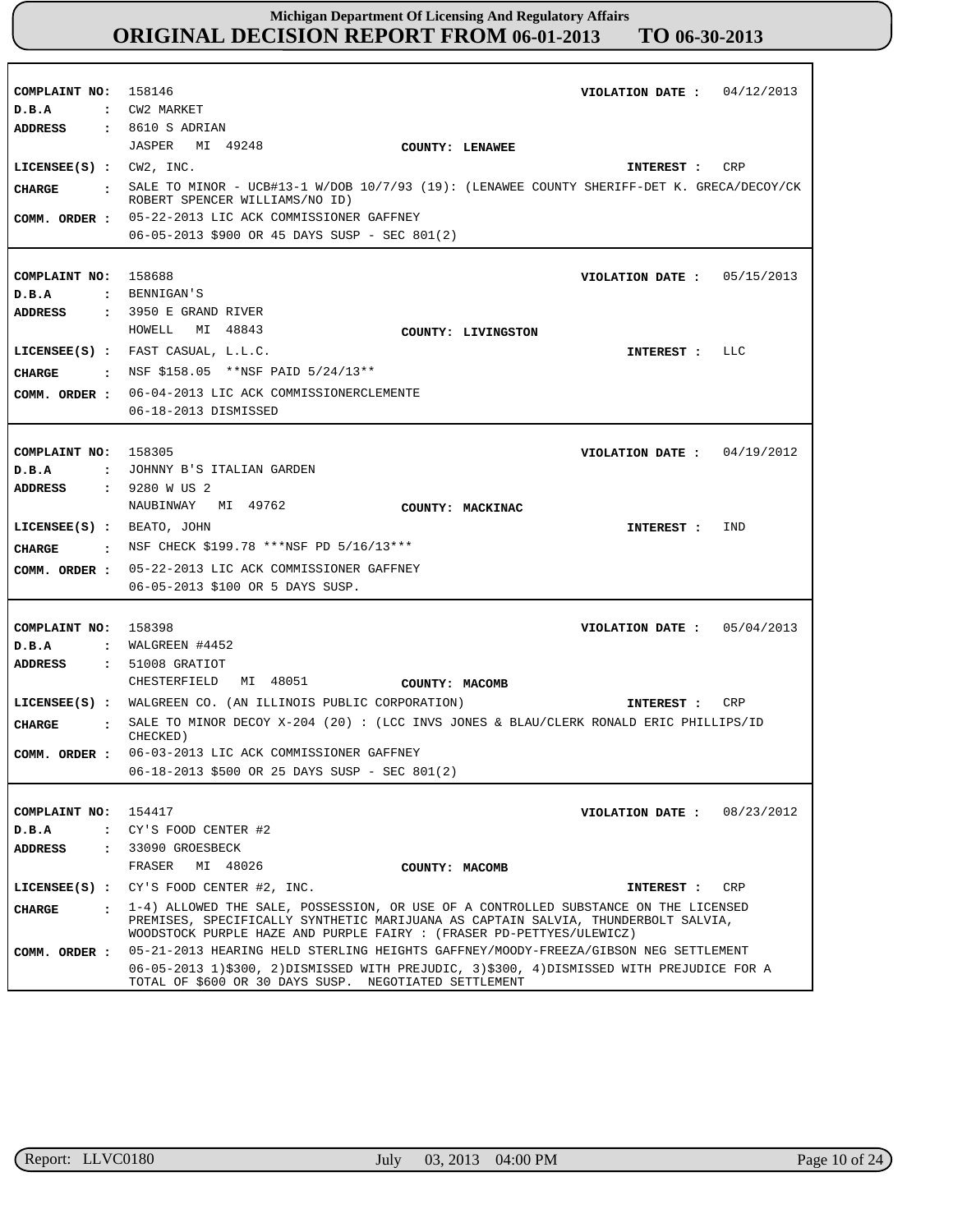| COMPLAINT NO: 158146           | 04/12/2013<br>VIOLATION DATE :                                                                                                                    |
|--------------------------------|---------------------------------------------------------------------------------------------------------------------------------------------------|
| D.B.A                          | : CW2 MARKET                                                                                                                                      |
| ADDRESS                        | $: 8610 S$ ADRIAN                                                                                                                                 |
|                                | JASPER MI 49248<br>COUNTY: LENAWEE                                                                                                                |
| LICENSEE $(S)$ : CW2, INC.     | INTEREST : CRP                                                                                                                                    |
| <b>CHARGE</b>                  | : SALE TO MINOR - UCB#13-1 W/DOB 10/7/93 (19): (LENAWEE COUNTY SHERIFF-DET K. GRECA/DECOY/CK<br>ROBERT SPENCER WILLIAMS/NO ID)                    |
|                                | COMM. ORDER : 05-22-2013 LIC ACK COMMISSIONER GAFFNEY                                                                                             |
|                                | 06-05-2013 \$900 OR 45 DAYS SUSP - SEC 801(2)                                                                                                     |
|                                |                                                                                                                                                   |
|                                |                                                                                                                                                   |
| COMPLAINT NO: 158688           | VIOLATION DATE: $05/15/2013$                                                                                                                      |
| D.B.A                          | : BENNIGAN'S                                                                                                                                      |
| ADDRESS                        | : 3950 E GRAND RIVER                                                                                                                              |
|                                | HOWELL<br>MI 48843<br>COUNTY: LIVINGSTON                                                                                                          |
|                                | LICENSEE(S) : FAST CASUAL, L.L.C.<br>INTEREST : LLC                                                                                               |
| CHARGE                         | . NSF \$158.05 **NSF PAID $5/24/13**$                                                                                                             |
|                                | COMM. ORDER : 06-04-2013 LIC ACK COMMISSIONERCLEMENTE                                                                                             |
|                                | 06-18-2013 DISMISSED                                                                                                                              |
|                                |                                                                                                                                                   |
|                                |                                                                                                                                                   |
| COMPLAINT NO:                  | 158305<br>VIOLATION DATE: $04/19/2012$                                                                                                            |
| D.B.A                          | : JOHNNY B'S ITALIAN GARDEN                                                                                                                       |
| <b>ADDRESS</b>                 | : 9280 W US 2                                                                                                                                     |
|                                | NAUBINWAY MI 49762<br>COUNTY: MACKINAC                                                                                                            |
| $LICENSEE(S)$ : BEATO, JOHN    | IND<br>INTEREST :                                                                                                                                 |
| CHARGE                         | . NSF CHECK \$199.78 ***NSF PD $5/16/13***$                                                                                                       |
|                                | COMM. ORDER : 05-22-2013 LIC ACK COMMISSIONER GAFFNEY                                                                                             |
|                                | 06-05-2013 \$100 OR 5 DAYS SUSP.                                                                                                                  |
|                                |                                                                                                                                                   |
| COMPLAINT NO:                  | 158398<br>05/04/2013<br>VIOLATION DATE :                                                                                                          |
| D.B.A                          | : WALGREEN $#4452$                                                                                                                                |
| <b>ADDRESS</b>                 | : 51008 GRATIOT                                                                                                                                   |
|                                | MI 48051<br>CHESTERFIELD<br>COUNTY: MACOMB                                                                                                        |
|                                | LICENSEE(S) : WALGREEN CO. (AN ILLINOIS PUBLIC CORPORATION)<br>CRP<br>INTEREST :                                                                  |
|                                | SALE TO MINOR DECOY $X-204$ (20): (LCC INVS JONES & BLAU/CLERK RONALD ERIC PHILLIPS/ID                                                            |
| <b>CHARGE</b><br>$\mathbf{r}$  | CHECKED)                                                                                                                                          |
| COMM. ORDER :                  | 06-03-2013 LIC ACK COMMISSIONER GAFFNEY                                                                                                           |
|                                | 06-18-2013 \$500 OR 25 DAYS SUSP - SEC 801(2)                                                                                                     |
|                                |                                                                                                                                                   |
| COMPLAINT NO: 154417           | 08/23/2012<br>VIOLATION DATE :                                                                                                                    |
| D.B.A<br>$\ddot{\phantom{a}}$  | CY'S FOOD CENTER #2                                                                                                                               |
| <b>ADDRESS</b><br>$\mathbf{r}$ | 33090 GROESBECK                                                                                                                                   |
|                                | MI 48026<br>FRASER<br>COUNTY: MACOMB                                                                                                              |
|                                | LICENSEE(S) : CY'S FOOD CENTER #2, INC.<br>INTEREST :<br>CRP                                                                                      |
| <b>CHARGE</b><br>$\cdot$       | 1-4) ALLOWED THE SALE, POSSESSION, OR USE OF A CONTROLLED SUBSTANCE ON THE LICENSED                                                               |
|                                | PREMISES, SPECIFICALLY SYNTHETIC MARIJUANA AS CAPTAIN SALVIA, THUNDERBOLT SALVIA,                                                                 |
|                                | WOODSTOCK PURPLE HAZE AND PURPLE FAIRY : (FRASER PD-PETTYES/ULEWICZ)                                                                              |
| COMM. ORDER :                  | 05-21-2013 HEARING HELD STERLING HEIGHTS GAFFNEY/MOODY-FREEZA/GIBSON NEG SETTLEMENT                                                               |
|                                | 06-05-2013 1)\$300, 2)DISMISSED WITH PREJUDIC, 3)\$300, 4)DISMISSED WITH PREJUDICE FOR A<br>TOTAL OF \$600 OR 30 DAYS SUSP. NEGOTIATED SETTLEMENT |

٦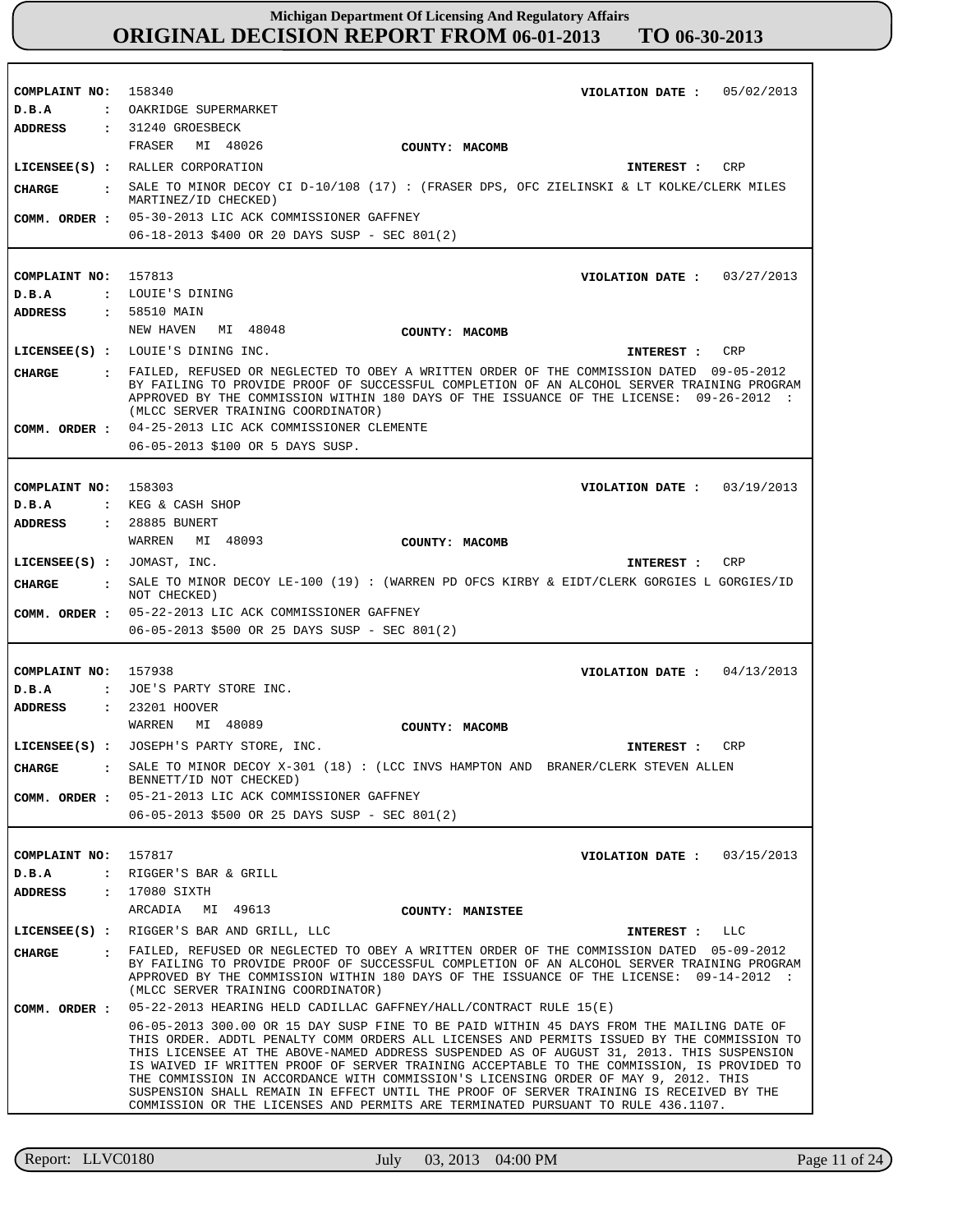**COMPLAINT NO: COMPLAINT NO:** 157813 **COMPLAINT NO: COMPLAINT NO:** 157938 **COMPLAINT NO:** 157817 158340 158303 **VIOLATION DATE : VIOLATION DATE : VIOLATION DATE : VIOLATION DATE : VIOLATION DATE :** 03/15/2013 05/02/2013 03/27/2013 03/19/2013 04/13/2013 **D.B.A : D.B.A : D.B.A : D.B.A : D.B.A :** OAKRIDGE SUPERMARKET LOUIE'S DINING KEG & CASH SHOP JOE'S PARTY STORE INC. RIGGER'S BAR & GRILL **ADDRESS : ADDRESS : ADDRESS : ADDRESS : ADDRESS :** 31240 GROESBECK 58510 MAIN 28885 BUNERT 23201 HOOVER : 17080 SIXTH FRASER MI 48026 NEW HAVEN MI 48048 WARREN MI 48093 WARREN MI 48089 ARCADIA MI 49613 05-30-2013 LIC ACK COMMISSIONER GAFFNEY 06-18-2013 \$400 OR 20 DAYS SUSP - SEC 801(2) 04-25-2013 LIC ACK COMMISSIONER CLEMENTE 06-05-2013 \$100 OR 5 DAYS SUSP. 05-22-2013 LIC ACK COMMISSIONER GAFFNEY 06-05-2013 \$500 OR 25 DAYS SUSP - SEC 801(2) 05-21-2013 LIC ACK COMMISSIONER GAFFNEY 06-05-2013 \$500 OR 25 DAYS SUSP - SEC 801(2) 05-22-2013 HEARING HELD CADILLAC GAFFNEY/HALL/CONTRACT RULE 15(E) 06-05-2013 300.00 OR 15 DAY SUSP FINE TO BE PAID WITHIN 45 DAYS FROM THE MAILING DATE OF THIS ORDER. ADDTL PENALTY COMM ORDERS ALL LICENSES AND PERMITS ISSUED BY THE COMMISSION TO THIS LICENSEE AT THE ABOVE-NAMED ADDRESS SUSPENDED AS OF AUGUST 31, 2013. THIS SUSPENSION IS WAIVED IF WRITTEN PROOF OF SERVER TRAINING ACCEPTABLE TO THE COMMISSION, IS PROVIDED TO THE COMMISSION IN ACCORDANCE WITH COMMISSION'S LICENSING ORDER OF MAY 9, 2012. THIS SUSPENSION SHALL REMAIN IN EFFECT UNTIL THE PROOF OF SERVER TRAINING IS RECEIVED BY THE COMMISSION OR THE LICENSES AND PERMITS ARE TERMINATED PURSUANT TO RULE 436.1107. **LICENSEE(S) :** RALLER CORPORATION **LICENSEE(S) :** LOUIE'S DINING INC. **LICENSEE(S) :** JOMAST, INC. **LICENSEE(S) : LICENSEE(S) :** RIGGER'S BAR AND GRILL, LLC JOSEPH'S PARTY STORE, INC. CRP CRP CRP CRP LLC **CHARGE : CHARGE : CHARGE : CHARGE : CHARGE :** SALE TO MINOR DECOY CI D-10/108 (17) : (FRASER DPS, OFC ZIELINSKI & LT KOLKE/CLERK MILES MARTINEZ/ID CHECKED) FAILED, REFUSED OR NEGLECTED TO OBEY A WRITTEN ORDER OF THE COMMISSION DATED 09-05-2012 BY FAILING TO PROVIDE PROOF OF SUCCESSFUL COMPLETION OF AN ALCOHOL SERVER TRAINING PROGRAM APPROVED BY THE COMMISSION WITHIN 180 DAYS OF THE ISSUANCE OF THE LICENSE: 09-26-2012 : (MLCC SERVER TRAINING COORDINATOR) SALE TO MINOR DECOY LE-100 (19) : (WARREN PD OFCS KIRBY & EIDT/CLERK GORGIES L GORGIES/ID NOT CHECKED) SALE TO MINOR DECOY X-301 (18) : (LCC INVS HAMPTON AND BRANER/CLERK STEVEN ALLEN BENNETT/ID NOT CHECKED) FAILED, REFUSED OR NEGLECTED TO OBEY A WRITTEN ORDER OF THE COMMISSION DATED 05-09-2012 BY FAILING TO PROVIDE PROOF OF SUCCESSFUL COMPLETION OF AN ALCOHOL SERVER TRAINING PROGRAM APPROVED BY THE COMMISSION WITHIN 180 DAYS OF THE ISSUANCE OF THE LICENSE: 09-14-2012 : (MLCC SERVER TRAINING COORDINATOR) **INTEREST : INTEREST : INTEREST : INTEREST : INTEREST : COMM. ORDER : COMM. ORDER : COMM. ORDER : COMM. ORDER : COMM. ORDER : COUNTY: MACOMB COUNTY: MACOMB COUNTY: MACOMB COUNTY: MACOMB COUNTY: MANISTEE**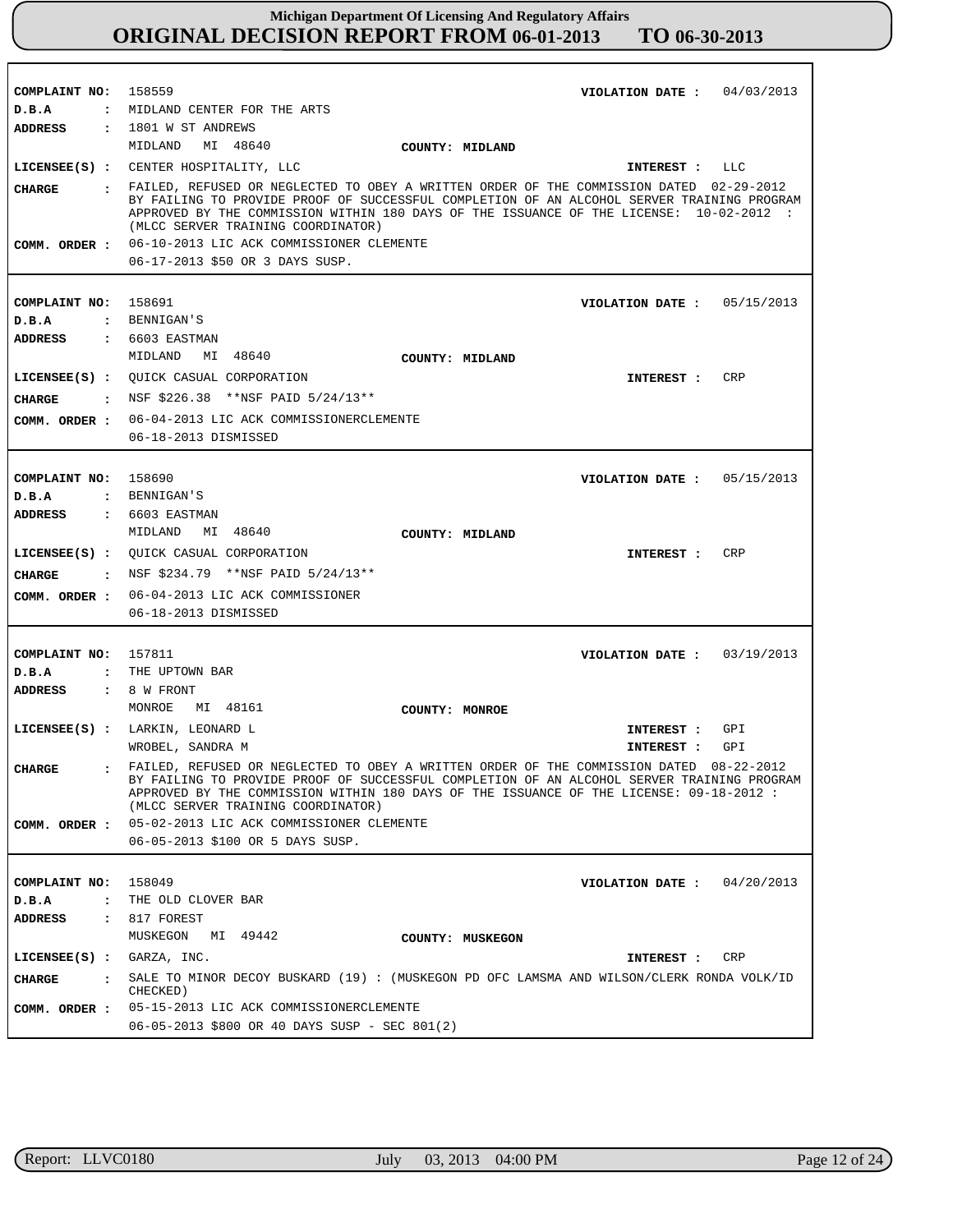| COMPLAINT NO:               | 158559<br>04/03/2013<br>VIOLATION DATE :                                                                                                                                                                                                                                                                                                                                           |
|-----------------------------|------------------------------------------------------------------------------------------------------------------------------------------------------------------------------------------------------------------------------------------------------------------------------------------------------------------------------------------------------------------------------------|
| D.B.A                       | : MIDLAND CENTER FOR THE ARTS                                                                                                                                                                                                                                                                                                                                                      |
| <b>ADDRESS</b>              | : 1801 W ST ANDREWS                                                                                                                                                                                                                                                                                                                                                                |
|                             | MIDLAND MI 48640<br>COUNTY: MIDLAND                                                                                                                                                                                                                                                                                                                                                |
|                             | LICENSEE(S) : CENTER HOSPITALITY, LLC<br>INTEREST : LLC                                                                                                                                                                                                                                                                                                                            |
| <b>CHARGE</b>               | : FAILED, REFUSED OR NEGLECTED TO OBEY A WRITTEN ORDER OF THE COMMISSION DATED 02-29-2012<br>BY FAILING TO PROVIDE PROOF OF SUCCESSFUL COMPLETION OF AN ALCOHOL SERVER TRAINING PROGRAM<br>APPROVED BY THE COMMISSION WITHIN 180 DAYS OF THE ISSUANCE OF THE LICENSE: 10-02-2012 :<br>(MLCC SERVER TRAINING COORDINATOR)<br>COMM. ORDER : 06-10-2013 LIC ACK COMMISSIONER CLEMENTE |
|                             |                                                                                                                                                                                                                                                                                                                                                                                    |
|                             | 06-17-2013 \$50 OR 3 DAYS SUSP.                                                                                                                                                                                                                                                                                                                                                    |
|                             |                                                                                                                                                                                                                                                                                                                                                                                    |
| COMPLAINT NO:               | 158691<br>VIOLATION DATE: $05/15/2013$                                                                                                                                                                                                                                                                                                                                             |
| D.B.A                       | : BENNIGAN'S                                                                                                                                                                                                                                                                                                                                                                       |
| ADDRESS                     | $: 6603$ EASTMAN                                                                                                                                                                                                                                                                                                                                                                   |
|                             | MIDLAND MI 48640<br>COUNTY: MIDLAND                                                                                                                                                                                                                                                                                                                                                |
|                             | LICENSEE(S) : QUICK CASUAL CORPORATION<br>CRP<br>INTEREST :                                                                                                                                                                                                                                                                                                                        |
| <b>CHARGE</b>               | $\cdot$ NSF \$226.38 **NSF PAID 5/24/13**                                                                                                                                                                                                                                                                                                                                          |
|                             | COMM. ORDER : 06-04-2013 LIC ACK COMMISSIONERCLEMENTE                                                                                                                                                                                                                                                                                                                              |
|                             | 06-18-2013 DISMISSED                                                                                                                                                                                                                                                                                                                                                               |
|                             |                                                                                                                                                                                                                                                                                                                                                                                    |
| COMPLAINT NO: 158690        | VIOLATION DATE: $05/15/2013$                                                                                                                                                                                                                                                                                                                                                       |
| D.B.A                       | : BENNIGAN'S                                                                                                                                                                                                                                                                                                                                                                       |
| <b>ADDRESS</b>              | $: 6603$ EASTMAN                                                                                                                                                                                                                                                                                                                                                                   |
|                             | MIDLAND MI 48640<br>COUNTY: MIDLAND                                                                                                                                                                                                                                                                                                                                                |
|                             | LICENSEE(S) : QUICK CASUAL CORPORATION<br><b>CRP</b><br>INTEREST :                                                                                                                                                                                                                                                                                                                 |
| CHARGE                      | : NSF \$234.79 **NSF PAID 5/24/13**                                                                                                                                                                                                                                                                                                                                                |
| COMM. ORDER :               | 06-04-2013 LIC ACK COMMISSIONER                                                                                                                                                                                                                                                                                                                                                    |
|                             | 06-18-2013 DISMISSED                                                                                                                                                                                                                                                                                                                                                               |
|                             |                                                                                                                                                                                                                                                                                                                                                                                    |
| COMPLAINT NO: 157811        | VIOLATION DATE: $03/19/2013$                                                                                                                                                                                                                                                                                                                                                       |
| D.B.A                       | : THE UPTOWN BAR                                                                                                                                                                                                                                                                                                                                                                   |
| <b>ADDRESS</b>              | : 8 W FRONT                                                                                                                                                                                                                                                                                                                                                                        |
|                             | MONROE<br>MI 48161<br>COUNTY: MONROE                                                                                                                                                                                                                                                                                                                                               |
|                             | LICENSEE(S) : LARKIN, LEONARD L<br>GPI<br>INTEREST :                                                                                                                                                                                                                                                                                                                               |
|                             | WROBEL, SANDRA M<br>GPI<br>INTEREST :                                                                                                                                                                                                                                                                                                                                              |
| <b>CHARGE</b>               | . FAILED, REFUSED OR NEGLECTED TO OBEY A WRITTEN ORDER OF THE COMMISSION DATED 08-22-2012<br>BY FAILING TO PROVIDE PROOF OF SUCCESSFUL COMPLETION OF AN ALCOHOL SERVER TRAINING PROGRAM<br>APPROVED BY THE COMMISSION WITHIN 180 DAYS OF THE ISSUANCE OF THE LICENSE: 09-18-2012 :<br>(MLCC SERVER TRAINING COORDINATOR)                                                           |
|                             | COMM. ORDER : 05-02-2013 LIC ACK COMMISSIONER CLEMENTE                                                                                                                                                                                                                                                                                                                             |
|                             | 06-05-2013 \$100 OR 5 DAYS SUSP.                                                                                                                                                                                                                                                                                                                                                   |
|                             |                                                                                                                                                                                                                                                                                                                                                                                    |
| COMPLAINT NO: 158049        | VIOLATION DATE: $04/20/2013$                                                                                                                                                                                                                                                                                                                                                       |
| D.B.A                       | : THE OLD CLOVER BAR                                                                                                                                                                                                                                                                                                                                                               |
| ADDRESS                     | $: 817$ FOREST                                                                                                                                                                                                                                                                                                                                                                     |
|                             | MUSKEGON MI 49442<br>COUNTY: MUSKEGON                                                                                                                                                                                                                                                                                                                                              |
| $LICENSEE(S)$ : GARZA, INC. | INTEREST : CRP                                                                                                                                                                                                                                                                                                                                                                     |
|                             | : SALE TO MINOR DECOY BUSKARD (19) : (MUSKEGON PD OFC LAMSMA AND WILSON/CLERK RONDA VOLK/ID                                                                                                                                                                                                                                                                                        |
| <b>CHARGE</b>               | CHECKED)                                                                                                                                                                                                                                                                                                                                                                           |
|                             | COMM. ORDER : 05-15-2013 LIC ACK COMMISSIONERCLEMENTE                                                                                                                                                                                                                                                                                                                              |
|                             | 06-05-2013 \$800 OR 40 DAYS SUSP - SEC 801(2)                                                                                                                                                                                                                                                                                                                                      |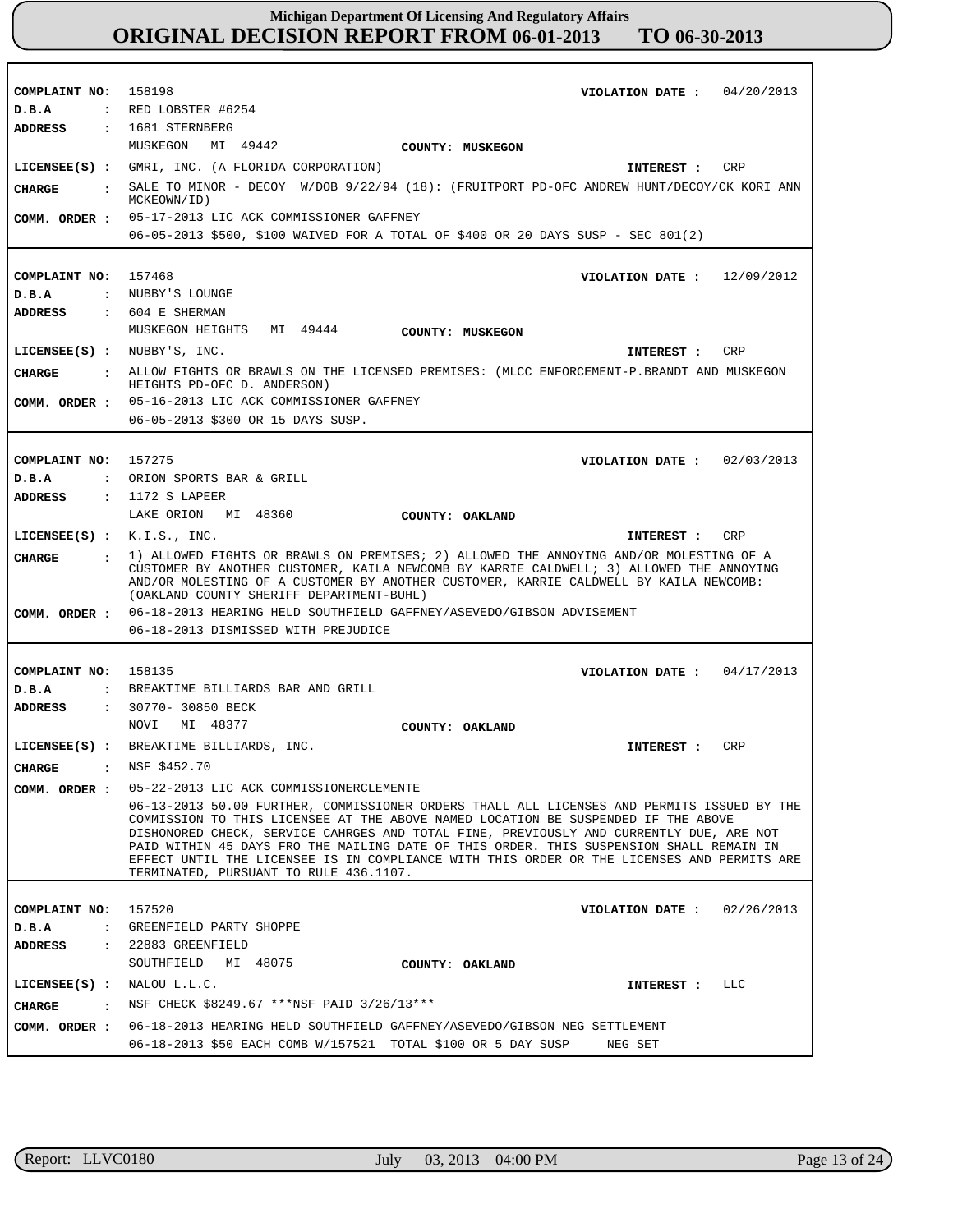| COMPLAINT NO: 158198<br>D.B.A  | VIOLATION DATE: $04/20/2013$<br>$\,$ : RED LOBSTER #6254                                                                                                                                                                                                                                                                                                                                                                                                                                                      |
|--------------------------------|---------------------------------------------------------------------------------------------------------------------------------------------------------------------------------------------------------------------------------------------------------------------------------------------------------------------------------------------------------------------------------------------------------------------------------------------------------------------------------------------------------------|
| ADDRESS                        | : 1681 STERNBERG                                                                                                                                                                                                                                                                                                                                                                                                                                                                                              |
|                                | MUSKEGON MI 49442<br>COUNTY: MUSKEGON                                                                                                                                                                                                                                                                                                                                                                                                                                                                         |
|                                | LICENSEE(S) : GMRI, INC. (A FLORIDA CORPORATION)<br>INTEREST : CRP                                                                                                                                                                                                                                                                                                                                                                                                                                            |
| CIIARGE<br>$\sim$ 100 $\pm$    | SALE TO MINOR - DECOY W/DOB 9/22/94 (18): (FRUITPORT PD-OFC ANDREW HUNT/DECOY/CK KORI ANN<br>MCKEOWN/ID)                                                                                                                                                                                                                                                                                                                                                                                                      |
| COMM. ORDER :                  | 05-17-2013 LIC ACK COMMISSIONER GAFFNEY                                                                                                                                                                                                                                                                                                                                                                                                                                                                       |
|                                | 06-05-2013 \$500, \$100 WAIVED FOR A TOTAL OF \$400 OR 20 DAYS SUSP - SEC 801(2)                                                                                                                                                                                                                                                                                                                                                                                                                              |
|                                |                                                                                                                                                                                                                                                                                                                                                                                                                                                                                                               |
| COMPLAINT NO: 157468           | VIOLATION DATE: $12/09/2012$                                                                                                                                                                                                                                                                                                                                                                                                                                                                                  |
| D.B.A                          | : NUBBY'S LOUNGE                                                                                                                                                                                                                                                                                                                                                                                                                                                                                              |
| ADDRESS                        | $: 604$ E SHERMAN                                                                                                                                                                                                                                                                                                                                                                                                                                                                                             |
|                                | MUSKEGON HEIGHTS MI 49444<br>COUNTY: MUSKEGON                                                                                                                                                                                                                                                                                                                                                                                                                                                                 |
| LICENSE (S) : NUBBY'S, INC.    | CRP<br>INTEREST :                                                                                                                                                                                                                                                                                                                                                                                                                                                                                             |
| CIIARGE                        | ALLOW FIGHTS OR BRAWLS ON THE LICENSED PREMISES: (MLCC ENFORCEMENT-P.BRANDT AND MUSKEGON                                                                                                                                                                                                                                                                                                                                                                                                                      |
|                                | HEIGHTS PD-OFC D. ANDERSON)                                                                                                                                                                                                                                                                                                                                                                                                                                                                                   |
| COMM. ORDER :                  | 05-16-2013 LIC ACK COMMISSIONER GAFFNEY                                                                                                                                                                                                                                                                                                                                                                                                                                                                       |
|                                | 06-05-2013 \$300 OR 15 DAYS SUSP.                                                                                                                                                                                                                                                                                                                                                                                                                                                                             |
|                                |                                                                                                                                                                                                                                                                                                                                                                                                                                                                                                               |
| COMPLAINT NO: 157275           | VIOLATION DATE: $02/03/2013$                                                                                                                                                                                                                                                                                                                                                                                                                                                                                  |
| D.B.A                          | : ORION SPORTS BAR & GRILL                                                                                                                                                                                                                                                                                                                                                                                                                                                                                    |
| ADDRESS                        | : 1172 S LAPEER                                                                                                                                                                                                                                                                                                                                                                                                                                                                                               |
|                                | LAKE ORION MI 48360<br>COUNTY: OAKLAND                                                                                                                                                                                                                                                                                                                                                                                                                                                                        |
| $LICENSEE(S)$ : $K.I.S., INC.$ | CRP<br>INTEREST :                                                                                                                                                                                                                                                                                                                                                                                                                                                                                             |
| CHARGE                         | 1) ALLOWED FIGHTS OR BRAWLS ON PREMISES; 2) ALLOWED THE ANNOYING AND/OR MOLESTING OF A                                                                                                                                                                                                                                                                                                                                                                                                                        |
|                                | CUSTOMER BY ANOTHER CUSTOMER, KAILA NEWCOMB BY KARRIE CALDWELL; 3) ALLOWED THE ANNOYING<br>AND/OR MOLESTING OF A CUSTOMER BY ANOTHER CUSTOMER, KARRIE CALDWELL BY KAILA NEWCOMB:<br>(OAKLAND COUNTY SHERIFF DEPARTMENT-BUHL)                                                                                                                                                                                                                                                                                  |
|                                | COMM. ORDER: 06-18-2013 HEARING HELD SOUTHFIELD GAFFNEY/ASEVEDO/GIBSON ADVISEMENT<br>06-18-2013 DISMISSED WITH PREJUDICE                                                                                                                                                                                                                                                                                                                                                                                      |
|                                |                                                                                                                                                                                                                                                                                                                                                                                                                                                                                                               |
| COMPLAINT NO: 158135           | VIOLATION DATE: $04/17/2013$                                                                                                                                                                                                                                                                                                                                                                                                                                                                                  |
| D.B.A                          | : BREAKTIME BILLIARDS BAR AND GRILL                                                                                                                                                                                                                                                                                                                                                                                                                                                                           |
|                                | <b>ADDRESS : 30770- 30850 BECK</b>                                                                                                                                                                                                                                                                                                                                                                                                                                                                            |
|                                | NOVI MI 48377<br>COUNTY: OAKLAND                                                                                                                                                                                                                                                                                                                                                                                                                                                                              |
|                                | LICENSEE(S) : BREAKTIME BILLIARDS, INC.<br><b>CRP</b><br>INTEREST :                                                                                                                                                                                                                                                                                                                                                                                                                                           |
| CHARGE : NSF \$452.70          |                                                                                                                                                                                                                                                                                                                                                                                                                                                                                                               |
|                                | COMM. ORDER : 05-22-2013 LIC ACK COMMISSIONERCLEMENTE                                                                                                                                                                                                                                                                                                                                                                                                                                                         |
|                                | 06-13-2013 50.00 FURTHER, COMMISSIONER ORDERS THALL ALL LICENSES AND PERMITS ISSUED BY THE<br>COMMISSION TO THIS LICENSEE AT THE ABOVE NAMED LOCATION BE SUSPENDED IF THE ABOVE<br>DISHONORED CHECK, SERVICE CAHRGES AND TOTAL FINE, PREVIOUSLY AND CURRENTLY DUE, ARE NOT<br>PAID WITHIN 45 DAYS FRO THE MAILING DATE OF THIS ORDER. THIS SUSPENSION SHALL REMAIN IN<br>EFFECT UNTIL THE LICENSEE IS IN COMPLIANCE WITH THIS ORDER OR THE LICENSES AND PERMITS ARE<br>TERMINATED, PURSUANT TO RULE 436.1107. |
|                                |                                                                                                                                                                                                                                                                                                                                                                                                                                                                                                               |
| COMPLAINT NO: 157520           | VIOLATION DATE: $02/26/2013$                                                                                                                                                                                                                                                                                                                                                                                                                                                                                  |
| D.B.A                          | : GREENFIELD PARTY SHOPPE                                                                                                                                                                                                                                                                                                                                                                                                                                                                                     |
| ADDRESS                        | : 22883 GREENFIELD                                                                                                                                                                                                                                                                                                                                                                                                                                                                                            |
|                                | SOUTHFIELD MI 48075<br>COUNTY: OAKLAND                                                                                                                                                                                                                                                                                                                                                                                                                                                                        |
| LICENSEE $(S)$ : NALOU L.L.C.  | INTEREST : LLC                                                                                                                                                                                                                                                                                                                                                                                                                                                                                                |
| <b>CHARGE</b>                  | : NSF CHECK \$8249.67 ***NSF PAID 3/26/13***                                                                                                                                                                                                                                                                                                                                                                                                                                                                  |
|                                | COMM. ORDER : 06-18-2013 HEARING HELD SOUTHFIELD GAFFNEY/ASEVEDO/GIBSON NEG SETTLEMENT                                                                                                                                                                                                                                                                                                                                                                                                                        |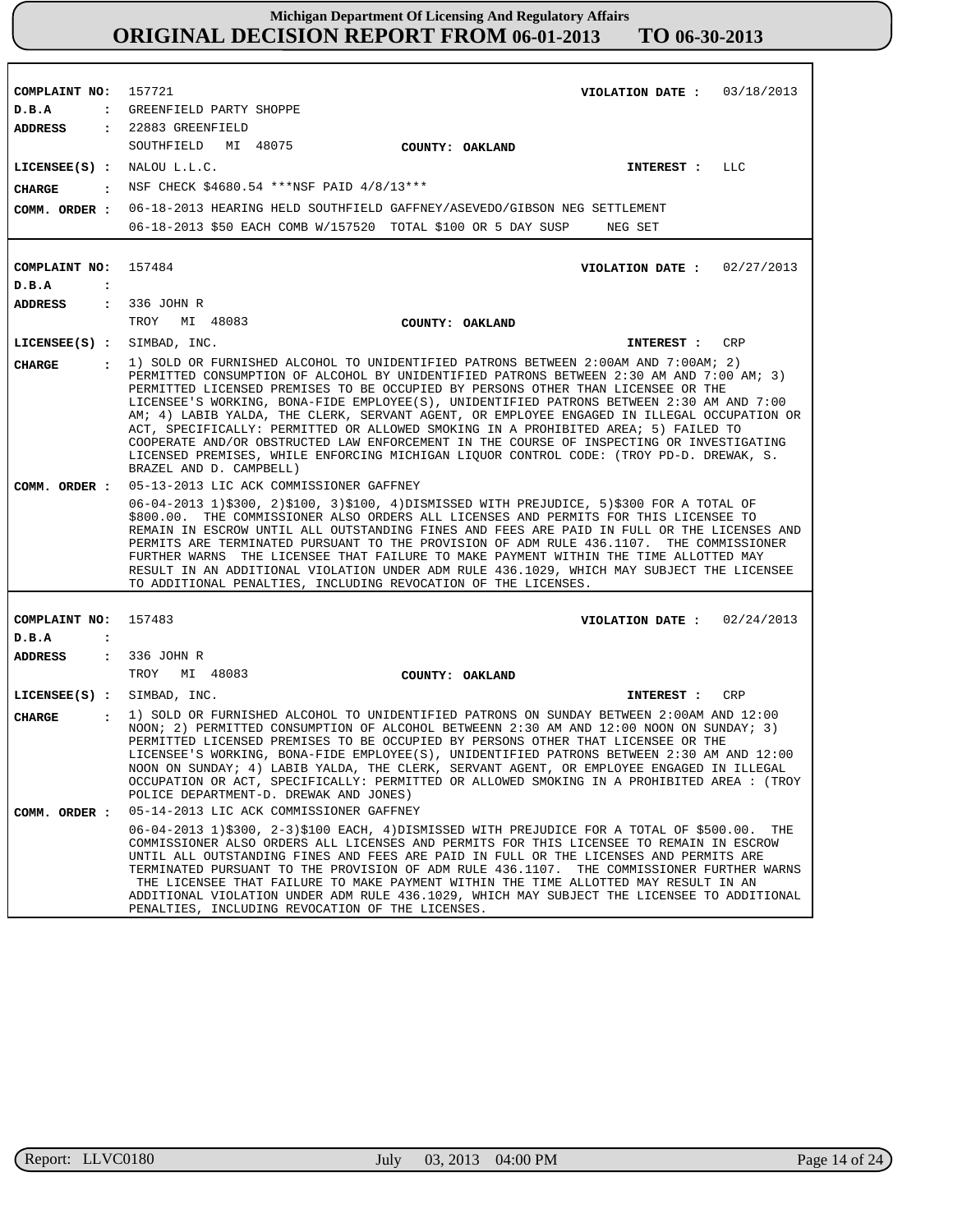**COMPLAINT NO: COMPLAINT NO: COMPLAINT NO:** 157721 157484 157483 **VIOLATION DATE : VIOLATION DATE : VIOLATION DATE :** 03/18/2013 02/27/2013 02/24/2013 **D.B.A : D.B.A : D.B.A :** GREENFIELD PARTY SHOPPE **ADDRESS : ADDRESS : ADDRESS :** 22883 GREENFIELD 336 JOHN R 336 JOHN R SOUTHFIELD MI 48075 TROY MI 48083 TROY MI 48083 06-18-2013 HEARING HELD SOUTHFIELD GAFFNEY/ASEVEDO/GIBSON NEG SETTLEMENT 06-18-2013 \$50 EACH COMB W/157520 TOTAL \$100 OR 5 DAY SUSP NEG SET 05-13-2013 LIC ACK COMMISSIONER GAFFNEY 06-04-2013 1)\$300, 2)\$100, 3)\$100, 4)DISMISSED WITH PREJUDICE, 5)\$300 FOR A TOTAL OF \$800.00. THE COMMISSIONER ALSO ORDERS ALL LICENSES AND PERMITS FOR THIS LICENSEE TO REMAIN IN ESCROW UNTIL ALL OUTSTANDING FINES AND FEES ARE PAID IN FULL OR THE LICENSES AND PERMITS ARE TERMINATED PURSUANT TO THE PROVISION OF ADM RULE 436.1107. THE COMMISSIONER FURTHER WARNS THE LICENSEE THAT FAILURE TO MAKE PAYMENT WITHIN THE TIME ALLOTTED MAY RESULT IN AN ADDITIONAL VIOLATION UNDER ADM RULE 436.1029, WHICH MAY SUBJECT THE LICENSEE TO ADDITIONAL PENALTIES, INCLUDING REVOCATION OF THE LICENSES. 05-14-2013 LIC ACK COMMISSIONER GAFFNEY 06-04-2013 1)\$300, 2-3)\$100 EACH, 4)DISMISSED WITH PREJUDICE FOR A TOTAL OF \$500.00. THE COMMISSIONER ALSO ORDERS ALL LICENSES AND PERMITS FOR THIS LICENSEE TO REMAIN IN ESCROW UNTIL ALL OUTSTANDING FINES AND FEES ARE PAID IN FULL OR THE LICENSES AND PERMITS ARE TERMINATED PURSUANT TO THE PROVISION OF ADM RULE 436.1107. THE COMMISSIONER FURTHER WARNS THE LICENSEE THAT FAILURE TO MAKE PAYMENT WITHIN THE TIME ALLOTTED MAY RESULT IN AN ADDITIONAL VIOLATION UNDER ADM RULE 436.1029, WHICH MAY SUBJECT THE LICENSEE TO ADDITIONAL PENALTIES, INCLUDING REVOCATION OF THE LICENSES **LICENSEE(S) : LICENSEE(S) :** SIMBAD, INC. **LICENSEE(S) :** SIMBAD, INC. NALOU L.L.C. LLC CRP CRP **CHARGE : CHARGE : CHARGE :** NSF CHECK \$4680.54 \*\*\*NSF PAID 4/8/13\*\*\* 1) SOLD OR FURNISHED ALCOHOL TO UNIDENTIFIED PATRONS BETWEEN 2:00AM AND 7:00AM; 2) PERMITTED CONSUMPTION OF ALCOHOL BY UNIDENTIFIED PATRONS BETWEEN 2:30 AM AND 7:00 AM; 3) PERMITTED LICENSED PREMISES TO BE OCCUPIED BY PERSONS OTHER THAN LICENSEE OR THE LICENSEE'S WORKING, BONA-FIDE EMPLOYEE(S), UNIDENTIFIED PATRONS BETWEEN 2:30 AM AND 7:00 AM; 4) LABIB YALDA, THE CLERK, SERVANT AGENT, OR EMPLOYEE ENGAGED IN ILLEGAL OCCUPATION OR ACT, SPECIFICALLY: PERMITTED OR ALLOWED SMOKING IN A PROHIBITED AREA; 5) FAILED TO COOPERATE AND/OR OBSTRUCTED LAW ENFORCEMENT IN THE COURSE OF INSPECTING OR INVESTIGATING LICENSED PREMISES, WHILE ENFORCING MICHIGAN LIQUOR CONTROL CODE: (TROY PD-D. DREWAK, S. BRAZEL AND D. CAMPBELL) 1) SOLD OR FURNISHED ALCOHOL TO UNIDENTIFIED PATRONS ON SUNDAY BETWEEN 2:00AM AND 12:00 NOON; 2) PERMITTED CONSUMPTION OF ALCOHOL BETWEENN 2:30 AM AND 12:00 NOON ON SUNDAY; 3) PERMITTED LICENSED PREMISES TO BE OCCUPIED BY PERSONS OTHER THAT LICENSEE OR THE LICENSEE'S WORKING, BONA-FIDE EMPLOYEE(S), UNIDENTIFIED PATRONS BETWEEN 2:30 AM AND 12:00 NOON ON SUNDAY; 4) LABIB YALDA, THE CLERK, SERVANT AGENT, OR EMPLOYEE ENGAGED IN ILLEGAL OCCUPATION OR ACT, SPECIFICALLY: PERMITTED OR ALLOWED SMOKING IN A PROHIBITED AREA : (TROY POLICE DEPARTMENT-D. DREWAK AND JONES) **INTEREST : INTEREST : INTEREST : COMM. ORDER : COMM. ORDER : COMM. ORDER : COUNTY: OAKLAND COUNTY: OAKLAND COUNTY: OAKLAND**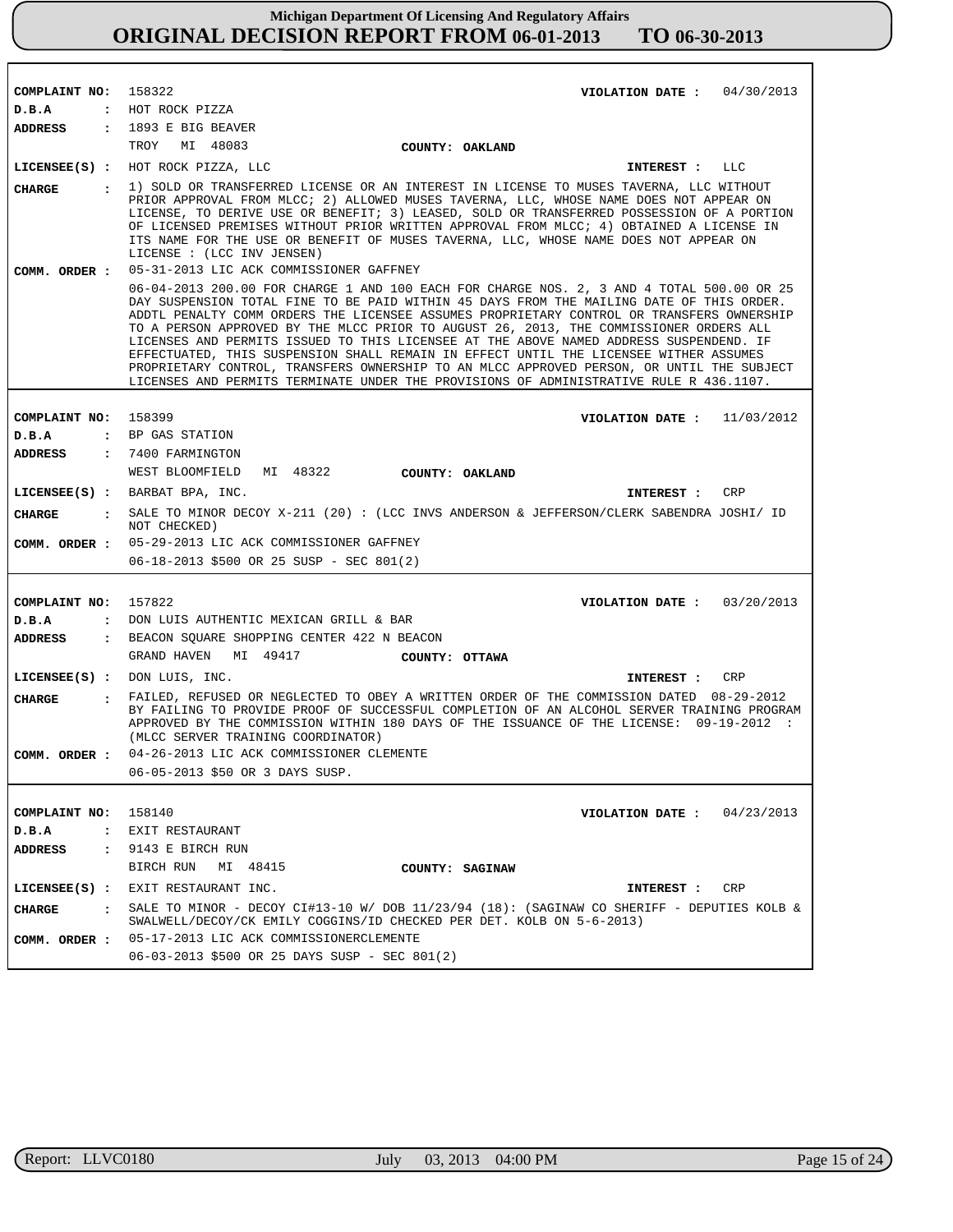| COMPLAINT NO:                 | VIOLATION DATE : $04/30/2013$<br>158322                                                                                                                                                                                                                                                                                                                                                                                                                                                                                                                                                                                                                                                                                                                |
|-------------------------------|--------------------------------------------------------------------------------------------------------------------------------------------------------------------------------------------------------------------------------------------------------------------------------------------------------------------------------------------------------------------------------------------------------------------------------------------------------------------------------------------------------------------------------------------------------------------------------------------------------------------------------------------------------------------------------------------------------------------------------------------------------|
| D.B.A                         | : HOT ROCK PIZZA                                                                                                                                                                                                                                                                                                                                                                                                                                                                                                                                                                                                                                                                                                                                       |
| ADDRESS                       | : 1893 E BIG BEAVER                                                                                                                                                                                                                                                                                                                                                                                                                                                                                                                                                                                                                                                                                                                                    |
|                               | TROY MI 48083<br>COUNTY: OAKLAND                                                                                                                                                                                                                                                                                                                                                                                                                                                                                                                                                                                                                                                                                                                       |
|                               | LICENSEE(S) : HOT ROCK PIZZA, LLC<br>INTEREST : LLC                                                                                                                                                                                                                                                                                                                                                                                                                                                                                                                                                                                                                                                                                                    |
| <b>CHARGE</b><br>$\mathbf{r}$ | 1) SOLD OR TRANSFERRED LICENSE OR AN INTEREST IN LICENSE TO MUSES TAVERNA, LLC WITHOUT<br>PRIOR APPROVAL FROM MLCC; 2) ALLOWED MUSES TAVERNA, LLC, WHOSE NAME DOES NOT APPEAR ON<br>LICENSE, TO DERIVE USE OR BENEFIT; 3) LEASED, SOLD OR TRANSFERRED POSSESSION OF A PORTION<br>OF LICENSED PREMISES WITHOUT PRIOR WRITTEN APPROVAL FROM MLCC; 4) OBTAINED A LICENSE IN<br>ITS NAME FOR THE USE OR BENEFIT OF MUSES TAVERNA, LLC, WHOSE NAME DOES NOT APPEAR ON<br>LICENSE : (LCC INV JENSEN)                                                                                                                                                                                                                                                         |
| COMM. ORDER :                 | 05-31-2013 LIC ACK COMMISSIONER GAFFNEY                                                                                                                                                                                                                                                                                                                                                                                                                                                                                                                                                                                                                                                                                                                |
|                               | 06-04-2013 200.00 FOR CHARGE 1 AND 100 EACH FOR CHARGE NOS. 2, 3 AND 4 TOTAL 500.00 OR 25<br>DAY SUSPENSION TOTAL FINE TO BE PAID WITHIN 45 DAYS FROM THE MAILING DATE OF THIS ORDER.<br>ADDTL PENALTY COMM ORDERS THE LICENSEE ASSUMES PROPRIETARY CONTROL OR TRANSFERS OWNERSHIP<br>TO A PERSON APPROVED BY THE MLCC PRIOR TO AUGUST 26, 2013, THE COMMISSIONER ORDERS ALL<br>LICENSES AND PERMITS ISSUED TO THIS LICENSEE AT THE ABOVE NAMED ADDRESS SUSPENDEND. IF<br>EFFECTUATED, THIS SUSPENSION SHALL REMAIN IN EFFECT UNTIL THE LICENSEE WITHER ASSUMES<br>PROPRIETARY CONTROL, TRANSFERS OWNERSHIP TO AN MLCC APPROVED PERSON, OR UNTIL THE SUBJECT<br>LICENSES AND PERMITS TERMINATE UNDER THE PROVISIONS OF ADMINISTRATIVE RULE R 436.1107. |
|                               |                                                                                                                                                                                                                                                                                                                                                                                                                                                                                                                                                                                                                                                                                                                                                        |
| COMPLAINT NO:                 | 158399<br>VIOLATION DATE : $11/03/2012$                                                                                                                                                                                                                                                                                                                                                                                                                                                                                                                                                                                                                                                                                                                |
| D.B.A                         | : BP GAS STATION                                                                                                                                                                                                                                                                                                                                                                                                                                                                                                                                                                                                                                                                                                                                       |
| <b>ADDRESS</b>                | : 7400 FARMINGTON<br>WEST BLOOMFIELD<br>MI 48322                                                                                                                                                                                                                                                                                                                                                                                                                                                                                                                                                                                                                                                                                                       |
|                               | COUNTY: OAKLAND                                                                                                                                                                                                                                                                                                                                                                                                                                                                                                                                                                                                                                                                                                                                        |
|                               | LICENSE (S) : BARBAT BPA, INC.<br>CRP<br><b>INTEREST :</b>                                                                                                                                                                                                                                                                                                                                                                                                                                                                                                                                                                                                                                                                                             |
| CHARGE                        | : SALE TO MINOR DECOY X-211 (20) : (LCC INVS ANDERSON & JEFFERSON/CLERK SABENDRA JOSHI/ ID<br>NOT CHECKED)                                                                                                                                                                                                                                                                                                                                                                                                                                                                                                                                                                                                                                             |
|                               | COMM. ORDER : 05-29-2013 LIC ACK COMMISSIONER GAFFNEY<br>$06-18-2013$ \$500 OR 25 SUSP - SEC 801(2)                                                                                                                                                                                                                                                                                                                                                                                                                                                                                                                                                                                                                                                    |
|                               |                                                                                                                                                                                                                                                                                                                                                                                                                                                                                                                                                                                                                                                                                                                                                        |
| COMPLAINT NO:                 | 157822<br>VIOLATION DATE: $03/20/2013$                                                                                                                                                                                                                                                                                                                                                                                                                                                                                                                                                                                                                                                                                                                 |
| D.B.A<br>$\ddot{\phantom{a}}$ | DON LUIS AUTHENTIC MEXICAN GRILL & BAR                                                                                                                                                                                                                                                                                                                                                                                                                                                                                                                                                                                                                                                                                                                 |
| <b>ADDRESS</b>                | : BEACON SQUARE SHOPPING CENTER 422 N BEACON                                                                                                                                                                                                                                                                                                                                                                                                                                                                                                                                                                                                                                                                                                           |
|                               | GRAND HAVEN<br>MI 49417<br>COUNTY: OTTAWA                                                                                                                                                                                                                                                                                                                                                                                                                                                                                                                                                                                                                                                                                                              |
|                               | $LICENSEE(S)$ : DON LUIS, INC.<br>INTEREST :<br>CRP                                                                                                                                                                                                                                                                                                                                                                                                                                                                                                                                                                                                                                                                                                    |
| <b>CHARGE</b>                 | : FAILED, REFUSED OR NEGLECTED TO OBEY A WRITTEN ORDER OF THE COMMISSION DATED 08-29-2012<br>BY FAILING TO PROVIDE PROOF OF SUCCESSFUL COMPLETION OF AN ALCOHOL SERVER TRAINING PROGRAM<br>APPROVED BY THE COMMISSION WITHIN 180 DAYS OF THE ISSUANCE OF THE LICENSE: 09-19-2012 :<br>(MLCC SERVER TRAINING COORDINATOR)                                                                                                                                                                                                                                                                                                                                                                                                                               |
| COMM. ORDER :                 | 04-26-2013 LIC ACK COMMISSIONER CLEMENTE                                                                                                                                                                                                                                                                                                                                                                                                                                                                                                                                                                                                                                                                                                               |
|                               | 06-05-2013 \$50 OR 3 DAYS SUSP.                                                                                                                                                                                                                                                                                                                                                                                                                                                                                                                                                                                                                                                                                                                        |
|                               |                                                                                                                                                                                                                                                                                                                                                                                                                                                                                                                                                                                                                                                                                                                                                        |
| COMPLAINT NO:                 | 158140<br>04/23/2013<br>VIOLATION DATE :                                                                                                                                                                                                                                                                                                                                                                                                                                                                                                                                                                                                                                                                                                               |
| D.B.A<br>$\ddot{\phantom{a}}$ | EXIT RESTAURANT                                                                                                                                                                                                                                                                                                                                                                                                                                                                                                                                                                                                                                                                                                                                        |
| ADDRESS                       | 9143 E BIRCH RUN<br>$\mathbf{r}$                                                                                                                                                                                                                                                                                                                                                                                                                                                                                                                                                                                                                                                                                                                       |
|                               | BIRCH RUN<br>MI 48415<br>COUNTY: SAGINAW                                                                                                                                                                                                                                                                                                                                                                                                                                                                                                                                                                                                                                                                                                               |
| $LICENSEE(S)$ :               | EXIT RESTAURANT INC.<br>CRP<br>INTEREST :                                                                                                                                                                                                                                                                                                                                                                                                                                                                                                                                                                                                                                                                                                              |
| CHARGE<br>$\cdot$             | SALE TO MINOR - DECOY CI#13-10 W/ DOB 11/23/94 (18): (SAGINAW CO SHERIFF - DEPUTIES KOLB &<br>SWALWELL/DECOY/CK EMILY COGGINS/ID CHECKED PER DET. KOLB ON 5-6-2013)                                                                                                                                                                                                                                                                                                                                                                                                                                                                                                                                                                                    |
| COMM. ORDER :                 | 05-17-2013 LIC ACK COMMISSIONERCLEMENTE                                                                                                                                                                                                                                                                                                                                                                                                                                                                                                                                                                                                                                                                                                                |
|                               | 06-03-2013 \$500 OR 25 DAYS SUSP - SEC 801(2)                                                                                                                                                                                                                                                                                                                                                                                                                                                                                                                                                                                                                                                                                                          |

п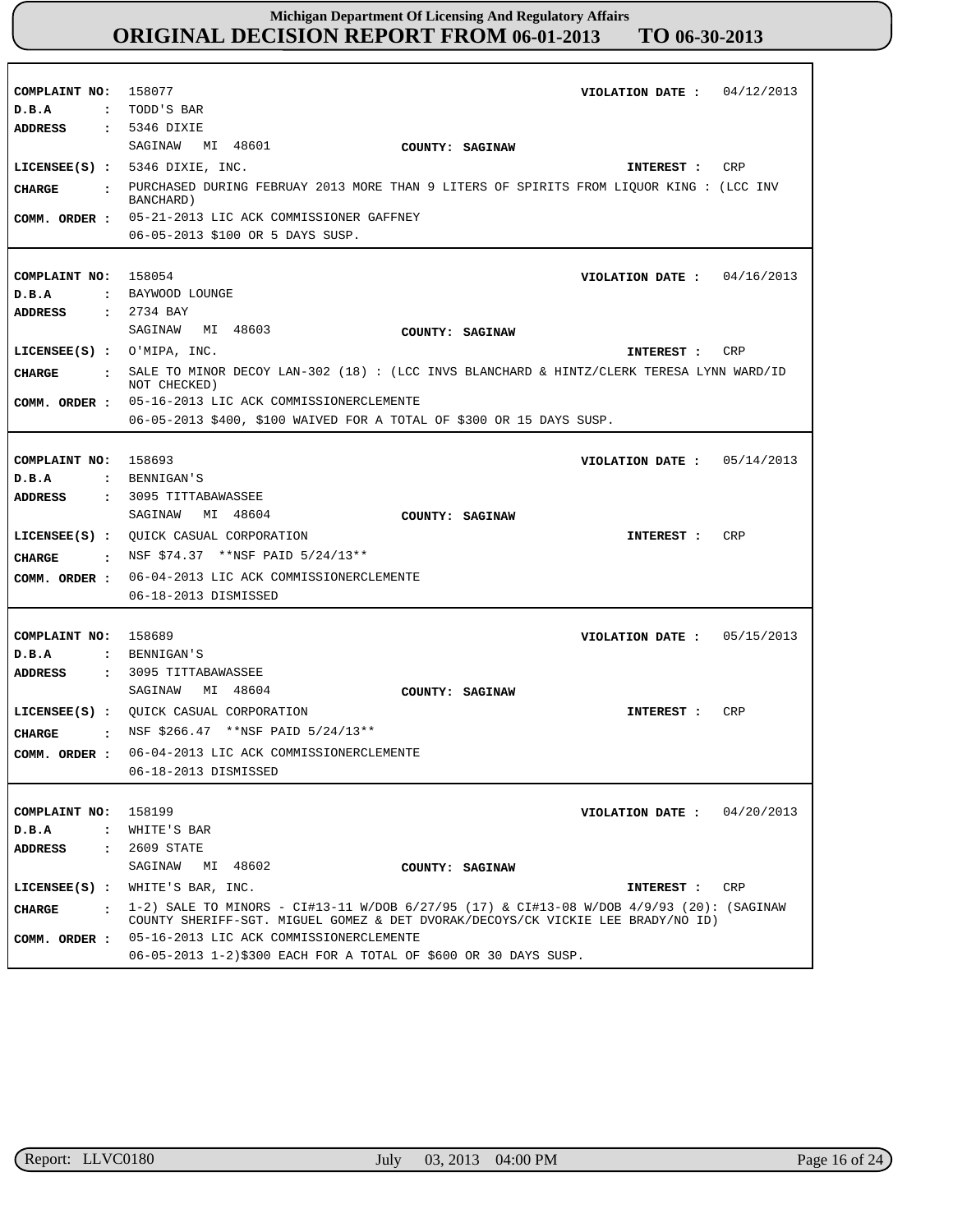| COMPLAINT NO: 158077<br>D.B.A<br>ADDRESS                   | VIOLATION DATE: $04/12/2013$<br>: TODD'S BAR<br>$: 5346$ DIXIE                                |
|------------------------------------------------------------|-----------------------------------------------------------------------------------------------|
|                                                            | SAGINAW MI 48601<br>COUNTY: SAGINAW                                                           |
|                                                            | LICENSEE $(S)$ : 5346 DIXIE, INC.<br>INTEREST :<br>CRP                                        |
| <b>CHARGE</b><br>$\ddot{\cdot}$                            | PURCHASED DURING FEBRUAY 2013 MORE THAN 9 LITERS OF SPIRITS FROM LIQUOR KING : (LCC INV       |
|                                                            | BANCHARD)                                                                                     |
| COMM. ORDER :                                              | 05-21-2013 LIC ACK COMMISSIONER GAFFNEY                                                       |
|                                                            | 06-05-2013 \$100 OR 5 DAYS SUSP.                                                              |
|                                                            |                                                                                               |
| COMPLAINT NO: 158054                                       | VIOLATION DATE: $04/16/2013$<br>: BAYWOOD LOUNGE                                              |
| D.B.A<br>ADDRESS                                           | : 2734 BAY                                                                                    |
|                                                            | SAGINAW MI 48603<br>COUNTY: SAGINAW                                                           |
| LICENSEE $(S)$ : O'MIPA, INC.                              | CRP<br>INTEREST :                                                                             |
|                                                            | SALE TO MINOR DECOY LAN-302 (18) : (LCC INVS BLANCHARD & HINTZ/CLERK TERESA LYNN WARD/ID      |
| <b>CHARGE</b><br>$\ddot{\cdot}$                            | NOT CHECKED)                                                                                  |
|                                                            | COMM. ORDER : 05-16-2013 LIC ACK COMMISSIONERCLEMENTE                                         |
|                                                            | 06-05-2013 \$400, \$100 WAIVED FOR A TOTAL OF \$300 OR 15 DAYS SUSP.                          |
|                                                            |                                                                                               |
| COMPLAINT NO: 158693                                       | 05/14/2013<br>VIOLATION DATE :                                                                |
| D.B.A                                                      | : BENNIGAN'S                                                                                  |
| <b>ADDRESS</b>                                             | : 3095 TITTABAWASSEE                                                                          |
|                                                            | MI 48604<br>SAGINAW<br>COUNTY: SAGINAW                                                        |
|                                                            | LICENSEE(S) : QUICK CASUAL CORPORATION<br><b>CRP</b><br>INTEREST :                            |
| CHARGE<br>$\sim$ $\sim$ $\sim$ $\sim$ $\sim$ $\sim$ $\sim$ | NSF \$74.37 ** NSF PAID 5/24/13**                                                             |
| COMM. ORDER :                                              | 06-04-2013 LIC ACK COMMISSIONERCLEMENTE                                                       |
|                                                            | 06-18-2013 DISMISSED                                                                          |
|                                                            |                                                                                               |
| COMPLAINT NO:                                              | 158689<br>05/15/2013<br>VIOLATION DATE :                                                      |
| D.B.A                                                      | : BENNIGAN'S                                                                                  |
| ADDRESS                                                    | : 3095 TITTABAWASSEE<br>SAGINAW<br>MI 48604<br>COUNTY: SAGINAW                                |
|                                                            | CRP                                                                                           |
|                                                            | LICENSEE(S) : QUICK CASUAL CORPORATION<br>INTEREST :<br>: NSF \$266.47 **NSF PAID $5/24/13**$ |
| <b>CHARGE</b>                                              |                                                                                               |
| COMM. ORDER :                                              | 06-04-2013 LIC ACK COMMISSIONERCLEMENTE                                                       |
|                                                            | 06-18-2013 DISMISSED                                                                          |
|                                                            | 158199                                                                                        |
| COMPLAINT NO:<br>D.B.A<br>$\ddot{\phantom{a}}$             | 04/20/2013<br>VIOLATION DATE :<br>WHITE'S BAR                                                 |
| ADDRESS<br>$\ddot{\phantom{a}}$                            | 2609 STATE                                                                                    |
|                                                            | SAGINAW<br>MI 48602<br>COUNTY: SAGINAW                                                        |
| LICENSEE(S) :                                              | WHITE'S BAR, INC.<br>CRP<br>INTEREST :                                                        |
|                                                            | 1-2) SALE TO MINORS - CI#13-11 W/DOB $6/27/95$ (17) & CI#13-08 W/DOB $4/9/93$ (20): (SAGINAW  |
| <b>CHARGE</b><br>$\cdot$                                   | COUNTY SHERIFF-SGT. MIGUEL GOMEZ & DET DVORAK/DECOYS/CK VICKIE LEE BRADY/NO ID)               |
| COMM. ORDER :                                              | 05-16-2013 LIC ACK COMMISSIONERCLEMENTE                                                       |
|                                                            | 06-05-2013 1-2)\$300 EACH FOR A TOTAL OF \$600 OR 30 DAYS SUSP.                               |

٦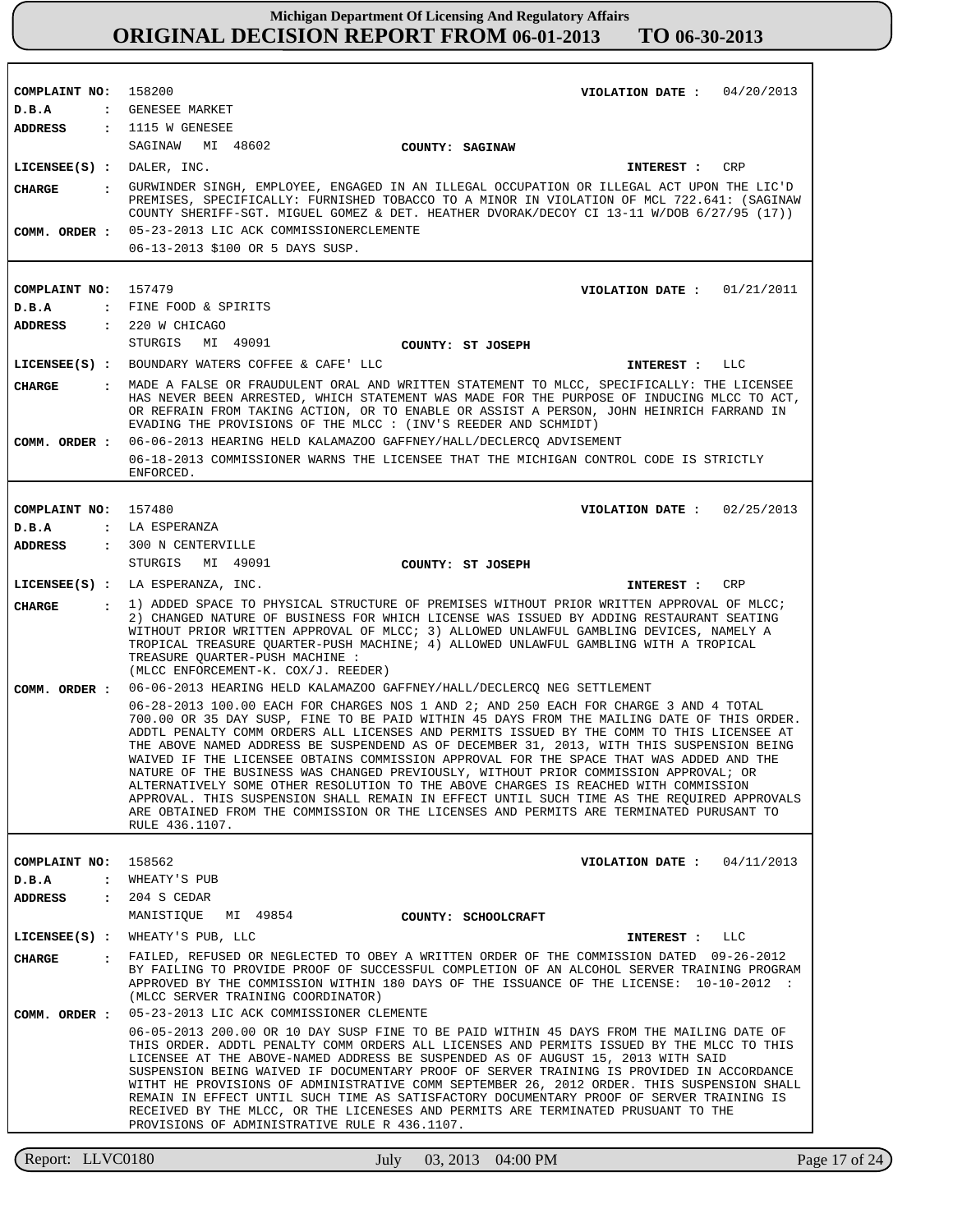| COMPLAINT NO: 158200                   |                                                                                                                                                                                                                                                                                                                                                                                                                                                                                                                                                                                                                                                                                                                                                                                                                                                                    |               |
|----------------------------------------|--------------------------------------------------------------------------------------------------------------------------------------------------------------------------------------------------------------------------------------------------------------------------------------------------------------------------------------------------------------------------------------------------------------------------------------------------------------------------------------------------------------------------------------------------------------------------------------------------------------------------------------------------------------------------------------------------------------------------------------------------------------------------------------------------------------------------------------------------------------------|---------------|
| D.B.A                                  | VIOLATION DATE: $04/20/2013$<br>: GENESEE MARKET                                                                                                                                                                                                                                                                                                                                                                                                                                                                                                                                                                                                                                                                                                                                                                                                                   |               |
| <b>ADDRESS</b>                         | $: 1115$ W GENESEE                                                                                                                                                                                                                                                                                                                                                                                                                                                                                                                                                                                                                                                                                                                                                                                                                                                 |               |
|                                        | SAGINAW MI 48602<br>COUNTY: SAGINAW                                                                                                                                                                                                                                                                                                                                                                                                                                                                                                                                                                                                                                                                                                                                                                                                                                |               |
| $LICENSEE(S)$ : DALER, INC.            | CRP<br>INTEREST :                                                                                                                                                                                                                                                                                                                                                                                                                                                                                                                                                                                                                                                                                                                                                                                                                                                  |               |
| <b>CHARGE</b>                          | : GURWINDER SINGH, EMPLOYEE, ENGAGED IN AN ILLEGAL OCCUPATION OR ILLEGAL ACT UPON THE LIC'D                                                                                                                                                                                                                                                                                                                                                                                                                                                                                                                                                                                                                                                                                                                                                                        |               |
|                                        | PREMISES, SPECIFICALLY: FURNISHED TOBACCO TO A MINOR IN VIOLATION OF MCL 722.641: (SAGINAW<br>COUNTY SHERIFF-SGT. MIGUEL GOMEZ & DET. HEATHER DVORAK/DECOY CI 13-11 W/DOB 6/27/95 (17))                                                                                                                                                                                                                                                                                                                                                                                                                                                                                                                                                                                                                                                                            |               |
| COMM. ORDER :                          | 05-23-2013 LIC ACK COMMISSIONERCLEMENTE                                                                                                                                                                                                                                                                                                                                                                                                                                                                                                                                                                                                                                                                                                                                                                                                                            |               |
|                                        | 06-13-2013 \$100 OR 5 DAYS SUSP.                                                                                                                                                                                                                                                                                                                                                                                                                                                                                                                                                                                                                                                                                                                                                                                                                                   |               |
|                                        |                                                                                                                                                                                                                                                                                                                                                                                                                                                                                                                                                                                                                                                                                                                                                                                                                                                                    |               |
| COMPLAINT NO:                          | 157479<br>VIOLATION DATE: $01/21/2011$                                                                                                                                                                                                                                                                                                                                                                                                                                                                                                                                                                                                                                                                                                                                                                                                                             |               |
| D.B.A                                  | : FINE FOOD & SPIRITS                                                                                                                                                                                                                                                                                                                                                                                                                                                                                                                                                                                                                                                                                                                                                                                                                                              |               |
| <b>ADDRESS</b>                         | $: 220$ W CHICAGO                                                                                                                                                                                                                                                                                                                                                                                                                                                                                                                                                                                                                                                                                                                                                                                                                                                  |               |
|                                        | STURGIS MI 49091<br>COUNTY: ST JOSEPH                                                                                                                                                                                                                                                                                                                                                                                                                                                                                                                                                                                                                                                                                                                                                                                                                              |               |
|                                        | LICENSEE(S) : BOUNDARY WATERS COFFEE & CAFE' LLC<br>INTEREST : LLC                                                                                                                                                                                                                                                                                                                                                                                                                                                                                                                                                                                                                                                                                                                                                                                                 |               |
| <b>CHARGE</b>                          | : MADE A FALSE OR FRAUDULENT ORAL AND WRITTEN STATEMENT TO MLCC, SPECIFICALLY: THE LICENSEE                                                                                                                                                                                                                                                                                                                                                                                                                                                                                                                                                                                                                                                                                                                                                                        |               |
|                                        | HAS NEVER BEEN ARRESTED, WHICH STATEMENT WAS MADE FOR THE PURPOSE OF INDUCING MLCC TO ACT,<br>OR REFRAIN FROM TAKING ACTION, OR TO ENABLE OR ASSIST A PERSON, JOHN HEINRICH FARRAND IN<br>EVADING THE PROVISIONS OF THE MLCC : (INV'S REEDER AND SCHMIDT)<br>COMM. ORDER : 06-06-2013 HEARING HELD KALAMAZOO GAFFNEY/HALL/DECLERCQ ADVISEMENT                                                                                                                                                                                                                                                                                                                                                                                                                                                                                                                      |               |
|                                        | 06-18-2013 COMMISSIONER WARNS THE LICENSEE THAT THE MICHIGAN CONTROL CODE IS STRICTLY                                                                                                                                                                                                                                                                                                                                                                                                                                                                                                                                                                                                                                                                                                                                                                              |               |
|                                        | ENFORCED.                                                                                                                                                                                                                                                                                                                                                                                                                                                                                                                                                                                                                                                                                                                                                                                                                                                          |               |
| COMPLAINT NO: 157480                   | VIOLATION DATE: $02/25/2013$                                                                                                                                                                                                                                                                                                                                                                                                                                                                                                                                                                                                                                                                                                                                                                                                                                       |               |
| D.B.A                                  | : LA ESPERANZA                                                                                                                                                                                                                                                                                                                                                                                                                                                                                                                                                                                                                                                                                                                                                                                                                                                     |               |
| ADDRESS                                | : 300 N CENTERVILLE                                                                                                                                                                                                                                                                                                                                                                                                                                                                                                                                                                                                                                                                                                                                                                                                                                                |               |
|                                        | STURGIS MI 49091<br>COUNTY: ST JOSEPH                                                                                                                                                                                                                                                                                                                                                                                                                                                                                                                                                                                                                                                                                                                                                                                                                              |               |
|                                        | LICENSEE(S) : LA ESPERANZA, INC.<br>CRP<br><b>INTEREST :</b>                                                                                                                                                                                                                                                                                                                                                                                                                                                                                                                                                                                                                                                                                                                                                                                                       |               |
| CHARGE<br>$\mathbf{r}$                 | 1) ADDED SPACE TO PHYSICAL STRUCTURE OF PREMISES WITHOUT PRIOR WRITTEN APPROVAL OF MLCC;                                                                                                                                                                                                                                                                                                                                                                                                                                                                                                                                                                                                                                                                                                                                                                           |               |
|                                        | 2) CHANGED NATURE OF BUSINESS FOR WHICH LICENSE WAS ISSUED BY ADDING RESTAURANT SEATING<br>WITHOUT PRIOR WRITTEN APPROVAL OF MLCC; 3) ALLOWED UNLAWFUL GAMBLING DEVICES, NAMELY A<br>TROPICAL TREASURE QUARTER-PUSH MACHINE; 4) ALLOWED UNLAWFUL GAMBLING WITH A TROPICAL<br>TREASURE QUARTER-PUSH MACHINE :<br>(MLCC ENFORCEMENT-K. COX/J. REEDER)                                                                                                                                                                                                                                                                                                                                                                                                                                                                                                                |               |
| COMM. ORDER :                          | 06-06-2013 HEARING HELD KALAMAZOO GAFFNEY/HALL/DECLERCQ NEG SETTLEMENT                                                                                                                                                                                                                                                                                                                                                                                                                                                                                                                                                                                                                                                                                                                                                                                             |               |
|                                        | 06-28-2013 100.00 EACH FOR CHARGES NOS 1 AND 2; AND 250 EACH FOR CHARGE 3 AND 4 TOTAL<br>700.00 OR 35 DAY SUSP, FINE TO BE PAID WITHIN 45 DAYS FROM THE MAILING DATE OF THIS ORDER.<br>ADDTL PENALTY COMM ORDERS ALL LICENSES AND PERMITS ISSUED BY THE COMM TO THIS LICENSEE AT<br>THE ABOVE NAMED ADDRESS BE SUSPENDEND AS OF DECEMBER 31, 2013, WITH THIS SUSPENSION BEING<br>WAIVED IF THE LICENSEE OBTAINS COMMISSION APPROVAL FOR THE SPACE THAT WAS ADDED AND THE<br>NATURE OF THE BUSINESS WAS CHANGED PREVIOUSLY, WITHOUT PRIOR COMMISSION APPROVAL; OR<br>ALTERNATIVELY SOME OTHER RESOLUTION TO THE ABOVE CHARGES IS REACHED WITH COMMISSION<br>APPROVAL. THIS SUSPENSION SHALL REMAIN IN EFFECT UNTIL SUCH TIME AS THE REQUIRED APPROVALS<br>ARE OBTAINED FROM THE COMMISSION OR THE LICENSES AND PERMITS ARE TERMINATED PURUSANT TO<br>RULE 436.1107. |               |
| COMPLAINT NO:                          | 158562<br>04/11/2013<br>VIOLATION DATE :                                                                                                                                                                                                                                                                                                                                                                                                                                                                                                                                                                                                                                                                                                                                                                                                                           |               |
| D.B.A<br>$\ddot{\cdot}$                | WHEATY'S PUB                                                                                                                                                                                                                                                                                                                                                                                                                                                                                                                                                                                                                                                                                                                                                                                                                                                       |               |
| <b>ADDRESS</b><br>$\ddot{\phantom{a}}$ | 204 S CEDAR                                                                                                                                                                                                                                                                                                                                                                                                                                                                                                                                                                                                                                                                                                                                                                                                                                                        |               |
|                                        | MANISTIQUE<br>MI 49854<br>COUNTY: SCHOOLCRAFT                                                                                                                                                                                                                                                                                                                                                                                                                                                                                                                                                                                                                                                                                                                                                                                                                      |               |
| $LICENSEE(S)$ :                        | WHEATY'S PUB, LLC<br>LLC<br>INTEREST :                                                                                                                                                                                                                                                                                                                                                                                                                                                                                                                                                                                                                                                                                                                                                                                                                             |               |
| <b>CHARGE</b><br>$\cdot$               | FAILED, REFUSED OR NEGLECTED TO OBEY A WRITTEN ORDER OF THE COMMISSION DATED 09-26-2012                                                                                                                                                                                                                                                                                                                                                                                                                                                                                                                                                                                                                                                                                                                                                                            |               |
|                                        | BY FAILING TO PROVIDE PROOF OF SUCCESSFUL COMPLETION OF AN ALCOHOL SERVER TRAINING PROGRAM<br>APPROVED BY THE COMMISSION WITHIN 180 DAYS OF THE ISSUANCE OF THE LICENSE: 10-10-2012 :<br>(MLCC SERVER TRAINING COORDINATOR)                                                                                                                                                                                                                                                                                                                                                                                                                                                                                                                                                                                                                                        |               |
| COMM. ORDER :                          | 05-23-2013 LIC ACK COMMISSIONER CLEMENTE                                                                                                                                                                                                                                                                                                                                                                                                                                                                                                                                                                                                                                                                                                                                                                                                                           |               |
|                                        | 06-05-2013 200.00 OR 10 DAY SUSP FINE TO BE PAID WITHIN 45 DAYS FROM THE MAILING DATE OF<br>THIS ORDER. ADDTL PENALTY COMM ORDERS ALL LICENSES AND PERMITS ISSUED BY THE MLCC TO THIS<br>LICENSEE AT THE ABOVE-NAMED ADDRESS BE SUSPENDED AS OF AUGUST 15, 2013 WITH SAID<br>SUSPENSION BEING WAIVED IF DOCUMENTARY PROOF OF SERVER TRAINING IS PROVIDED IN ACCORDANCE<br>WITHT HE PROVISIONS OF ADMINISTRATIVE COMM SEPTEMBER 26, 2012 ORDER. THIS SUSPENSION SHALL<br>REMAIN IN EFFECT UNTIL SUCH TIME AS SATISFACTORY DOCUMENTARY PROOF OF SERVER TRAINING IS<br>RECEIVED BY THE MLCC, OR THE LICENESES AND PERMITS ARE TERMINATED PRUSUANT TO THE<br>PROVISIONS OF ADMINISTRATIVE RULE R 436.1107.                                                                                                                                                             |               |
| Report: LLVC0180                       | 03, 2013 04:00 PM<br>July                                                                                                                                                                                                                                                                                                                                                                                                                                                                                                                                                                                                                                                                                                                                                                                                                                          | Page 17 of 24 |
|                                        |                                                                                                                                                                                                                                                                                                                                                                                                                                                                                                                                                                                                                                                                                                                                                                                                                                                                    |               |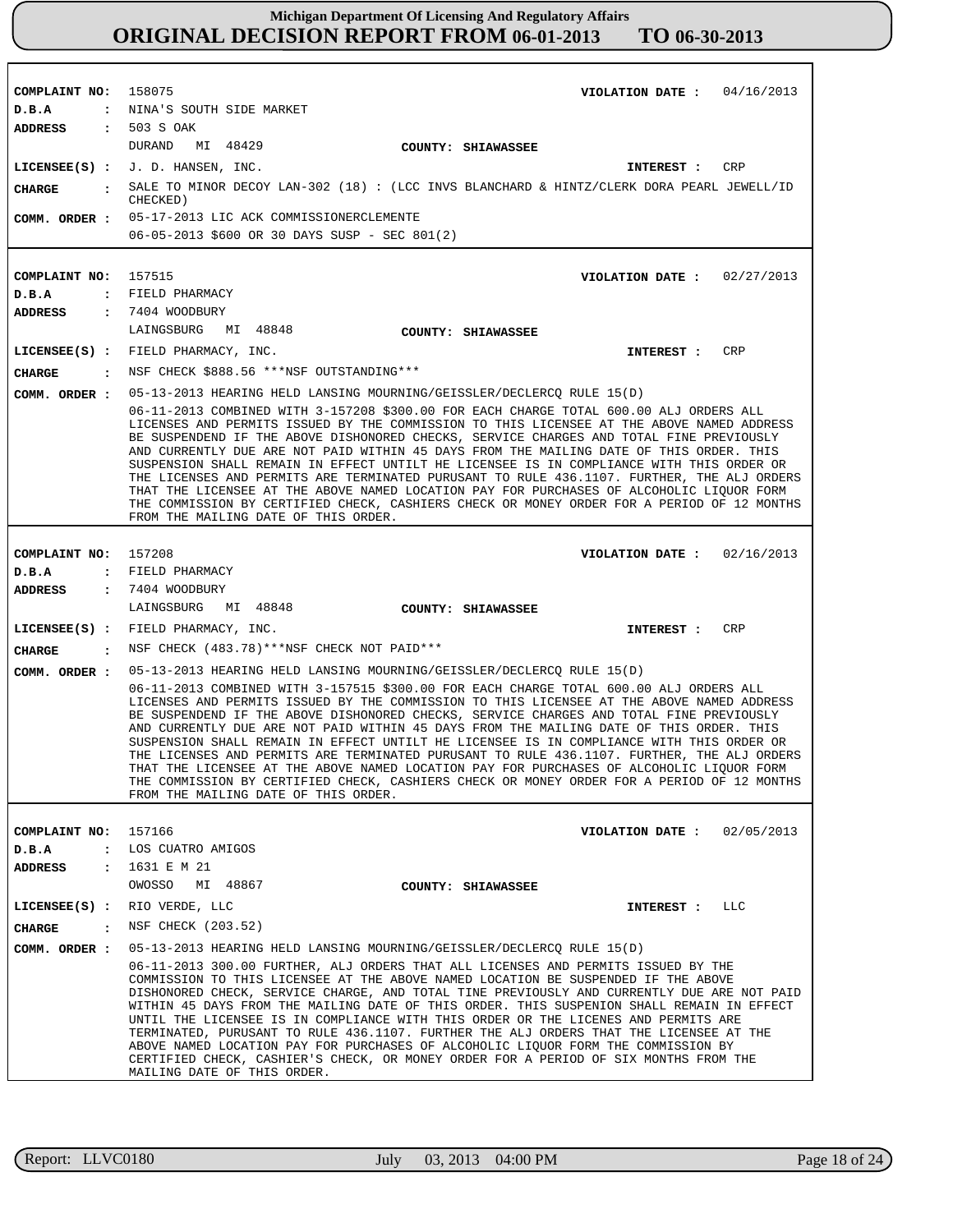| COMPLAINT NO: 158075 | VIOLATION DATE: $04/16/2013$                                                                                                                                                                                                                                                                                                                                                                                                                                                                                                                                                                                                                                                                                                                                                                                                           |
|----------------------|----------------------------------------------------------------------------------------------------------------------------------------------------------------------------------------------------------------------------------------------------------------------------------------------------------------------------------------------------------------------------------------------------------------------------------------------------------------------------------------------------------------------------------------------------------------------------------------------------------------------------------------------------------------------------------------------------------------------------------------------------------------------------------------------------------------------------------------|
| D.B.A                | : NINA'S SOUTH SIDE MARKET                                                                                                                                                                                                                                                                                                                                                                                                                                                                                                                                                                                                                                                                                                                                                                                                             |
| <b>ADDRESS</b>       | : 503 S OAK                                                                                                                                                                                                                                                                                                                                                                                                                                                                                                                                                                                                                                                                                                                                                                                                                            |
|                      | DURAND<br>MI 48429<br>COUNTY: SHIAWASSEE                                                                                                                                                                                                                                                                                                                                                                                                                                                                                                                                                                                                                                                                                                                                                                                               |
|                      | $LICENSEE(S)$ : J.D. HANSEN, INC.<br>CRP<br>INTEREST :                                                                                                                                                                                                                                                                                                                                                                                                                                                                                                                                                                                                                                                                                                                                                                                 |
| CHARGE               | SALE TO MINOR DECOY LAN-302 (18) : (LCC INVS BLANCHARD & HINTZ/CLERK DORA PEARL JEWELL/ID<br>CHECKED)                                                                                                                                                                                                                                                                                                                                                                                                                                                                                                                                                                                                                                                                                                                                  |
|                      | COMM. ORDER : 05-17-2013 LIC ACK COMMISSIONERCLEMENTE                                                                                                                                                                                                                                                                                                                                                                                                                                                                                                                                                                                                                                                                                                                                                                                  |
|                      | 06-05-2013 \$600 OR 30 DAYS SUSP - SEC 801(2)                                                                                                                                                                                                                                                                                                                                                                                                                                                                                                                                                                                                                                                                                                                                                                                          |
|                      |                                                                                                                                                                                                                                                                                                                                                                                                                                                                                                                                                                                                                                                                                                                                                                                                                                        |
| COMPLAINT NO:        | 157515<br>VIOLATION DATE: $02/27/2013$                                                                                                                                                                                                                                                                                                                                                                                                                                                                                                                                                                                                                                                                                                                                                                                                 |
| D.B.A                | : FIELD PHARMACY                                                                                                                                                                                                                                                                                                                                                                                                                                                                                                                                                                                                                                                                                                                                                                                                                       |
| ADDRESS              | : 7404 WOODBURY                                                                                                                                                                                                                                                                                                                                                                                                                                                                                                                                                                                                                                                                                                                                                                                                                        |
|                      | LAINGSBURG MI 48848<br>COUNTY: SHIAWASSEE                                                                                                                                                                                                                                                                                                                                                                                                                                                                                                                                                                                                                                                                                                                                                                                              |
|                      | LICENSEE(S) : FIELD PHARMACY, INC.<br>CRP<br>INTEREST :                                                                                                                                                                                                                                                                                                                                                                                                                                                                                                                                                                                                                                                                                                                                                                                |
| <b>CHARGE</b>        | : NSF CHECK \$888.56 ***NSF OUTSTANDING***                                                                                                                                                                                                                                                                                                                                                                                                                                                                                                                                                                                                                                                                                                                                                                                             |
| COMM. ORDER :        | 05-13-2013 HEARING HELD LANSING MOURNING/GEISSLER/DECLERCO RULE 15(D)                                                                                                                                                                                                                                                                                                                                                                                                                                                                                                                                                                                                                                                                                                                                                                  |
|                      | 06-11-2013 COMBINED WITH 3-157208 \$300.00 FOR EACH CHARGE TOTAL 600.00 ALJ ORDERS ALL<br>LICENSES AND PERMITS ISSUED BY THE COMMISSION TO THIS LICENSEE AT THE ABOVE NAMED ADDRESS<br>BE SUSPENDEND IF THE ABOVE DISHONORED CHECKS, SERVICE CHARGES AND TOTAL FINE PREVIOUSLY<br>AND CURRENTLY DUE ARE NOT PAID WITHIN 45 DAYS FROM THE MAILING DATE OF THIS ORDER. THIS<br>SUSPENSION SHALL REMAIN IN EFFECT UNTILT HE LICENSEE IS IN COMPLIANCE WITH THIS ORDER OR<br>THE LICENSES AND PERMITS ARE TERMINATED PURUSANT TO RULE 436.1107. FURTHER, THE ALJ ORDERS<br>THAT THE LICENSEE AT THE ABOVE NAMED LOCATION PAY FOR PURCHASES OF ALCOHOLIC LIQUOR FORM<br>THE COMMISSION BY CERTIFIED CHECK, CASHIERS CHECK OR MONEY ORDER FOR A PERIOD OF 12 MONTHS<br>FROM THE MAILING DATE OF THIS ORDER.                                  |
|                      |                                                                                                                                                                                                                                                                                                                                                                                                                                                                                                                                                                                                                                                                                                                                                                                                                                        |
| COMPLAINT NO:        | 157208<br>VIOLATION DATE: $02/16/2013$                                                                                                                                                                                                                                                                                                                                                                                                                                                                                                                                                                                                                                                                                                                                                                                                 |
| D.B.A                | : FIELD PHARMACY                                                                                                                                                                                                                                                                                                                                                                                                                                                                                                                                                                                                                                                                                                                                                                                                                       |
| <b>ADDRESS</b>       | : 7404 WOODBURY<br>LAINGSBURG MI 48848<br>COUNTY: SHIAWASSEE                                                                                                                                                                                                                                                                                                                                                                                                                                                                                                                                                                                                                                                                                                                                                                           |
|                      | LICENSEE(S) : FIELD PHARMACY, INC.<br>INTEREST :<br>CRP                                                                                                                                                                                                                                                                                                                                                                                                                                                                                                                                                                                                                                                                                                                                                                                |
| <b>CHARGE</b>        | : NSF CHECK (483.78) *** NSF CHECK NOT PAID ***                                                                                                                                                                                                                                                                                                                                                                                                                                                                                                                                                                                                                                                                                                                                                                                        |
| COMM. ORDER :        | 05-13-2013 HEARING HELD LANSING MOURNING/GEISSLER/DECLERCO RULE 15(D)                                                                                                                                                                                                                                                                                                                                                                                                                                                                                                                                                                                                                                                                                                                                                                  |
|                      | 06-11-2013 COMBINED WITH 3-157515 \$300.00 FOR EACH CHARGE TOTAL 600.00 ALJ ORDERS ALL<br>LICENSES AND PERMITS ISSUED BY THE COMMISSION TO THIS LICENSEE AT THE ABOVE NAMED ADDRESS<br>BE SUSPENDEND IF THE ABOVE DISHONORED CHECKS, SERVICE CHARGES AND TOTAL FINE PREVIOUSLY<br>AND CURRENTLY DUE ARE NOT PAID WITHIN 45 DAYS FROM THE MAILING DATE OF THIS ORDER. THIS<br>SUSPENSION SHALL REMAIN IN EFFECT UNTILT HE LICENSEE IS IN COMPLIANCE WITH THIS ORDER OR<br>THE LICENSES AND PERMITS ARE TERMINATED PURUSANT TO RULE 436.1107. FURTHER, THE ALJ ORDERS<br>THAT THE LICENSEE AT THE ABOVE NAMED LOCATION PAY FOR PURCHASES OF ALCOHOLIC LIQUOR FORM<br>THE COMMISSION BY CERTIFIED CHECK, CASHIERS CHECK OR MONEY ORDER FOR A PERIOD OF 12 MONTHS<br>FROM THE MAILING DATE OF THIS ORDER.                                  |
|                      |                                                                                                                                                                                                                                                                                                                                                                                                                                                                                                                                                                                                                                                                                                                                                                                                                                        |
| COMPLAINT NO: 157166 | VIOLATION DATE: $02/05/2013$                                                                                                                                                                                                                                                                                                                                                                                                                                                                                                                                                                                                                                                                                                                                                                                                           |
| D.B.A                | : LOS CUATRO AMIGOS                                                                                                                                                                                                                                                                                                                                                                                                                                                                                                                                                                                                                                                                                                                                                                                                                    |
| ADDRESS              | : 1631 E M 21<br>OWOSSO<br>MI 48867                                                                                                                                                                                                                                                                                                                                                                                                                                                                                                                                                                                                                                                                                                                                                                                                    |
|                      | COUNTY: SHIAWASSEE<br>LICENSE (S) : RIO VERDE, LLC<br>INTEREST : LLC                                                                                                                                                                                                                                                                                                                                                                                                                                                                                                                                                                                                                                                                                                                                                                   |
|                      |                                                                                                                                                                                                                                                                                                                                                                                                                                                                                                                                                                                                                                                                                                                                                                                                                                        |
| <b>CHARGE</b>        | : NSF CHECK (203.52)                                                                                                                                                                                                                                                                                                                                                                                                                                                                                                                                                                                                                                                                                                                                                                                                                   |
| COMM. ORDER :        | 05-13-2013 HEARING HELD LANSING MOURNING/GEISSLER/DECLERCO RULE 15(D)<br>06-11-2013 300.00 FURTHER, ALJ ORDERS THAT ALL LICENSES AND PERMITS ISSUED BY THE<br>COMMISSION TO THIS LICENSEE AT THE ABOVE NAMED LOCATION BE SUSPENDED IF THE ABOVE<br>DISHONORED CHECK, SERVICE CHARGE, AND TOTAL TINE PREVIOUSLY AND CURRENTLY DUE ARE NOT PAID<br>WITHIN 45 DAYS FROM THE MAILING DATE OF THIS ORDER. THIS SUSPENION SHALL REMAIN IN EFFECT<br>UNTIL THE LICENSEE IS IN COMPLIANCE WITH THIS ORDER OR THE LICENES AND PERMITS ARE<br>TERMINATED, PURUSANT TO RULE 436.1107. FURTHER THE ALJ ORDERS THAT THE LICENSEE AT THE<br>ABOVE NAMED LOCATION PAY FOR PURCHASES OF ALCOHOLIC LIQUOR FORM THE COMMISSION BY<br>CERTIFIED CHECK, CASHIER'S CHECK, OR MONEY ORDER FOR A PERIOD OF SIX MONTHS FROM THE<br>MAILING DATE OF THIS ORDER. |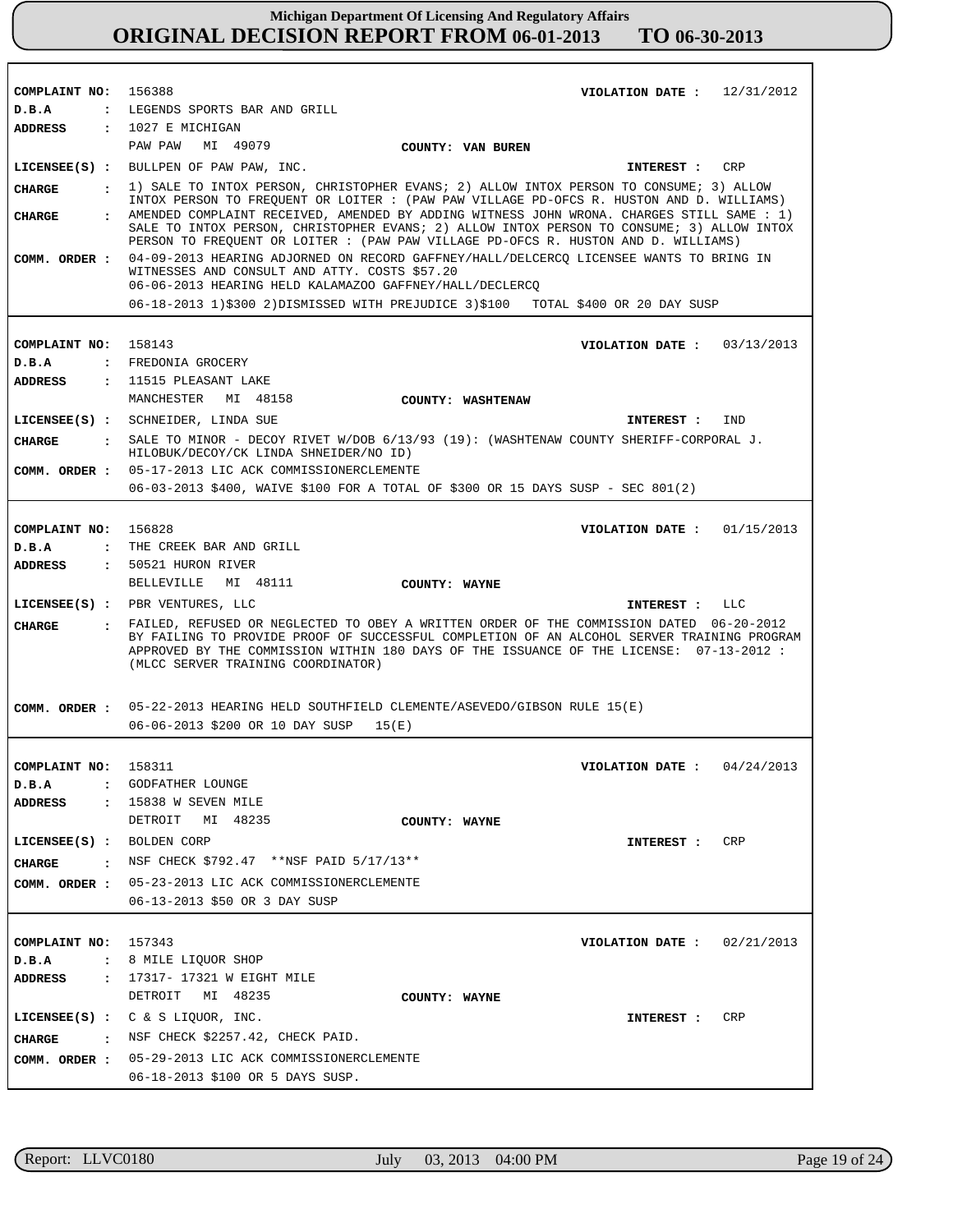| COMPLAINT NO: 156388      |                | VIOLATION DATE: $12/31/2012$                                                                                                                                                                                                                                                                                                                                             |
|---------------------------|----------------|--------------------------------------------------------------------------------------------------------------------------------------------------------------------------------------------------------------------------------------------------------------------------------------------------------------------------------------------------------------------------|
| D.B.A                     |                | : LEGENDS SPORTS BAR AND GRILL                                                                                                                                                                                                                                                                                                                                           |
| <b>ADDRESS</b>            |                | $: 1027$ E MICHIGAN                                                                                                                                                                                                                                                                                                                                                      |
|                           |                | PAW PAW MI 49079<br>COUNTY: VAN BUREN                                                                                                                                                                                                                                                                                                                                    |
|                           |                | LICENSEE(S) : BULLPEN OF PAW PAW, INC.<br>CRP<br><b>INTEREST :</b>                                                                                                                                                                                                                                                                                                       |
| <b>CHARGE</b>             |                | . 1) SALE TO INTOX PERSON, CHRISTOPHER EVANS; 2) ALLOW INTOX PERSON TO CONSUME; 3) ALLOW                                                                                                                                                                                                                                                                                 |
| <b>CHARGE</b>             | $\mathbf{r}$   | INTOX PERSON TO FREQUENT OR LOITER : (PAW PAW VILLAGE PD-OFCS R. HUSTON AND D. WILLIAMS)<br>AMENDED COMPLAINT RECEIVED, AMENDED BY ADDING WITNESS JOHN WRONA. CHARGES STILL SAME : 1)<br>SALE TO INTOX PERSON, CHRISTOPHER EVANS; 2) ALLOW INTOX PERSON TO CONSUME; 3) ALLOW INTOX<br>PERSON TO FREQUENT OR LOITER : (PAW PAW VILLAGE PD-OFCS R. HUSTON AND D. WILLIAMS) |
| COMM. ORDER :             |                | 04-09-2013 HEARING ADJORNED ON RECORD GAFFNEY/HALL/DELCERCQ LICENSEE WANTS TO BRING IN<br>WITNESSES AND CONSULT AND ATTY. COSTS \$57.20<br>06-06-2013 HEARING HELD KALAMAZOO GAFFNEY/HALL/DECLERCQ                                                                                                                                                                       |
|                           |                | 06-18-2013 1)\$300 2)DISMISSED WITH PREJUDICE 3)\$100 TOTAL \$400 OR 20 DAY SUSP                                                                                                                                                                                                                                                                                         |
|                           |                |                                                                                                                                                                                                                                                                                                                                                                          |
| COMPLAINT NO: 158143      |                | VIOLATION DATE: $03/13/2013$                                                                                                                                                                                                                                                                                                                                             |
| D.B.A                     |                | : FREDONIA GROCERY                                                                                                                                                                                                                                                                                                                                                       |
| <b>ADDRESS</b>            |                | : 11515 PLEASANT LAKE                                                                                                                                                                                                                                                                                                                                                    |
|                           |                | MANCHESTER MI 48158<br>COUNTY: WASHTENAW                                                                                                                                                                                                                                                                                                                                 |
|                           |                | LICENSEE(S) : SCHNEIDER, LINDA SUE<br>IND<br>INTEREST :                                                                                                                                                                                                                                                                                                                  |
| <b>CHARGE</b>             |                | : SALE TO MINOR - DECOY RIVET W/DOB 6/13/93 (19): (WASHTENAW COUNTY SHERIFF-CORPORAL J.<br>HILOBUK/DECOY/CK LINDA SHNEIDER/NO ID)                                                                                                                                                                                                                                        |
|                           |                | COMM. ORDER : 05-17-2013 LIC ACK COMMISSIONERCLEMENTE                                                                                                                                                                                                                                                                                                                    |
|                           |                | 06-03-2013 \$400, WAIVE \$100 FOR A TOTAL OF \$300 OR 15 DAYS SUSP - SEC 801(2)                                                                                                                                                                                                                                                                                          |
|                           |                |                                                                                                                                                                                                                                                                                                                                                                          |
| COMPLAINT NO:             |                | 156828<br>VIOLATION DATE: $01/15/2013$                                                                                                                                                                                                                                                                                                                                   |
| D.B.A                     | $\ddot{\cdot}$ | THE CREEK BAR AND GRILL                                                                                                                                                                                                                                                                                                                                                  |
| <b>ADDRESS</b>            |                | : 50521 HURON RIVER                                                                                                                                                                                                                                                                                                                                                      |
|                           |                | BELLEVILLE MI 48111<br>COUNTY: WAYNE                                                                                                                                                                                                                                                                                                                                     |
|                           |                | $LICENSEE(S)$ : PBR VENTURES, LLC<br>INTEREST : LLC                                                                                                                                                                                                                                                                                                                      |
| <b>CHARGE</b>             |                | : FAILED, REFUSED OR NEGLECTED TO OBEY A WRITTEN ORDER OF THE COMMISSION DATED 06-20-2012<br>BY FAILING TO PROVIDE PROOF OF SUCCESSFUL COMPLETION OF AN ALCOHOL SERVER TRAINING PROGRAM<br>APPROVED BY THE COMMISSION WITHIN 180 DAYS OF THE ISSUANCE OF THE LICENSE: 07-13-2012 :<br>(MLCC SERVER TRAINING COORDINATOR)                                                 |
|                           |                | COMM. ORDER : 05-22-2013 HEARING HELD SOUTHFIELD CLEMENTE/ASEVEDO/GIBSON RULE 15(E)                                                                                                                                                                                                                                                                                      |
|                           |                | 06-06-2013 \$200 OR 10 DAY SUSP<br>15(E)                                                                                                                                                                                                                                                                                                                                 |
|                           |                |                                                                                                                                                                                                                                                                                                                                                                          |
| COMPLAINT NO: 158311      |                | VIOLATION DATE: $04/24/2013$                                                                                                                                                                                                                                                                                                                                             |
| D.B.A                     |                | : GODFATHER LOUNGE                                                                                                                                                                                                                                                                                                                                                       |
| ADDRESS                   |                | : 15838 W SEVEN MILE                                                                                                                                                                                                                                                                                                                                                     |
|                           |                | DETROIT MI 48235<br>COUNTY: WAYNE                                                                                                                                                                                                                                                                                                                                        |
| LICENSEE(S) : BOLDEN CORP |                | CRP<br>INTEREST :                                                                                                                                                                                                                                                                                                                                                        |
| <b>CHARGE</b>             |                | : NSF CHECK \$792.47 **NSF PAID 5/17/13**                                                                                                                                                                                                                                                                                                                                |
|                           |                | COMM. ORDER : 05-23-2013 LIC ACK COMMISSIONERCLEMENTE                                                                                                                                                                                                                                                                                                                    |
|                           |                | 06-13-2013 \$50 OR 3 DAY SUSP                                                                                                                                                                                                                                                                                                                                            |
|                           |                |                                                                                                                                                                                                                                                                                                                                                                          |
|                           |                |                                                                                                                                                                                                                                                                                                                                                                          |
| COMPLAINT NO: 157343      |                | VIOLATION DATE: $02/21/2013$                                                                                                                                                                                                                                                                                                                                             |
| D.B.A                     |                | : 8 MILE LIQUOR SHOP                                                                                                                                                                                                                                                                                                                                                     |
| ADDRESS                   |                | : 17317- 17321 W EIGHT MILE                                                                                                                                                                                                                                                                                                                                              |
|                           |                | DETROIT MI 48235<br>COUNTY: WAYNE                                                                                                                                                                                                                                                                                                                                        |
|                           |                | LICENSEE(S) : $C & S$ LIQUOR, INC.<br>CRP<br>INTEREST :                                                                                                                                                                                                                                                                                                                  |
| CHARGE                    |                | NSF CHECK \$2257.42, CHECK PAID.                                                                                                                                                                                                                                                                                                                                         |
|                           |                | COMM. ORDER : 05-29-2013 LIC ACK COMMISSIONERCLEMENTE                                                                                                                                                                                                                                                                                                                    |
|                           |                | 06-18-2013 \$100 OR 5 DAYS SUSP.                                                                                                                                                                                                                                                                                                                                         |

r

٦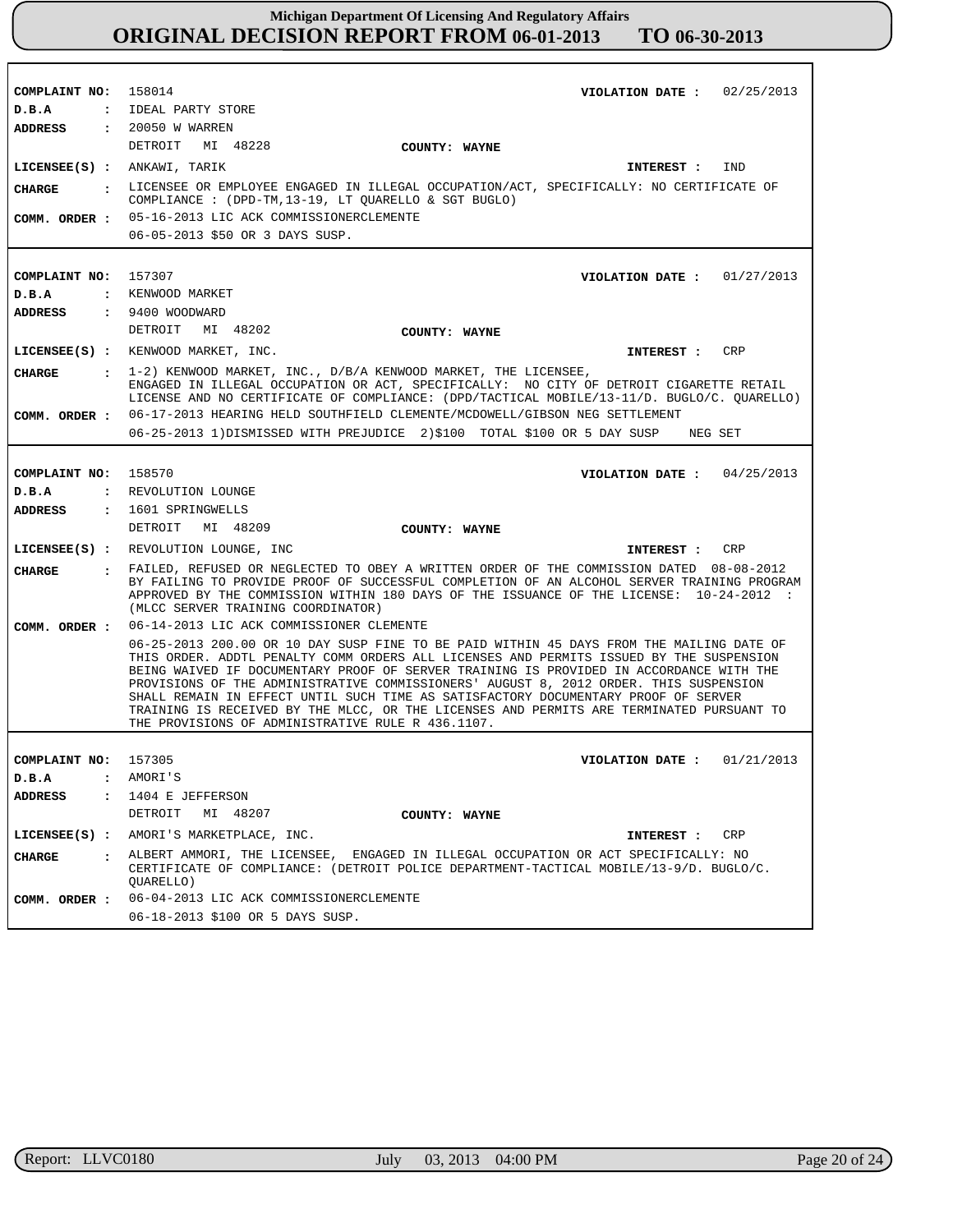**COMPLAINT NO: COMPLAINT NO:** 157307 **COMPLAINT NO:** 158570 **COMPLAINT NO:** 157305 158014 **VIOLATION DATE : VIOLATION DATE : VIOLATION DATE : VIOLATION DATE :** 01/21/2013 02/25/2013 01/27/2013 04/25/2013 **D.B.A : D.B.A : D.B.A : D.B.A :** IDEAL PARTY STORE KENWOOD MARKET REVOLUTION LOUNGE AMORI'S **ADDRESS : ADDRESS : ADDRESS : ADDRESS :** 20050 W WARREN 9400 WOODWARD 1601 SPRINGWELLS 1404 E JEFFERSON DETROIT MI 48228 DETROIT MI 48202 DETROIT MI 48209 DETROIT MI 48207 05-16-2013 LIC ACK COMMISSIONERCLEMENTE 06-05-2013 \$50 OR 3 DAYS SUSP. 06-17-2013 HEARING HELD SOUTHFIELD CLEMENTE/MCDOWELL/GIBSON NEG SETTLEMENT 06-25-2013 1)DISMISSED WITH PREJUDICE 2)\$100 TOTAL \$100 OR 5 DAY SUSP NEG SET 06-14-2013 LIC ACK COMMISSIONER CLEMENTE 06-25-2013 200.00 OR 10 DAY SUSP FINE TO BE PAID WITHIN 45 DAYS FROM THE MAILING DATE OF THIS ORDER. ADDTL PENALTY COMM ORDERS ALL LICENSES AND PERMITS ISSUED BY THE SUSPENSION BEING WAIVED IF DOCUMENTARY PROOF OF SERVER TRAINING IS PROVIDED IN ACCORDANCE WITH THE PROVISIONS OF THE ADMINISTRATIVE COMMISSIONERS' AUGUST 8, 2012 ORDER. THIS SUSPENSION SHALL REMAIN IN EFFECT UNTIL SUCH TIME AS SATISFACTORY DOCUMENTARY PROOF OF SERVER TRAINING IS RECEIVED BY THE MLCC, OR THE LICENSES AND PERMITS ARE TERMINATED PURSUANT TO THE PROVISIONS OF ADMINISTRATIVE RULE R 436.1107. 06-04-2013 LIC ACK COMMISSIONERCLEMENTE 06-18-2013 \$100 OR 5 DAYS SUSP. **LICENSEE(S) :** ANKAWI, TARIK **LICENSEE(S) :** KENWOOD MARKET, INC. **LICENSEE(S) :** REVOLUTION LOUNGE, INC **LICENSEE(S) :** AMORI'S MARKETPLACE, INC. IND CRP CRP CR<sub>P</sub> **CHARGE : CHARGE : CHARGE : CHARGE :** LICENSEE OR EMPLOYEE ENGAGED IN ILLEGAL OCCUPATION/ACT, SPECIFICALLY: NO CERTIFICATE OF COMPLIANCE : (DPD-TM,13-19, LT QUARELLO & SGT BUGLO) 1-2) KENWOOD MARKET, INC., D/B/A KENWOOD MARKET, THE LICENSEE, ENGAGED IN ILLEGAL OCCUPATION OR ACT, SPECIFICALLY: NO CITY OF DETROIT CIGARETTE RETAIL LICENSE AND NO CERTIFICATE OF COMPLIANCE: (DPD/TACTICAL MOBILE/13-11/D. BUGLO/C. QUARELLO) FAILED, REFUSED OR NEGLECTED TO OBEY A WRITTEN ORDER OF THE COMMISSION DATED 08-08-2012 BY FAILING TO PROVIDE PROOF OF SUCCESSFUL COMPLETION OF AN ALCOHOL SERVER TRAINING PROGRAM APPROVED BY THE COMMISSION WITHIN 180 DAYS OF THE ISSUANCE OF THE LICENSE: 10-24-2012 : (MLCC SERVER TRAINING COORDINATOR) ALBERT AMMORI, THE LICENSEE, ENGAGED IN ILLEGAL OCCUPATION OR ACT SPECIFICALLY: NO CERTIFICATE OF COMPLIANCE: (DETROIT POLICE DEPARTMENT-TACTICAL MOBILE/13-9/D. BUGLO/C. QUARELLO) **INTEREST : INTEREST : INTEREST : INTEREST : COMM. ORDER : COMM. ORDER : COMM. ORDER : COMM. ORDER : COUNTY: WAYNE COUNTY: WAYNE COUNTY: WAYNE COUNTY: WAYNE**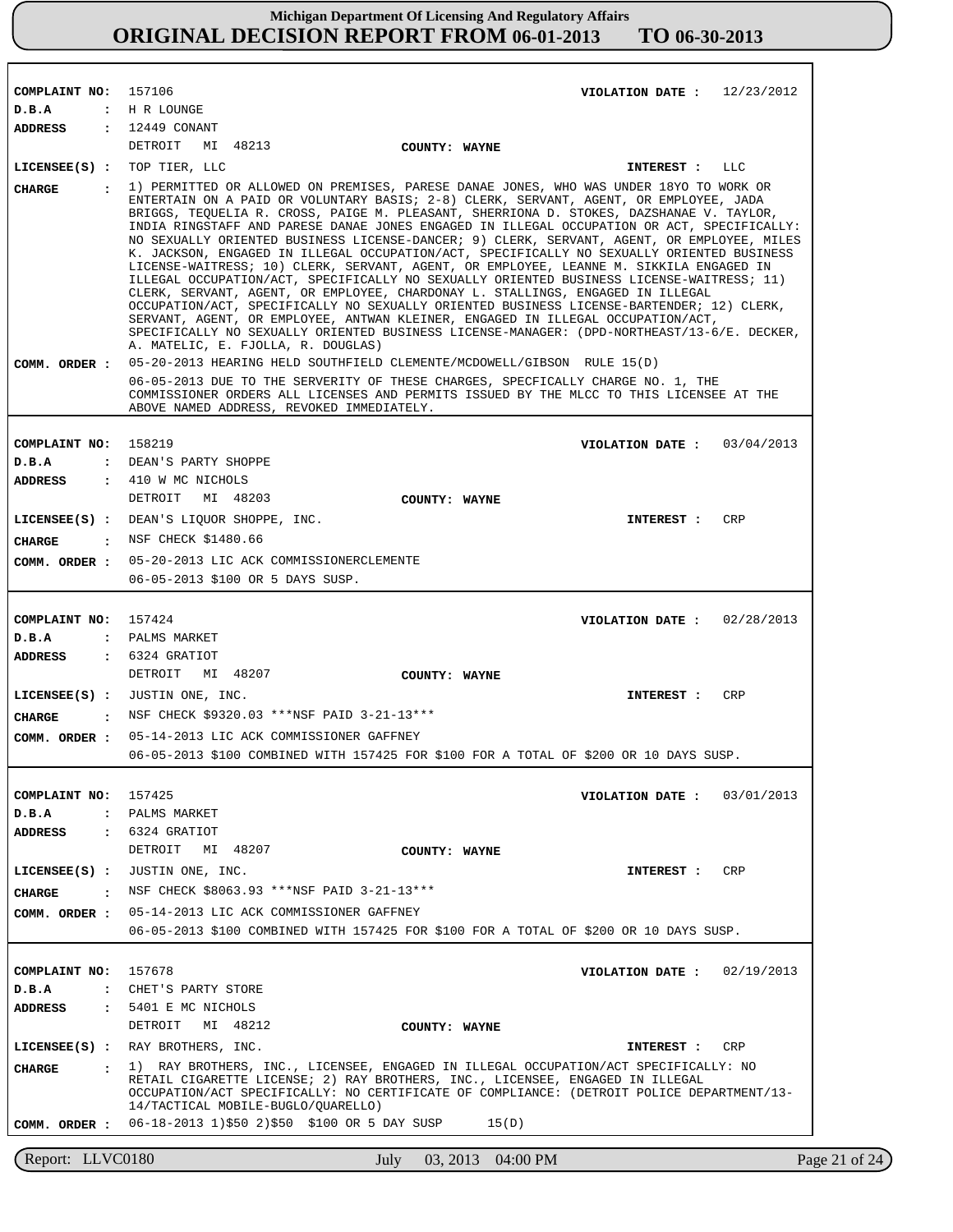| COMPLAINT NO: 157106          |                      | VIOLATION DATE: $12/23/2012$                                                                                                                                                                                                                                                                                                                                                                                                                                                                                                                                                                                                                                                                                                                                                                                                                                                                                                                                                                                                                                         |
|-------------------------------|----------------------|----------------------------------------------------------------------------------------------------------------------------------------------------------------------------------------------------------------------------------------------------------------------------------------------------------------------------------------------------------------------------------------------------------------------------------------------------------------------------------------------------------------------------------------------------------------------------------------------------------------------------------------------------------------------------------------------------------------------------------------------------------------------------------------------------------------------------------------------------------------------------------------------------------------------------------------------------------------------------------------------------------------------------------------------------------------------|
| D.B.A                         |                      | : H R LOUNGE                                                                                                                                                                                                                                                                                                                                                                                                                                                                                                                                                                                                                                                                                                                                                                                                                                                                                                                                                                                                                                                         |
| ADDRESS                       |                      | : 12449 CONANT<br>DETROIT<br>MI 48213<br>COUNTY: WAYNE                                                                                                                                                                                                                                                                                                                                                                                                                                                                                                                                                                                                                                                                                                                                                                                                                                                                                                                                                                                                               |
| $LICENSEE(S)$ :               |                      | TOP TIER, LLC<br>LLC<br>INTEREST :                                                                                                                                                                                                                                                                                                                                                                                                                                                                                                                                                                                                                                                                                                                                                                                                                                                                                                                                                                                                                                   |
|                               |                      | 1) PERMITTED OR ALLOWED ON PREMISES, PARESE DANAE JONES, WHO WAS UNDER 18YO TO WORK OR                                                                                                                                                                                                                                                                                                                                                                                                                                                                                                                                                                                                                                                                                                                                                                                                                                                                                                                                                                               |
| CHARGE                        | $\mathbf{r}$         | ENTERTAIN ON A PAID OR VOLUNTARY BASIS; 2-8) CLERK, SERVANT, AGENT, OR EMPLOYEE, JADA<br>BRIGGS, TEQUELIA R. CROSS, PAIGE M. PLEASANT, SHERRIONA D. STOKES, DAZSHANAE V. TAYLOR,<br>INDIA RINGSTAFF AND PARESE DANAE JONES ENGAGED IN ILLEGAL OCCUPATION OR ACT, SPECIFICALLY:<br>NO SEXUALLY ORIENTED BUSINESS LICENSE-DANCER; 9) CLERK, SERVANT, AGENT, OR EMPLOYEE, MILES<br>K. JACKSON, ENGAGED IN ILLEGAL OCCUPATION/ACT, SPECIFICALLY NO SEXUALLY ORIENTED BUSINESS<br>LICENSE-WAITRESS; 10) CLERK, SERVANT, AGENT, OR EMPLOYEE, LEANNE M. SIKKILA ENGAGED IN<br>ILLEGAL OCCUPATION/ACT, SPECIFICALLY NO SEXUALLY ORIENTED BUSINESS LICENSE-WAITRESS; 11)<br>CLERK, SERVANT, AGENT, OR EMPLOYEE, CHARDONAY L. STALLINGS, ENGAGED IN ILLEGAL<br>OCCUPATION/ACT, SPECIFICALLY NO SEXUALLY ORIENTED BUSINESS LICENSE-BARTENDER; 12) CLERK,<br>SERVANT, AGENT, OR EMPLOYEE, ANTWAN KLEINER, ENGAGED IN ILLEGAL OCCUPATION/ACT,<br>SPECIFICALLY NO SEXUALLY ORIENTED BUSINESS LICENSE-MANAGER: (DPD-NORTHEAST/13-6/E. DECKER,<br>A. MATELIC, E. FJOLLA, R. DOUGLAS) |
| COMM. ORDER :                 |                      | 05-20-2013 HEARING HELD SOUTHFIELD CLEMENTE/MCDOWELL/GIBSON RULE 15(D)                                                                                                                                                                                                                                                                                                                                                                                                                                                                                                                                                                                                                                                                                                                                                                                                                                                                                                                                                                                               |
|                               |                      | 06-05-2013 DUE TO THE SERVERITY OF THESE CHARGES, SPECFICALLY CHARGE NO. 1, THE<br>COMMISSIONER ORDERS ALL LICENSES AND PERMITS ISSUED BY THE MLCC TO THIS LICENSEE AT THE<br>ABOVE NAMED ADDRESS, REVOKED IMMEDIATELY.                                                                                                                                                                                                                                                                                                                                                                                                                                                                                                                                                                                                                                                                                                                                                                                                                                              |
| COMPLAINT NO: 158219          |                      | VIOLATION DATE: $03/04/2013$                                                                                                                                                                                                                                                                                                                                                                                                                                                                                                                                                                                                                                                                                                                                                                                                                                                                                                                                                                                                                                         |
| D.B.A                         |                      | : DEAN'S PARTY SHOPPE                                                                                                                                                                                                                                                                                                                                                                                                                                                                                                                                                                                                                                                                                                                                                                                                                                                                                                                                                                                                                                                |
| <b>ADDRESS</b>                |                      | : 410 W MC NICHOLS                                                                                                                                                                                                                                                                                                                                                                                                                                                                                                                                                                                                                                                                                                                                                                                                                                                                                                                                                                                                                                                   |
|                               |                      | DETROIT MI 48203<br>COUNTY: WAYNE                                                                                                                                                                                                                                                                                                                                                                                                                                                                                                                                                                                                                                                                                                                                                                                                                                                                                                                                                                                                                                    |
|                               |                      | LICENSEE(S) : DEAN'S LIQUOR SHOPPE, INC.<br><b>CRP</b><br>INTEREST :                                                                                                                                                                                                                                                                                                                                                                                                                                                                                                                                                                                                                                                                                                                                                                                                                                                                                                                                                                                                 |
| CIIARGE                       |                      | : NSF CHECK \$1480.66                                                                                                                                                                                                                                                                                                                                                                                                                                                                                                                                                                                                                                                                                                                                                                                                                                                                                                                                                                                                                                                |
| COMM. ORDER :                 |                      | 05-20-2013 LIC ACK COMMISSIONERCLEMENTE                                                                                                                                                                                                                                                                                                                                                                                                                                                                                                                                                                                                                                                                                                                                                                                                                                                                                                                                                                                                                              |
|                               |                      | 06-05-2013 \$100 OR 5 DAYS SUSP.                                                                                                                                                                                                                                                                                                                                                                                                                                                                                                                                                                                                                                                                                                                                                                                                                                                                                                                                                                                                                                     |
|                               |                      |                                                                                                                                                                                                                                                                                                                                                                                                                                                                                                                                                                                                                                                                                                                                                                                                                                                                                                                                                                                                                                                                      |
| COMPLAINT NO: 157424          |                      | VIOLATION DATE: $02/28/2013$                                                                                                                                                                                                                                                                                                                                                                                                                                                                                                                                                                                                                                                                                                                                                                                                                                                                                                                                                                                                                                         |
| D.B.A                         |                      | : PALMS MARKET                                                                                                                                                                                                                                                                                                                                                                                                                                                                                                                                                                                                                                                                                                                                                                                                                                                                                                                                                                                                                                                       |
| <b>ADDRESS</b>                |                      | $: 6324$ GRATIOT<br>DETROIT                                                                                                                                                                                                                                                                                                                                                                                                                                                                                                                                                                                                                                                                                                                                                                                                                                                                                                                                                                                                                                          |
|                               |                      | MI 48207<br>COUNTY: WAYNE                                                                                                                                                                                                                                                                                                                                                                                                                                                                                                                                                                                                                                                                                                                                                                                                                                                                                                                                                                                                                                            |
|                               |                      | LICENSEE(S) : JUSTIN ONE, INC.<br><b>INTEREST :</b><br>CRP                                                                                                                                                                                                                                                                                                                                                                                                                                                                                                                                                                                                                                                                                                                                                                                                                                                                                                                                                                                                           |
| CHARGE<br>$\sim$ $\sim$       |                      | NSF CHECK \$9320.03 ***NSF PAID 3-21-13***                                                                                                                                                                                                                                                                                                                                                                                                                                                                                                                                                                                                                                                                                                                                                                                                                                                                                                                                                                                                                           |
| COMM. ORDER :                 |                      | 05-14-2013 LIC ACK COMMISSIONER GAFFNEY<br>06-05-2013 \$100 COMBINED WITH 157425 FOR \$100 FOR A TOTAL OF \$200 OR 10 DAYS SUSP.                                                                                                                                                                                                                                                                                                                                                                                                                                                                                                                                                                                                                                                                                                                                                                                                                                                                                                                                     |
|                               |                      |                                                                                                                                                                                                                                                                                                                                                                                                                                                                                                                                                                                                                                                                                                                                                                                                                                                                                                                                                                                                                                                                      |
| COMPLAINT NO: 157425          |                      | VIOLATION DATE: $03/01/2013$                                                                                                                                                                                                                                                                                                                                                                                                                                                                                                                                                                                                                                                                                                                                                                                                                                                                                                                                                                                                                                         |
| D.B.A                         |                      | : PALMS MARKET                                                                                                                                                                                                                                                                                                                                                                                                                                                                                                                                                                                                                                                                                                                                                                                                                                                                                                                                                                                                                                                       |
| <b>ADDRESS</b>                |                      | $: 6324$ GRATIOT                                                                                                                                                                                                                                                                                                                                                                                                                                                                                                                                                                                                                                                                                                                                                                                                                                                                                                                                                                                                                                                     |
|                               |                      | DETROIT MI 48207<br>COUNTY: WAYNE                                                                                                                                                                                                                                                                                                                                                                                                                                                                                                                                                                                                                                                                                                                                                                                                                                                                                                                                                                                                                                    |
| $LICENSE(S)$ :                |                      | JUSTIN ONE, INC.<br>CRP<br>INTEREST :                                                                                                                                                                                                                                                                                                                                                                                                                                                                                                                                                                                                                                                                                                                                                                                                                                                                                                                                                                                                                                |
| CHARGE                        | $\sim$ $\sim$ $\sim$ | NSF CHECK \$8063.93 ***NSF PAID 3-21-13***                                                                                                                                                                                                                                                                                                                                                                                                                                                                                                                                                                                                                                                                                                                                                                                                                                                                                                                                                                                                                           |
| COMM. ORDER :                 |                      | 05-14-2013 LIC ACK COMMISSIONER GAFFNEY                                                                                                                                                                                                                                                                                                                                                                                                                                                                                                                                                                                                                                                                                                                                                                                                                                                                                                                                                                                                                              |
|                               |                      | 06-05-2013 \$100 COMBINED WITH 157425 FOR \$100 FOR A TOTAL OF \$200 OR 10 DAYS SUSP.                                                                                                                                                                                                                                                                                                                                                                                                                                                                                                                                                                                                                                                                                                                                                                                                                                                                                                                                                                                |
|                               |                      |                                                                                                                                                                                                                                                                                                                                                                                                                                                                                                                                                                                                                                                                                                                                                                                                                                                                                                                                                                                                                                                                      |
| COMPLAINT NO: 157678<br>D.B.A |                      | VIOLATION DATE : $02/19/2013$<br>: CHET'S PARTY STORE                                                                                                                                                                                                                                                                                                                                                                                                                                                                                                                                                                                                                                                                                                                                                                                                                                                                                                                                                                                                                |
| <b>ADDRESS</b>                |                      | : 5401 E MC NICHOLS                                                                                                                                                                                                                                                                                                                                                                                                                                                                                                                                                                                                                                                                                                                                                                                                                                                                                                                                                                                                                                                  |
|                               |                      | DETROIT<br>MI 48212<br>COUNTY: WAYNE                                                                                                                                                                                                                                                                                                                                                                                                                                                                                                                                                                                                                                                                                                                                                                                                                                                                                                                                                                                                                                 |
|                               |                      | LICENSEE(S) : RAY BROTHERS, INC.<br>CRP<br><b>INTEREST :</b>                                                                                                                                                                                                                                                                                                                                                                                                                                                                                                                                                                                                                                                                                                                                                                                                                                                                                                                                                                                                         |
| CIIARGE                       | $\sim$ $\sim$        | 1) RAY BROTHERS, INC., LICENSEE, ENGAGED IN ILLEGAL OCCUPATION/ACT SPECIFICALLY: NO                                                                                                                                                                                                                                                                                                                                                                                                                                                                                                                                                                                                                                                                                                                                                                                                                                                                                                                                                                                  |
|                               |                      | RETAIL CIGARETTE LICENSE; 2) RAY BROTHERS, INC., LICENSEE, ENGAGED IN ILLEGAL<br>OCCUPATION/ACT SPECIFICALLY: NO CERTIFICATE OF COMPLIANCE: (DETROIT POLICE DEPARTMENT/13-<br>14/TACTICAL MOBILE-BUGLO/QUARELLO)                                                                                                                                                                                                                                                                                                                                                                                                                                                                                                                                                                                                                                                                                                                                                                                                                                                     |
|                               |                      | COMM. ORDER : 06-18-2013 1)\$50 2)\$50 \$100 OR 5 DAY SUSP<br>15(D)                                                                                                                                                                                                                                                                                                                                                                                                                                                                                                                                                                                                                                                                                                                                                                                                                                                                                                                                                                                                  |
|                               |                      |                                                                                                                                                                                                                                                                                                                                                                                                                                                                                                                                                                                                                                                                                                                                                                                                                                                                                                                                                                                                                                                                      |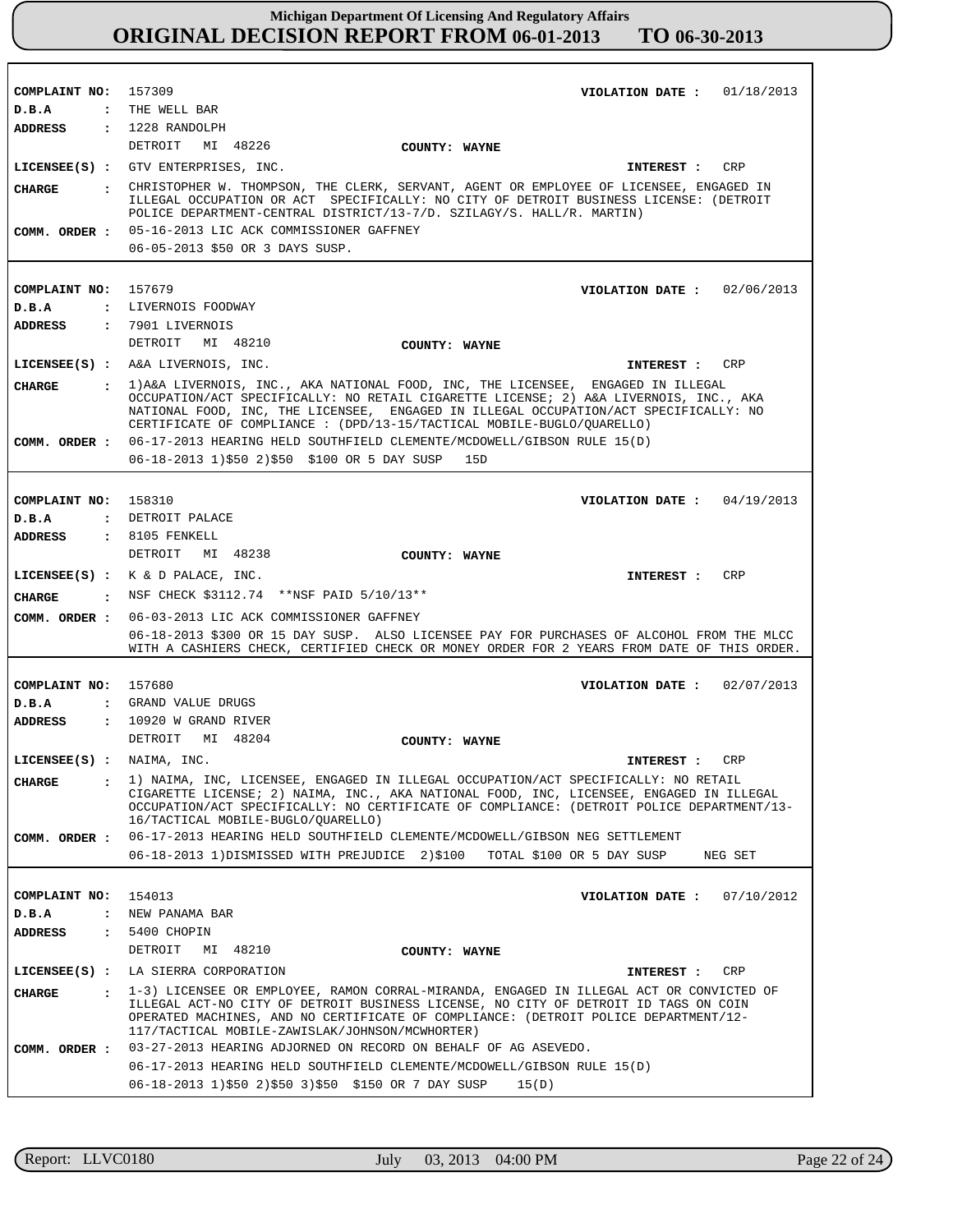| COMPLAINT NO: 157309          | VIOLATION DATE: $01/18/2013$                                                                                                                                                                                                                                                                                       |
|-------------------------------|--------------------------------------------------------------------------------------------------------------------------------------------------------------------------------------------------------------------------------------------------------------------------------------------------------------------|
| D.B.A                         | : THE WELL BAR                                                                                                                                                                                                                                                                                                     |
| <b>ADDRESS</b>                | $: 1228$ RANDOLPH                                                                                                                                                                                                                                                                                                  |
|                               | DETROIT<br>MI 48226<br>COUNTY: WAYNE                                                                                                                                                                                                                                                                               |
|                               | LICENSEE(S) : GTV ENTERPRISES, INC.<br>CRP<br><b>INTEREST :</b>                                                                                                                                                                                                                                                    |
| <b>CHARGE</b>                 | : CHRISTOPHER W. THOMPSON, THE CLERK, SERVANT, AGENT OR EMPLOYEE OF LICENSEE, ENGAGED IN<br>ILLEGAL OCCUPATION OR ACT SPECIFICALLY: NO CITY OF DETROIT BUSINESS LICENSE: (DETROIT<br>POLICE DEPARTMENT-CENTRAL DISTRICT/13-7/D. SZILAGY/S. HALL/R. MARTIN)                                                         |
| COMM. ORDER :                 | 05-16-2013 LIC ACK COMMISSIONER GAFFNEY                                                                                                                                                                                                                                                                            |
|                               | 06-05-2013 \$50 OR 3 DAYS SUSP.                                                                                                                                                                                                                                                                                    |
|                               |                                                                                                                                                                                                                                                                                                                    |
| COMPLAINT NO:                 | 157679<br>VIOLATION DATE: $02/06/2013$                                                                                                                                                                                                                                                                             |
| D.B.A                         | : LIVERNOIS FOODWAY                                                                                                                                                                                                                                                                                                |
| <b>ADDRESS</b>                | : 7901 LIVERNOIS                                                                                                                                                                                                                                                                                                   |
|                               | DETROIT MI 48210<br>COUNTY: WAYNE                                                                                                                                                                                                                                                                                  |
|                               | CRP<br>LICENSEE(S) : A&A LIVERNOIS, INC.<br><b>INTEREST :</b>                                                                                                                                                                                                                                                      |
| <b>CHARGE</b><br>$\mathbf{r}$ | 1) A&A LIVERNOIS, INC., AKA NATIONAL FOOD, INC, THE LICENSEE, ENGAGED IN ILLEGAL                                                                                                                                                                                                                                   |
|                               | OCCUPATION/ACT SPECIFICALLY: NO RETAIL CIGARETTE LICENSE; 2) A&A LIVERNOIS, INC., AKA<br>NATIONAL FOOD, INC, THE LICENSEE, ENGAGED IN ILLEGAL OCCUPATION/ACT SPECIFICALLY: NO<br>CERTIFICATE OF COMPLIANCE : (DPD/13-15/TACTICAL MOBILE-BUGLO/OUARELLO)                                                            |
| COMM. ORDER :                 | 06-17-2013 HEARING HELD SOUTHFIELD CLEMENTE/MCDOWELL/GIBSON RULE 15(D)                                                                                                                                                                                                                                             |
|                               | 06-18-2013 1)\$50 2)\$50 \$100 OR 5 DAY SUSP<br>15D                                                                                                                                                                                                                                                                |
|                               |                                                                                                                                                                                                                                                                                                                    |
| COMPLAINT NO: 158310          | VIOLATION DATE: $04/19/2013$                                                                                                                                                                                                                                                                                       |
| D.B.A                         | : DETROIT PALACE                                                                                                                                                                                                                                                                                                   |
| <b>ADDRESS</b>                | $: 8105$ FENKELL                                                                                                                                                                                                                                                                                                   |
|                               | DETROIT MI 48238<br>COUNTY: WAYNE                                                                                                                                                                                                                                                                                  |
|                               | LICENSEE(S) : $K \& D$ PALACE, INC.<br>CRP<br>INTEREST :                                                                                                                                                                                                                                                           |
| <b>CHARGE</b>                 | . NSF CHECK $$3112.74$ **NSF PAID $5/10/13**$                                                                                                                                                                                                                                                                      |
| COMM. ORDER :                 | 06-03-2013 LIC ACK COMMISSIONER GAFFNEY                                                                                                                                                                                                                                                                            |
|                               | 06-18-2013 \$300 OR 15 DAY SUSP. ALSO LICENSEE PAY FOR PURCHASES OF ALCOHOL FROM THE MLCC                                                                                                                                                                                                                          |
|                               | WITH A CASHIERS CHECK, CERTIFIED CHECK OR MONEY ORDER FOR 2 YEARS FROM DATE OF THIS ORDER.                                                                                                                                                                                                                         |
|                               |                                                                                                                                                                                                                                                                                                                    |
| COMPLAINT NO: 157680<br>D.B.A | 02/07/2013<br>VIOLATION DATE :<br>: GRAND VALUE DRUGS                                                                                                                                                                                                                                                              |
| <b>ADDRESS</b>                | $: 10920$ W GRAND RIVER                                                                                                                                                                                                                                                                                            |
|                               | DETROIT MI 48204<br>COUNTY: WAYNE                                                                                                                                                                                                                                                                                  |
| LICENSEE(S) : NAIMA, INC.     | CRP<br><b>INTEREST :</b>                                                                                                                                                                                                                                                                                           |
|                               |                                                                                                                                                                                                                                                                                                                    |
| CHARGE                        | : 1) NAIMA, INC, LICENSEE, ENGAGED IN ILLEGAL OCCUPATION/ACT SPECIFICALLY: NO RETAIL<br>CIGARETTE LICENSE; 2) NAIMA, INC., AKA NATIONAL FOOD, INC, LICENSEE, ENGAGED IN ILLEGAL<br>OCCUPATION/ACT SPECIFICALLY: NO CERTIFICATE OF COMPLIANCE: (DETROIT POLICE DEPARTMENT/13-<br>16/TACTICAL MOBILE-BUGLO/QUARELLO) |
| COMM. ORDER :                 | 06-17-2013 HEARING HELD SOUTHFIELD CLEMENTE/MCDOWELL/GIBSON NEG SETTLEMENT                                                                                                                                                                                                                                         |
|                               | 06-18-2013 1) DISMISSED WITH PREJUDICE 2) \$100<br>TOTAL \$100 OR 5 DAY SUSP<br>NEG SET                                                                                                                                                                                                                            |
|                               |                                                                                                                                                                                                                                                                                                                    |
| COMPLAINT NO:                 | 154013<br>07/10/2012<br>VIOLATION DATE :                                                                                                                                                                                                                                                                           |
| D.B.A                         | : NEW PANAMA BAR                                                                                                                                                                                                                                                                                                   |
| ADDRESS                       | : 5400 CHOPIN                                                                                                                                                                                                                                                                                                      |
|                               | DETROIT MI 48210<br>COUNTY: WAYNE                                                                                                                                                                                                                                                                                  |
|                               | LICENSEE(S) : LA SIERRA CORPORATION<br>CRP<br>INTEREST :                                                                                                                                                                                                                                                           |
| CHARGE                        | 1-3) LICENSEE OR EMPLOYEE, RAMON CORRAL-MIRANDA, ENGAGED IN ILLEGAL ACT OR CONVICTED OF                                                                                                                                                                                                                            |
|                               | ILLEGAL ACT-NO CITY OF DETROIT BUSINESS LICENSE, NO CITY OF DETROIT ID TAGS ON COIN<br>OPERATED MACHINES, AND NO CERTIFICATE OF COMPLIANCE: (DETROIT POLICE DEPARTMENT/12-<br>117/TACTICAL MOBILE-ZAWISLAK/JOHNSON/MCWHORTER)                                                                                      |
| COMM. ORDER :                 | 03-27-2013 HEARING ADJORNED ON RECORD ON BEHALF OF AG ASEVEDO.                                                                                                                                                                                                                                                     |
|                               | 06-17-2013 HEARING HELD SOUTHFIELD CLEMENTE/MCDOWELL/GIBSON RULE 15(D)                                                                                                                                                                                                                                             |
|                               | 06-18-2013 1)\$50 2)\$50 3)\$50 \$150 OR 7 DAY SUSP<br>15(D)                                                                                                                                                                                                                                                       |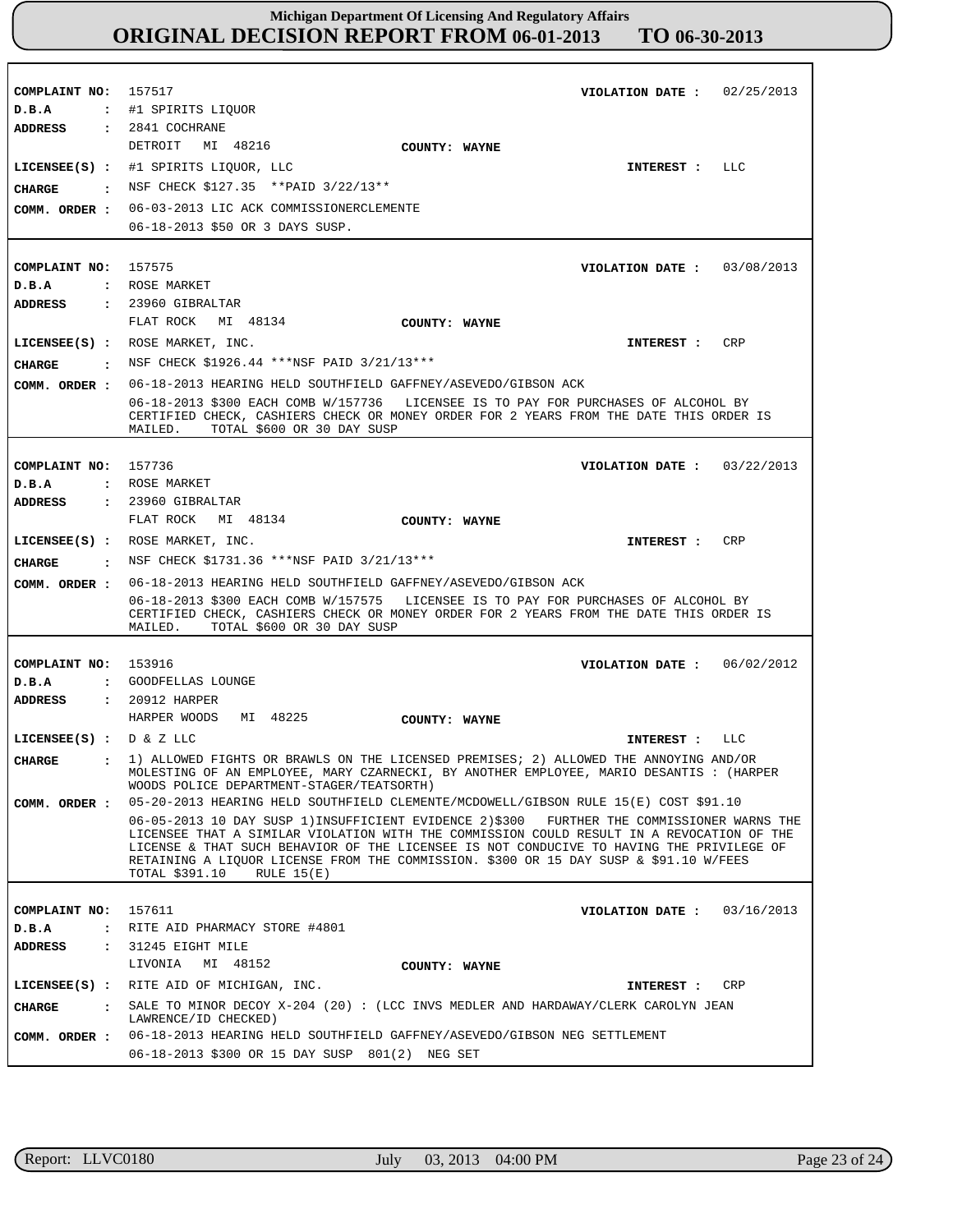| COMPLAINT NO:<br>D.B.A                    | 157517<br>02/25/2013<br>VIOLATION DATE :<br>: #1 SPIRITS LIOUOR                                                                                                                                                                                                                                                                                                                                                 |
|-------------------------------------------|-----------------------------------------------------------------------------------------------------------------------------------------------------------------------------------------------------------------------------------------------------------------------------------------------------------------------------------------------------------------------------------------------------------------|
| ADDRESS<br>CHARGE<br>$\sim$ $\sim$ $\sim$ | $: 2841$ COCHRANE<br>DETROIT<br>MI 48216<br>COUNTY: WAYNE<br>LICENSEE(S) : #1 SPIRITS LIQUOR, LLC<br>LLC<br>INTEREST :<br>NSF CHECK \$127.35 **PAID 3/22/13**<br>COMM. ORDER : 06-03-2013 LIC ACK COMMISSIONERCLEMENTE                                                                                                                                                                                          |
|                                           | 06-18-2013 \$50 OR 3 DAYS SUSP.                                                                                                                                                                                                                                                                                                                                                                                 |
| COMPLAINT NO: 157575<br>D.B.A<br>ADDRESS  | VIOLATION DATE: $03/08/2013$<br>: ROSE MARKET<br>$: 23960$ GIBRALTAR<br>FLAT ROCK<br>MI 48134<br>COUNTY: WAYNE                                                                                                                                                                                                                                                                                                  |
|                                           | LICENSEE(S) : ROSE MARKET, INC.<br>CRP<br><b>INTEREST :</b>                                                                                                                                                                                                                                                                                                                                                     |
| <b>CHARGE</b>                             | : NSF CHECK \$1926.44 ***NSF PAID 3/21/13***                                                                                                                                                                                                                                                                                                                                                                    |
| COMM. ORDER :                             | 06-18-2013 HEARING HELD SOUTHFIELD GAFFNEY/ASEVEDO/GIBSON ACK                                                                                                                                                                                                                                                                                                                                                   |
|                                           | 06-18-2013 \$300 EACH COMB W/157736 LICENSEE IS TO PAY FOR PURCHASES OF ALCOHOL BY<br>CERTIFIED CHECK, CASHIERS CHECK OR MONEY ORDER FOR 2 YEARS FROM THE DATE THIS ORDER IS<br>TOTAL \$600 OR 30 DAY SUSP<br>MAILED.                                                                                                                                                                                           |
|                                           |                                                                                                                                                                                                                                                                                                                                                                                                                 |
| COMPLAINT NO:                             | 157736<br>VIOLATION DATE: $03/22/2013$                                                                                                                                                                                                                                                                                                                                                                          |
| D.B.A<br><b>ADDRESS</b>                   | : ROSE MARKET<br>$: 23960$ GIBRALTAR                                                                                                                                                                                                                                                                                                                                                                            |
|                                           | FLAT ROCK MI 48134<br>COUNTY: WAYNE                                                                                                                                                                                                                                                                                                                                                                             |
|                                           | LICENSEE(S) : ROSE MARKET, INC.<br>CRP                                                                                                                                                                                                                                                                                                                                                                          |
|                                           | INTEREST :<br>NSF CHECK \$1731.36 ***NSF PAID 3/21/13***                                                                                                                                                                                                                                                                                                                                                        |
| CIIARGE<br>$\sim$ $\sim$ $\sim$           |                                                                                                                                                                                                                                                                                                                                                                                                                 |
| COMM. ORDER :                             | 06-18-2013 HEARING HELD SOUTHFIELD GAFFNEY/ASEVEDO/GIBSON ACK<br>06-18-2013 \$300 EACH COMB W/157575 LICENSEE IS TO PAY FOR PURCHASES OF ALCOHOL BY                                                                                                                                                                                                                                                             |
|                                           | CERTIFIED CHECK, CASHIERS CHECK OR MONEY ORDER FOR 2 YEARS FROM THE DATE THIS ORDER IS<br>TOTAL \$600 OR 30 DAY SUSP<br>MAILED.                                                                                                                                                                                                                                                                                 |
|                                           |                                                                                                                                                                                                                                                                                                                                                                                                                 |
| COMPLAINT NO:                             | 153916<br>VIOLATION DATE: 06/02/2012                                                                                                                                                                                                                                                                                                                                                                            |
| D.B.A<br><b>ADDRESS</b>                   | : GOODFELLAS LOUNGE<br>: 20912 HARPER                                                                                                                                                                                                                                                                                                                                                                           |
|                                           | HARPER WOODS<br>MI 48225<br>COUNTY: WAYNE                                                                                                                                                                                                                                                                                                                                                                       |
| LICENSEE(S) : $D & Z$ LLC                 | LLC                                                                                                                                                                                                                                                                                                                                                                                                             |
|                                           | INTEREST :                                                                                                                                                                                                                                                                                                                                                                                                      |
| <b>CHARGE</b>                             | . 1) ALLOWED FIGHTS OR BRAWLS ON THE LICENSED PREMISES; 2) ALLOWED THE ANNOYING AND/OR<br>MOLESTING OF AN EMPLOYEE, MARY CZARNECKI, BY ANOTHER EMPLOYEE, MARIO DESANTIS : (HARPER<br>WOODS POLICE DEPARTMENT-STAGER/TEATSORTH)                                                                                                                                                                                  |
| COMM. ORDER :                             | 05-20-2013 HEARING HELD SOUTHFIELD CLEMENTE/MCDOWELL/GIBSON RULE 15(E) COST \$91.10                                                                                                                                                                                                                                                                                                                             |
|                                           | 06-05-2013 10 DAY SUSP 1) INSUFFICIENT EVIDENCE 2) \$300 FURTHER THE COMMISSIONER WARNS THE<br>LICENSEE THAT A SIMILAR VIOLATION WITH THE COMMISSION COULD RESULT IN A REVOCATION OF THE<br>LICENSE & THAT SUCH BEHAVIOR OF THE LICENSEE IS NOT CONDUCIVE TO HAVING THE PRIVILEGE OF<br>RETAINING A LIQUOR LICENSE FROM THE COMMISSION. \$300 OR 15 DAY SUSP & \$91.10 W/FEES<br>TOTAL \$391.10<br>RULE $15(E)$ |
|                                           |                                                                                                                                                                                                                                                                                                                                                                                                                 |
| COMPLAINT NO:                             | 157611<br>VIOLATION DATE: $03/16/2013$                                                                                                                                                                                                                                                                                                                                                                          |
| D.B.A                                     | : RITE AID PHARMACY STORE #4801                                                                                                                                                                                                                                                                                                                                                                                 |
| ADDRESS                                   | : 31245 EIGHT MILE<br>LIVONIA<br>MI 48152                                                                                                                                                                                                                                                                                                                                                                       |
|                                           | COUNTY: WAYNE                                                                                                                                                                                                                                                                                                                                                                                                   |
|                                           | LICENSEE(S) : RITE AID OF MICHIGAN, INC.<br>INTEREST : CRP                                                                                                                                                                                                                                                                                                                                                      |
| CHARGE                                    | : SALE TO MINOR DECOY X-204 (20): (LCC INVS MEDLER AND HARDAWAY/CLERK CAROLYN JEAN<br>LAWRENCE/ID CHECKED)                                                                                                                                                                                                                                                                                                      |
| COMM. ORDER :                             | 06-18-2013 HEARING HELD SOUTHFIELD GAFFNEY/ASEVEDO/GIBSON NEG SETTLEMENT<br>06-18-2013 \$300 OR 15 DAY SUSP 801(2) NEG SET                                                                                                                                                                                                                                                                                      |